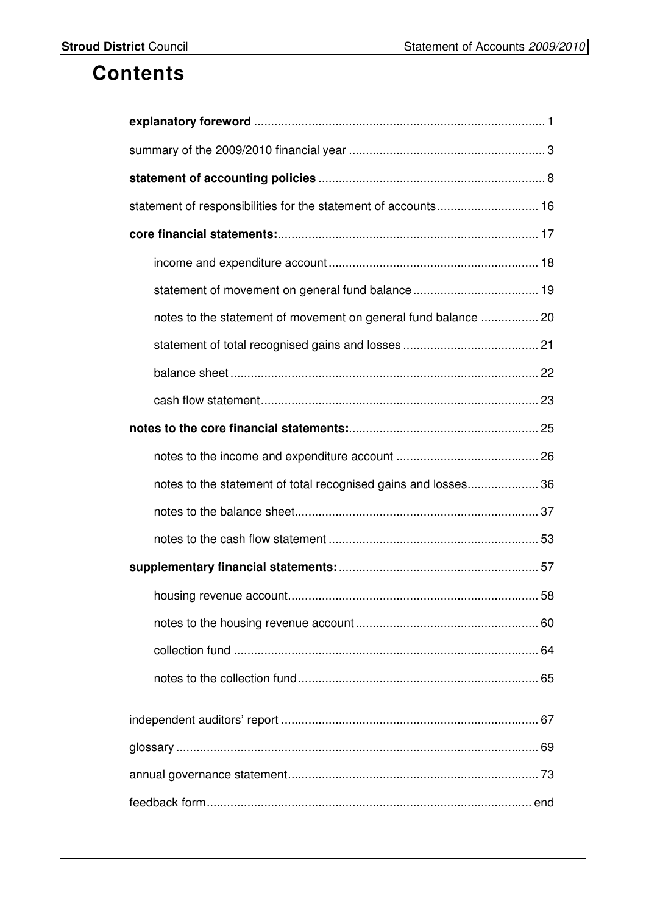## **Contents**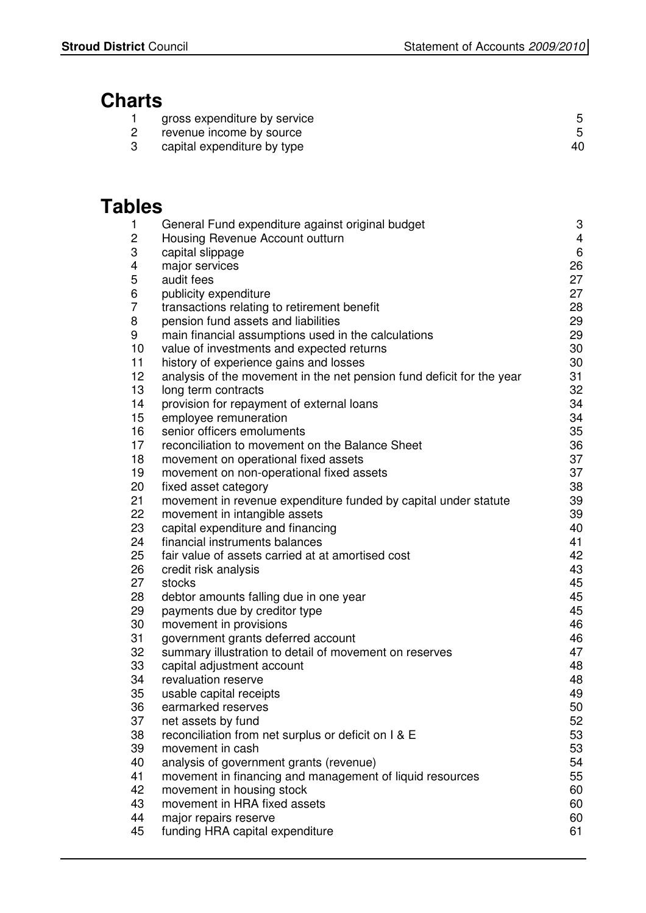# **Charts**

| gross expenditure by service |  |
|------------------------------|--|
| revenue income by source     |  |

3 capital expenditure by type 40

## **Tables**

| 1               | General Fund expenditure against original budget                          | 3              |
|-----------------|---------------------------------------------------------------------------|----------------|
| 2               | Housing Revenue Account outturn                                           | $\overline{4}$ |
| 3               | capital slippage                                                          | 6              |
| 4               | major services                                                            | 26             |
| 5               | audit fees                                                                | 27             |
| 6               | publicity expenditure                                                     | 27             |
| 7               | transactions relating to retirement benefit                               | 28             |
| 8               | pension fund assets and liabilities                                       | 29             |
| 9               | main financial assumptions used in the calculations                       | 29             |
| 10              | value of investments and expected returns                                 | 30             |
| 11              | history of experience gains and losses                                    | 30             |
| 12 <sub>2</sub> | analysis of the movement in the net pension fund deficit for the year     | 31             |
| 13              | long term contracts                                                       | 32             |
| 14              | provision for repayment of external loans                                 | 34             |
| 15              | employee remuneration                                                     | 34             |
| 16              | senior officers emoluments                                                | 35             |
| 17              | reconciliation to movement on the Balance Sheet                           | 36             |
| 18              | movement on operational fixed assets                                      | 37             |
| 19              | movement on non-operational fixed assets                                  | 37             |
| 20              | fixed asset category                                                      | 38             |
| 21              | movement in revenue expenditure funded by capital under statute           | 39             |
| 22              | movement in intangible assets                                             | 39             |
| 23              | capital expenditure and financing                                         | 40             |
| 24              | financial instruments balances                                            | 41             |
| 25              | fair value of assets carried at at amortised cost                         | 42             |
| 26              | credit risk analysis                                                      | 43             |
| 27              | stocks                                                                    | 45             |
| 28              | debtor amounts falling due in one year                                    | 45             |
| 29              | payments due by creditor type                                             | 45             |
| 30              | movement in provisions                                                    | 46             |
| 31              | government grants deferred account                                        | 46             |
| 32              | summary illustration to detail of movement on reserves                    | 47             |
| 33              | capital adjustment account                                                | 48             |
| 34              | revaluation reserve                                                       | 48<br>49       |
| 35<br>36        | usable capital receipts<br>earmarked reserves                             | 50             |
| 37              |                                                                           | 52             |
| 38              | net assets by fund<br>reconciliation from net surplus or deficit on I & E | 53             |
| 39              | movement in cash                                                          | 53             |
| 40              | analysis of government grants (revenue)                                   | 54             |
| 41              | movement in financing and management of liquid resources                  | 55             |
| 42              | movement in housing stock                                                 | 60             |
| 43              | movement in HRA fixed assets                                              | 60             |
| 44              | major repairs reserve                                                     | 60             |
| 45              | funding HRA capital expenditure                                           | 61             |
|                 |                                                                           |                |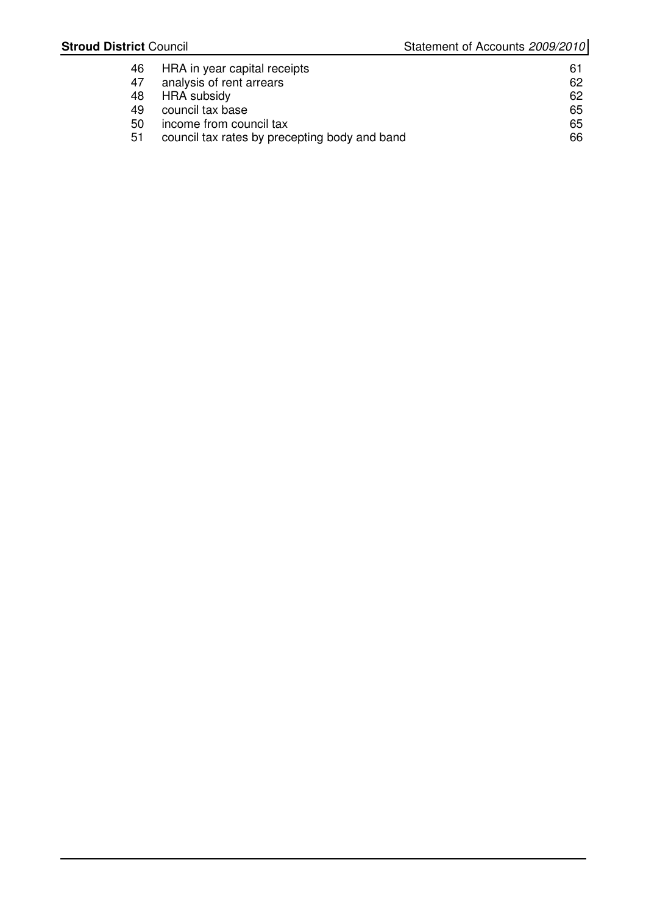| 46 | HRA in year capital receipts                  | 61 |
|----|-----------------------------------------------|----|
| 47 | analysis of rent arrears                      | 62 |
| 48 | HRA subsidy                                   | 62 |
| 49 | council tax base                              | 65 |
| 50 | income from council tax                       | 65 |
| 51 | council tax rates by precepting body and band | 66 |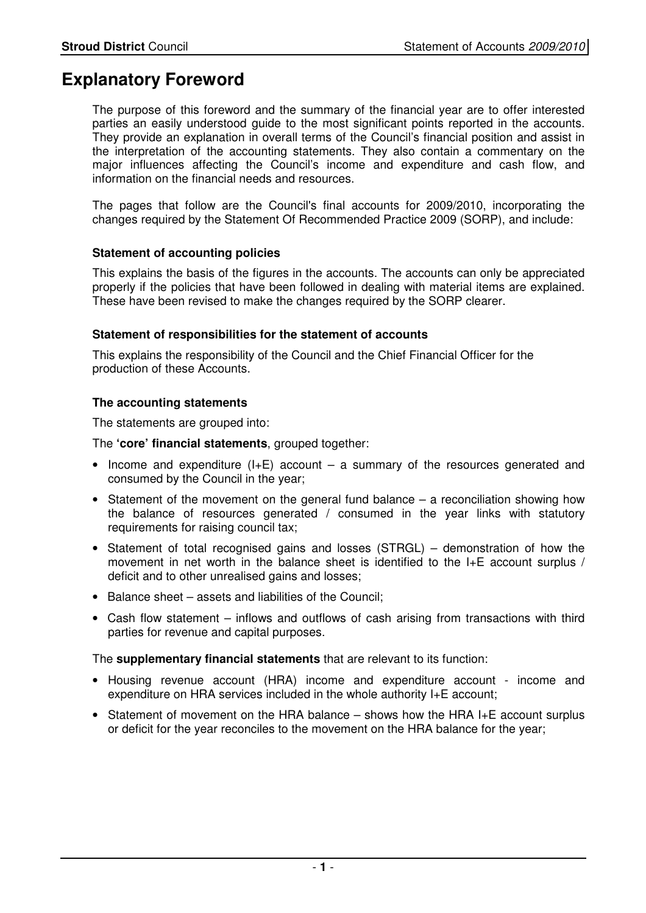## **Explanatory Foreword**

The purpose of this foreword and the summary of the financial year are to offer interested parties an easily understood guide to the most significant points reported in the accounts. They provide an explanation in overall terms of the Council's financial position and assist in the interpretation of the accounting statements. They also contain a commentary on the major influences affecting the Council's income and expenditure and cash flow, and information on the financial needs and resources.

The pages that follow are the Council's final accounts for 2009/2010, incorporating the changes required by the Statement Of Recommended Practice 2009 (SORP), and include:

#### **Statement of accounting policies**

This explains the basis of the figures in the accounts. The accounts can only be appreciated properly if the policies that have been followed in dealing with material items are explained. These have been revised to make the changes required by the SORP clearer.

#### **Statement of responsibilities for the statement of accounts**

 This explains the responsibility of the Council and the Chief Financial Officer for the production of these Accounts.

#### **The accounting statements**

The statements are grouped into:

The **'core' financial statements**, grouped together:

- Income and expenditure  $(I+E)$  account a summary of the resources generated and consumed by the Council in the year;
- Statement of the movement on the general fund balance a reconciliation showing how the balance of resources generated / consumed in the year links with statutory requirements for raising council tax;
- Statement of total recognised gains and losses (STRGL) demonstration of how the movement in net worth in the balance sheet is identified to the I+E account surplus / deficit and to other unrealised gains and losses;
- Balance sheet assets and liabilities of the Council;
- Cash flow statement inflows and outflows of cash arising from transactions with third parties for revenue and capital purposes.

The **supplementary financial statements** that are relevant to its function:

- Housing revenue account (HRA) income and expenditure account income and expenditure on HRA services included in the whole authority I+E account;
- Statement of movement on the HRA balance shows how the HRA I+E account surplus or deficit for the year reconciles to the movement on the HRA balance for the year;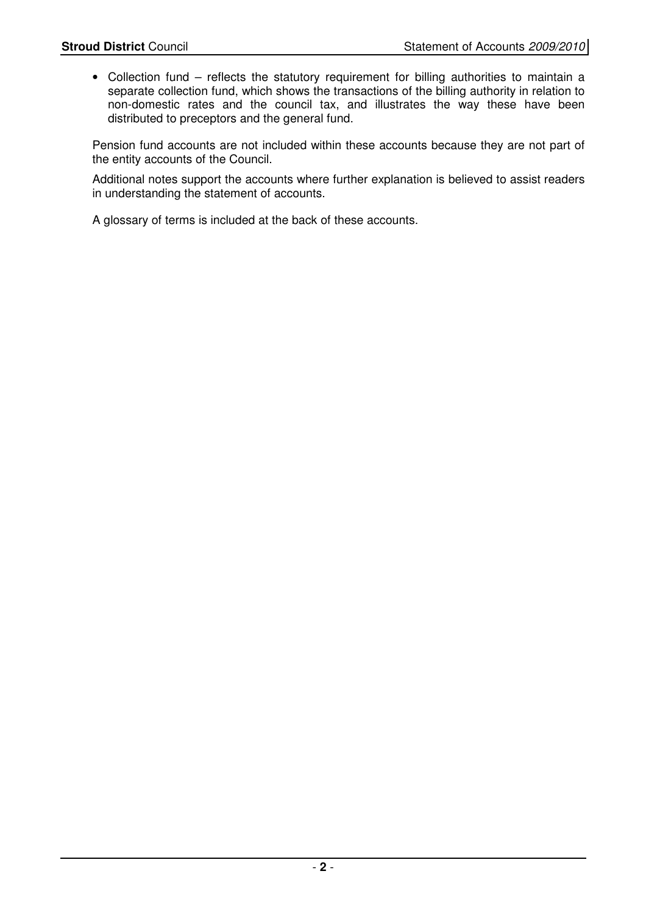• Collection fund – reflects the statutory requirement for billing authorities to maintain a separate collection fund, which shows the transactions of the billing authority in relation to non-domestic rates and the council tax, and illustrates the way these have been distributed to preceptors and the general fund.

Pension fund accounts are not included within these accounts because they are not part of the entity accounts of the Council.

Additional notes support the accounts where further explanation is believed to assist readers in understanding the statement of accounts.

A glossary of terms is included at the back of these accounts.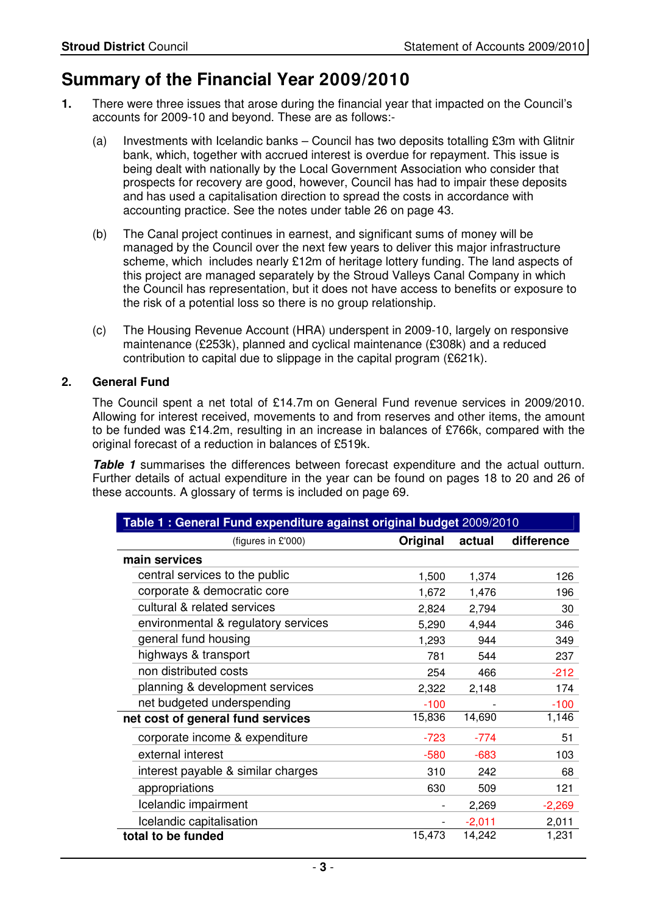## **Summary of the Financial Year 2009/2010**

- **1.** There were three issues that arose during the financial year that impacted on the Council's accounts for 2009-10 and beyond. These are as follows:-
	- (a) Investments with Icelandic banks Council has two deposits totalling  $£3m$  with Glitnir bank, which, together with accrued interest is overdue for repayment. This issue is being dealt with nationally by the Local Government Association who consider that prospects for recovery are good, however, Council has had to impair these deposits and has used a capitalisation direction to spread the costs in accordance with accounting practice. See the notes under table 26 on page 43.
	- (b) The Canal project continues in earnest, and significant sums of money will be managed by the Council over the next few years to deliver this major infrastructure scheme, which includes nearly £12m of heritage lottery funding. The land aspects of this project are managed separately by the Stroud Valleys Canal Company in which the Council has representation, but it does not have access to benefits or exposure to the risk of a potential loss so there is no group relationship.
	- (c) The Housing Revenue Account (HRA) underspent in 2009-10, largely on responsive maintenance (£253k), planned and cyclical maintenance (£308k) and a reduced contribution to capital due to slippage in the capital program (£621k).

#### **2. General Fund**

The Council spent a net total of £14.7m on General Fund revenue services in 2009/2010. Allowing for interest received, movements to and from reserves and other items, the amount to be funded was £14.2m, resulting in an increase in balances of £766k, compared with the original forecast of a reduction in balances of £519k.

**Table 1** summarises the differences between forecast expenditure and the actual outturn. Further details of actual expenditure in the year can be found on pages 18 to 20 and 26 of these accounts. A glossary of terms is included on page 69.

| Table 1: General Fund expenditure against original budget 2009/2010 |          |          |            |
|---------------------------------------------------------------------|----------|----------|------------|
| (figures in £'000)                                                  | Original | actual   | difference |
| main services                                                       |          |          |            |
| central services to the public                                      | 1,500    | 1,374    | 126        |
| corporate & democratic core                                         | 1,672    | 1,476    | 196        |
| cultural & related services                                         | 2,824    | 2,794    | 30         |
| environmental & regulatory services                                 | 5,290    | 4,944    | 346        |
| general fund housing                                                | 1,293    | 944      | 349        |
| highways & transport                                                | 781      | 544      | 237        |
| non distributed costs                                               | 254      | 466      | $-212$     |
| planning & development services                                     | 2,322    | 2,148    | 174        |
| net budgeted underspending                                          | $-100$   |          | $-100$     |
| net cost of general fund services                                   | 15,836   | 14,690   | 1,146      |
| corporate income & expenditure                                      | $-723$   | $-774$   | 51         |
| external interest                                                   | $-580$   | $-683$   | 103        |
| interest payable & similar charges                                  | 310      | 242      | 68         |
| appropriations                                                      | 630      | 509      | 121        |
| Icelandic impairment                                                |          | 2,269    | $-2,269$   |
| Icelandic capitalisation                                            |          | $-2,011$ | 2,011      |
| total to be funded                                                  | 15,473   | 14,242   | 1,231      |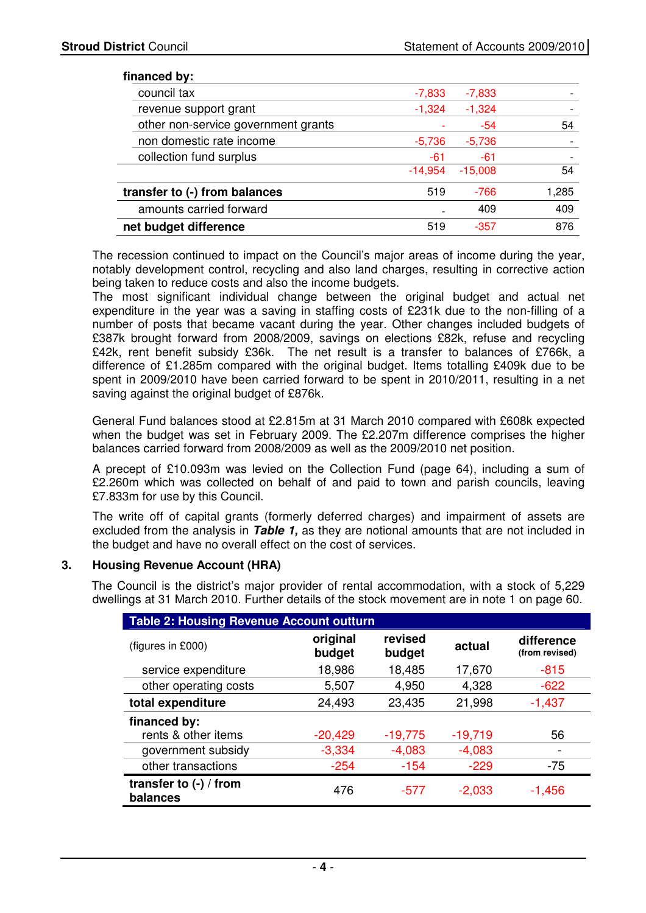#### **financed by:**

| $n$ $n$                             |           |           |       |
|-------------------------------------|-----------|-----------|-------|
| council tax                         | $-7,833$  | $-7,833$  |       |
| revenue support grant               | $-1,324$  | $-1,324$  |       |
| other non-service government grants |           | $-54$     | 54    |
| non domestic rate income            | $-5,736$  | $-5,736$  |       |
| collection fund surplus             | -61       | -61       |       |
|                                     | $-14,954$ | $-15,008$ | 54    |
| transfer to (-) from balances       | 519       | $-766$    | 1,285 |
| amounts carried forward             |           | 409       | 409   |
| net budget difference               | 519       | $-357$    | 876   |

The recession continued to impact on the Council's major areas of income during the year, notably development control, recycling and also land charges, resulting in corrective action being taken to reduce costs and also the income budgets.

The most significant individual change between the original budget and actual net expenditure in the year was a saving in staffing costs of £231k due to the non-filling of a number of posts that became vacant during the year. Other changes included budgets of £387k brought forward from 2008/2009, savings on elections £82k, refuse and recycling £42k, rent benefit subsidy £36k. The net result is a transfer to balances of £766k, a difference of £1.285m compared with the original budget. Items totalling £409k due to be spent in 2009/2010 have been carried forward to be spent in 2010/2011, resulting in a net saving against the original budget of £876k.

 General Fund balances stood at £2.815m at 31 March 2010 compared with £608k expected when the budget was set in February 2009. The £2.207m difference comprises the higher balances carried forward from 2008/2009 as well as the 2009/2010 net position.

 A precept of £10.093m was levied on the Collection Fund (page 64), including a sum of £2.260m which was collected on behalf of and paid to town and parish councils, leaving £7.833m for use by this Council.

 The write off of capital grants (formerly deferred charges) and impairment of assets are excluded from the analysis in **Table 1,** as they are notional amounts that are not included in the budget and have no overall effect on the cost of services.

#### **3. Housing Revenue Account (HRA)**

The Council is the district's major provider of rental accommodation, with a stock of 5,229 dwellings at 31 March 2010. Further details of the stock movement are in note 1 on page 60.

| <b>Table 2: Housing Revenue Account outturn</b> |                    |                   |           |                              |
|-------------------------------------------------|--------------------|-------------------|-----------|------------------------------|
| (figures in £000)                               | original<br>budget | revised<br>budget | actual    | difference<br>(from revised) |
| service expenditure                             | 18,986             | 18,485            | 17,670    | $-815$                       |
| other operating costs                           | 5,507              | 4,950             | 4,328     | $-622$                       |
| total expenditure                               | 24,493             | 23,435            | 21,998    | $-1,437$                     |
| financed by:                                    |                    |                   |           |                              |
| rents & other items                             | $-20,429$          | $-19,775$         | $-19,719$ | 56                           |
| government subsidy                              | $-3,334$           | $-4,083$          | $-4,083$  | -                            |
| other transactions                              | $-254$             | $-154$            | $-229$    | -75                          |
| transfer to $(-)$ / from<br>balances            | 476                | -577              | $-2,033$  | $-1,456$                     |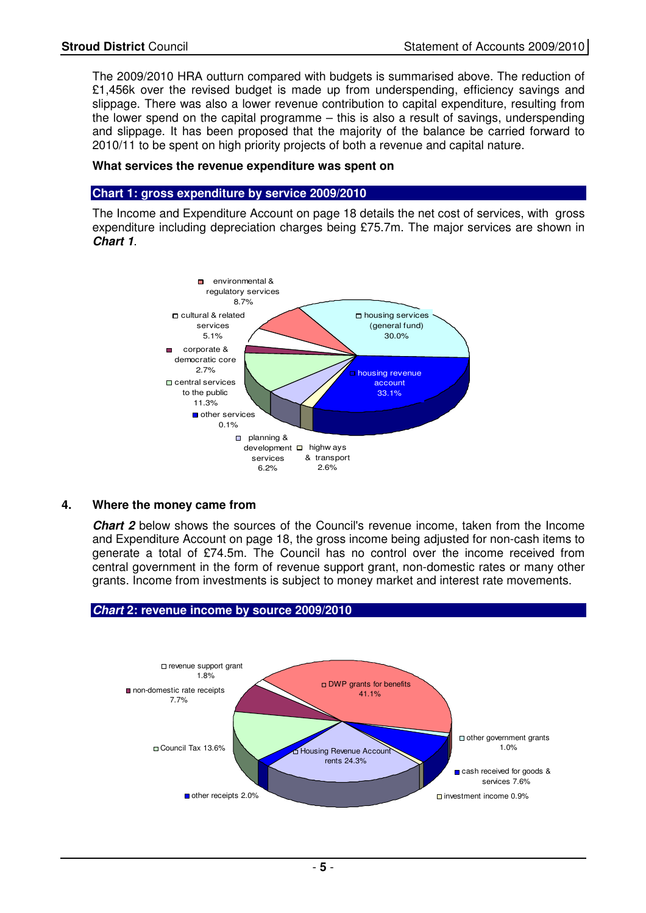The 2009/2010 HRA outturn compared with budgets is summarised above. The reduction of £1,456k over the revised budget is made up from underspending, efficiency savings and slippage. There was also a lower revenue contribution to capital expenditure, resulting from the lower spend on the capital programme – this is also a result of savings, underspending and slippage. It has been proposed that the majority of the balance be carried forward to 2010/11 to be spent on high priority projects of both a revenue and capital nature.

#### **What services the revenue expenditure was spent on**

#### **Chart 1: gross expenditure by service 2009/2010**

 The Income and Expenditure Account on page 18 details the net cost of services, with gross expenditure including depreciation charges being £75.7m. The major services are shown in **Chart 1**.



#### **4. Where the money came from**

**Chart 2** below shows the sources of the Council's revenue income, taken from the Income and Expenditure Account on page 18, the gross income being adjusted for non-cash items to generate a total of £74.5m. The Council has no control over the income received from central government in the form of revenue support grant, non-domestic rates or many other grants. Income from investments is subject to money market and interest rate movements.

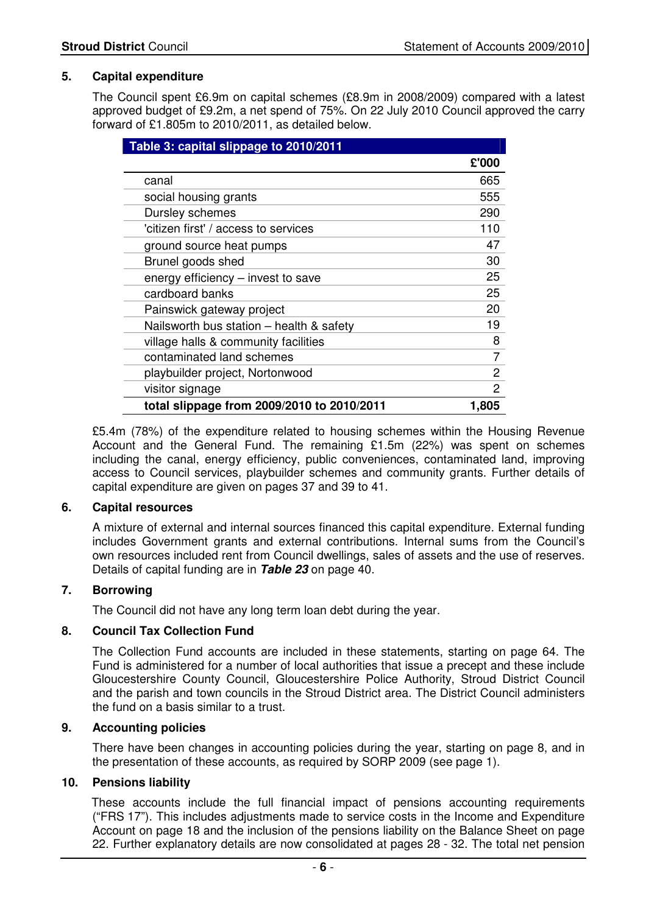#### **5. Capital expenditure**

The Council spent £6.9m on capital schemes (£8.9m in 2008/2009) compared with a latest approved budget of £9.2m, a net spend of 75%. On 22 July 2010 Council approved the carry forward of £1.805m to 2010/2011, as detailed below.

| Table 3: capital slippage to 2010/2011     |       |
|--------------------------------------------|-------|
|                                            | £'000 |
| canal                                      | 665   |
| social housing grants                      | 555   |
| Dursley schemes                            | 290   |
| 'citizen first' / access to services       | 110   |
| ground source heat pumps                   | 47    |
| Brunel goods shed                          | 30    |
| energy efficiency - invest to save         | 25    |
| cardboard banks                            | 25    |
| Painswick gateway project                  | 20    |
| Nailsworth bus station - health & safety   | 19    |
| village halls & community facilities       | 8     |
| contaminated land schemes                  |       |
| playbuilder project, Nortonwood            | 2     |
| visitor signage                            | 2     |
| total slippage from 2009/2010 to 2010/2011 | 1,805 |

£5.4m (78%) of the expenditure related to housing schemes within the Housing Revenue Account and the General Fund. The remaining £1.5m (22%) was spent on schemes including the canal, energy efficiency, public conveniences, contaminated land, improving access to Council services, playbuilder schemes and community grants. Further details of capital expenditure are given on pages 37 and 39 to 41.

#### **6. Capital resources**

A mixture of external and internal sources financed this capital expenditure. External funding includes Government grants and external contributions. Internal sums from the Council's own resources included rent from Council dwellings, sales of assets and the use of reserves. Details of capital funding are in **Table 23** on page 40.

#### **7. Borrowing**

The Council did not have any long term loan debt during the year.

#### **8. Council Tax Collection Fund**

The Collection Fund accounts are included in these statements, starting on page 64. The Fund is administered for a number of local authorities that issue a precept and these include Gloucestershire County Council, Gloucestershire Police Authority, Stroud District Council and the parish and town councils in the Stroud District area. The District Council administers the fund on a basis similar to a trust.

#### **9. Accounting policies**

There have been changes in accounting policies during the year, starting on page 8, and in the presentation of these accounts, as required by SORP 2009 (see page 1).

#### **10. Pensions liability**

 These accounts include the full financial impact of pensions accounting requirements ("FRS 17"). This includes adjustments made to service costs in the Income and Expenditure Account on page 18 and the inclusion of the pensions liability on the Balance Sheet on page 22. Further explanatory details are now consolidated at pages 28 - 32. The total net pension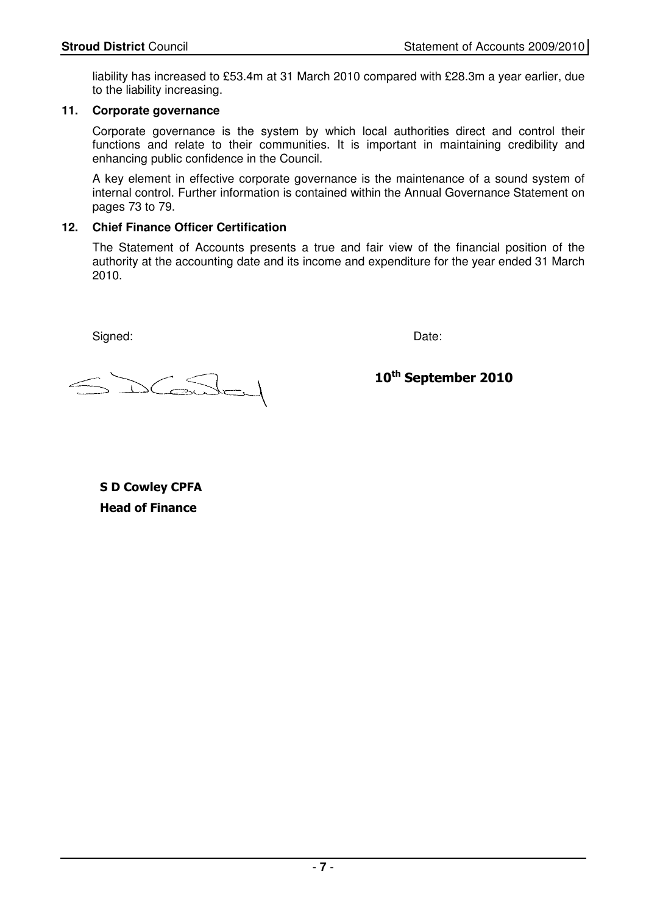liability has increased to £53.4m at 31 March 2010 compared with £28.3m a year earlier, due to the liability increasing.

#### **11. Corporate governance**

 Corporate governance is the system by which local authorities direct and control their functions and relate to their communities. It is important in maintaining credibility and enhancing public confidence in the Council.

 A key element in effective corporate governance is the maintenance of a sound system of internal control. Further information is contained within the Annual Governance Statement on pages 73 to 79.

#### **12. Chief Finance Officer Certification**

The Statement of Accounts presents a true and fair view of the financial position of the authority at the accounting date and its income and expenditure for the year ended 31 March 2010.

Signed: Date:

 $\sqrt{2}$ 

10<sup>th</sup> September 2010

S D Cowley CPFA Head of Finance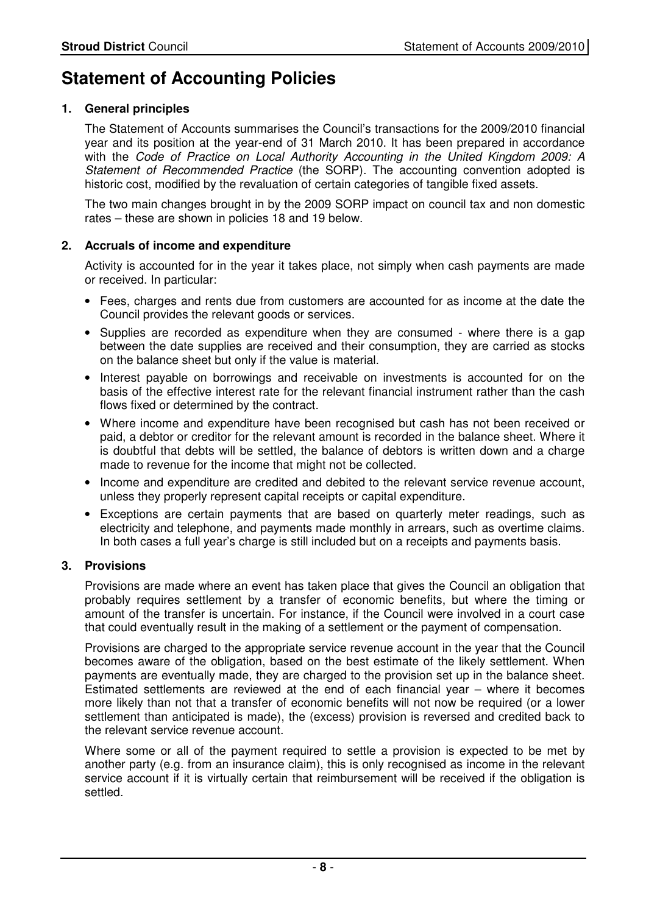## **Statement of Accounting Policies**

#### **1. General principles**

 The Statement of Accounts summarises the Council's transactions for the 2009/2010 financial year and its position at the year-end of 31 March 2010. It has been prepared in accordance with the Code of Practice on Local Authority Accounting in the United Kingdom 2009: A Statement of Recommended Practice (the SORP). The accounting convention adopted is historic cost, modified by the revaluation of certain categories of tangible fixed assets.

 The two main changes brought in by the 2009 SORP impact on council tax and non domestic rates – these are shown in policies 18 and 19 below.

#### **2. Accruals of income and expenditure**

 Activity is accounted for in the year it takes place, not simply when cash payments are made or received. In particular:

- Fees, charges and rents due from customers are accounted for as income at the date the Council provides the relevant goods or services.
- Supplies are recorded as expenditure when they are consumed where there is a gap between the date supplies are received and their consumption, they are carried as stocks on the balance sheet but only if the value is material.
- Interest payable on borrowings and receivable on investments is accounted for on the basis of the effective interest rate for the relevant financial instrument rather than the cash flows fixed or determined by the contract.
- Where income and expenditure have been recognised but cash has not been received or paid, a debtor or creditor for the relevant amount is recorded in the balance sheet. Where it is doubtful that debts will be settled, the balance of debtors is written down and a charge made to revenue for the income that might not be collected.
- Income and expenditure are credited and debited to the relevant service revenue account, unless they properly represent capital receipts or capital expenditure.
- Exceptions are certain payments that are based on quarterly meter readings, such as electricity and telephone, and payments made monthly in arrears, such as overtime claims. In both cases a full year's charge is still included but on a receipts and payments basis.

#### **3. Provisions**

 Provisions are made where an event has taken place that gives the Council an obligation that probably requires settlement by a transfer of economic benefits, but where the timing or amount of the transfer is uncertain. For instance, if the Council were involved in a court case that could eventually result in the making of a settlement or the payment of compensation.

 Provisions are charged to the appropriate service revenue account in the year that the Council becomes aware of the obligation, based on the best estimate of the likely settlement. When payments are eventually made, they are charged to the provision set up in the balance sheet. Estimated settlements are reviewed at the end of each financial year – where it becomes more likely than not that a transfer of economic benefits will not now be required (or a lower settlement than anticipated is made), the (excess) provision is reversed and credited back to the relevant service revenue account.

 Where some or all of the payment required to settle a provision is expected to be met by another party (e.g. from an insurance claim), this is only recognised as income in the relevant service account if it is virtually certain that reimbursement will be received if the obligation is settled.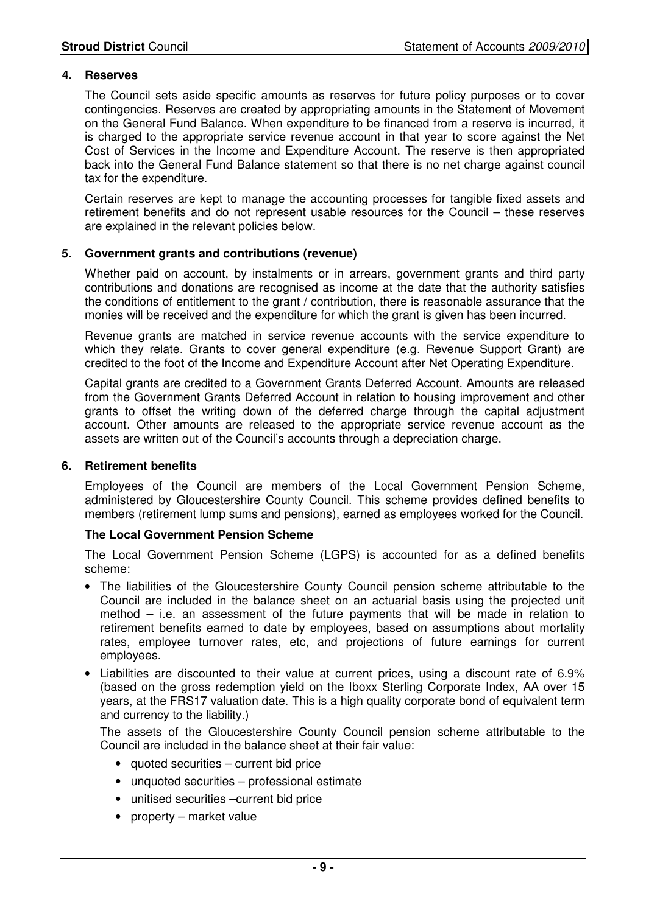#### **4. Reserves**

 The Council sets aside specific amounts as reserves for future policy purposes or to cover contingencies. Reserves are created by appropriating amounts in the Statement of Movement on the General Fund Balance. When expenditure to be financed from a reserve is incurred, it is charged to the appropriate service revenue account in that year to score against the Net Cost of Services in the Income and Expenditure Account. The reserve is then appropriated back into the General Fund Balance statement so that there is no net charge against council tax for the expenditure.

 Certain reserves are kept to manage the accounting processes for tangible fixed assets and retirement benefits and do not represent usable resources for the Council – these reserves are explained in the relevant policies below.

#### **5. Government grants and contributions (revenue)**

 Whether paid on account, by instalments or in arrears, government grants and third party contributions and donations are recognised as income at the date that the authority satisfies the conditions of entitlement to the grant / contribution, there is reasonable assurance that the monies will be received and the expenditure for which the grant is given has been incurred.

 Revenue grants are matched in service revenue accounts with the service expenditure to which they relate. Grants to cover general expenditure (e.g. Revenue Support Grant) are credited to the foot of the Income and Expenditure Account after Net Operating Expenditure.

 Capital grants are credited to a Government Grants Deferred Account. Amounts are released from the Government Grants Deferred Account in relation to housing improvement and other grants to offset the writing down of the deferred charge through the capital adjustment account. Other amounts are released to the appropriate service revenue account as the assets are written out of the Council's accounts through a depreciation charge.

#### **6. Retirement benefits**

 Employees of the Council are members of the Local Government Pension Scheme, administered by Gloucestershire County Council. This scheme provides defined benefits to members (retirement lump sums and pensions), earned as employees worked for the Council.

#### **The Local Government Pension Scheme**

 The Local Government Pension Scheme (LGPS) is accounted for as a defined benefits scheme:

- The liabilities of the Gloucestershire County Council pension scheme attributable to the Council are included in the balance sheet on an actuarial basis using the projected unit method – i.e. an assessment of the future payments that will be made in relation to retirement benefits earned to date by employees, based on assumptions about mortality rates, employee turnover rates, etc, and projections of future earnings for current employees.
- Liabilities are discounted to their value at current prices, using a discount rate of 6.9% (based on the gross redemption yield on the Iboxx Sterling Corporate Index, AA over 15 years, at the FRS17 valuation date. This is a high quality corporate bond of equivalent term and currency to the liability.)

 The assets of the Gloucestershire County Council pension scheme attributable to the Council are included in the balance sheet at their fair value:

- quoted securities current bid price
- unquoted securities professional estimate
- unitised securities –current bid price
- property market value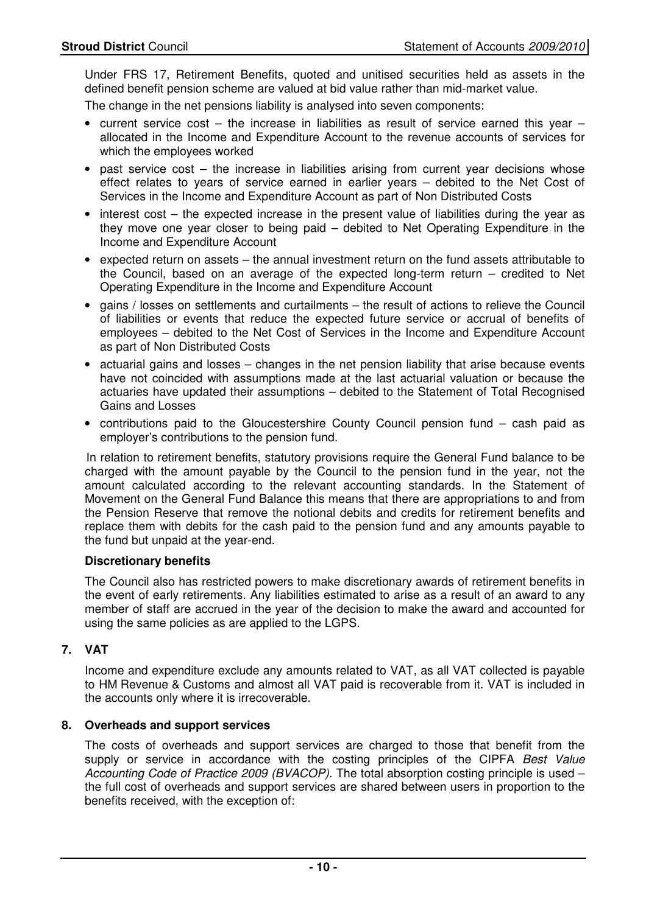Under FRS 17, Retirement Benefits, quoted and unitised securities held as assets in the defined benefit pension scheme are valued at bid value rather than mid-market value.

The change in the net pensions liability is analysed into seven components:

- current service cost  $-$  the increase in liabilities as result of service earned this year  $$ allocated in the Income and Expenditure Account to the revenue accounts of services for which the employees worked
- past service cost the increase in liabilities arising from current year decisions whose effect relates to years of service earned in earlier years – debited to the Net Cost of Services in the Income and Expenditure Account as part of Non Distributed Costs
- interest cost the expected increase in the present value of liabilities during the year as they move one year closer to being paid – debited to Net Operating Expenditure in the Income and Expenditure Account
- expected return on assets the annual investment return on the fund assets attributable to the Council, based on an average of the expected long-term return – credited to Net Operating Expenditure in the Income and Expenditure Account
- gains / losses on settlements and curtailments the result of actions to relieve the Council of liabilities or events that reduce the expected future service or accrual of benefits of employees – debited to the Net Cost of Services in the Income and Expenditure Account as part of Non Distributed Costs
- actuarial gains and losses changes in the net pension liability that arise because events have not coincided with assumptions made at the last actuarial valuation or because the actuaries have updated their assumptions – debited to the Statement of Total Recognised Gains and Losses
- contributions paid to the Gloucestershire County Council pension fund cash paid as employer's contributions to the pension fund.

 In relation to retirement benefits, statutory provisions require the General Fund balance to be charged with the amount payable by the Council to the pension fund in the year, not the amount calculated according to the relevant accounting standards. In the Statement of Movement on the General Fund Balance this means that there are appropriations to and from the Pension Reserve that remove the notional debits and credits for retirement benefits and replace them with debits for the cash paid to the pension fund and any amounts payable to the fund but unpaid at the year-end.

#### **Discretionary benefits**

 The Council also has restricted powers to make discretionary awards of retirement benefits in the event of early retirements. Any liabilities estimated to arise as a result of an award to any member of staff are accrued in the year of the decision to make the award and accounted for using the same policies as are applied to the LGPS.

#### **7. VAT**

 Income and expenditure exclude any amounts related to VAT, as all VAT collected is payable to HM Revenue & Customs and almost all VAT paid is recoverable from it. VAT is included in the accounts only where it is irrecoverable.

#### **8. Overheads and support services**

 The costs of overheads and support services are charged to those that benefit from the supply or service in accordance with the costing principles of the CIPFA Best Value Accounting Code of Practice 2009 (BVACOP). The total absorption costing principle is used – the full cost of overheads and support services are shared between users in proportion to the benefits received, with the exception of: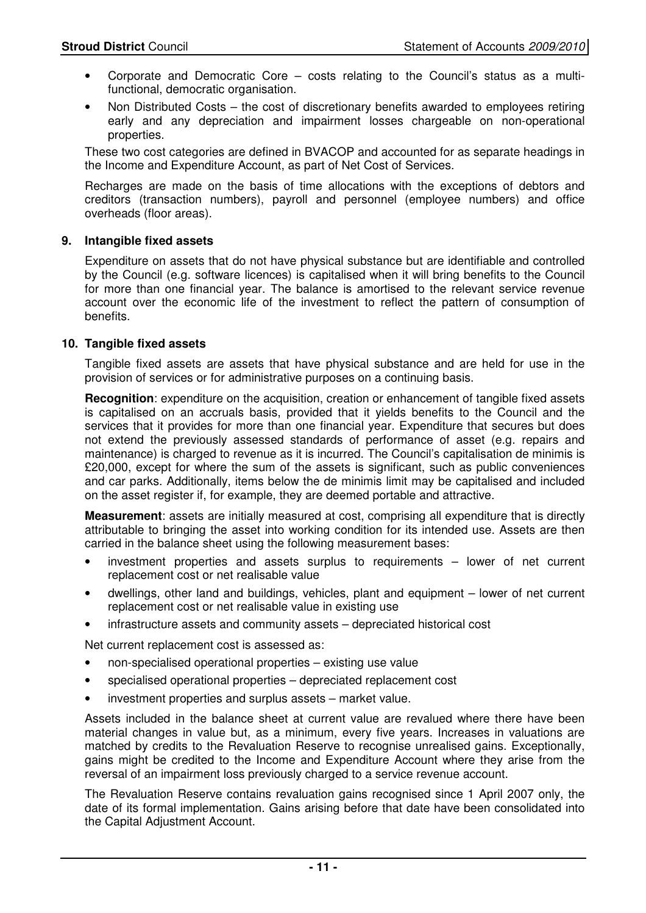- Corporate and Democratic Core costs relating to the Council's status as a multifunctional, democratic organisation.
- Non Distributed Costs the cost of discretionary benefits awarded to employees retiring early and any depreciation and impairment losses chargeable on non-operational properties.

These two cost categories are defined in BVACOP and accounted for as separate headings in the Income and Expenditure Account, as part of Net Cost of Services.

Recharges are made on the basis of time allocations with the exceptions of debtors and creditors (transaction numbers), payroll and personnel (employee numbers) and office overheads (floor areas).

#### **9. Intangible fixed assets**

 Expenditure on assets that do not have physical substance but are identifiable and controlled by the Council (e.g. software licences) is capitalised when it will bring benefits to the Council for more than one financial year. The balance is amortised to the relevant service revenue account over the economic life of the investment to reflect the pattern of consumption of benefits.

#### **10. Tangible fixed assets**

 Tangible fixed assets are assets that have physical substance and are held for use in the provision of services or for administrative purposes on a continuing basis.

**Recognition**: expenditure on the acquisition, creation or enhancement of tangible fixed assets is capitalised on an accruals basis, provided that it yields benefits to the Council and the services that it provides for more than one financial year. Expenditure that secures but does not extend the previously assessed standards of performance of asset (e.g. repairs and maintenance) is charged to revenue as it is incurred. The Council's capitalisation de minimis is £20,000, except for where the sum of the assets is significant, such as public conveniences and car parks. Additionally, items below the de minimis limit may be capitalised and included on the asset register if, for example, they are deemed portable and attractive.

 **Measurement**: assets are initially measured at cost, comprising all expenditure that is directly attributable to bringing the asset into working condition for its intended use. Assets are then carried in the balance sheet using the following measurement bases:

- investment properties and assets surplus to requirements lower of net current replacement cost or net realisable value
- dwellings, other land and buildings, vehicles, plant and equipment lower of net current replacement cost or net realisable value in existing use
- infrastructure assets and community assets depreciated historical cost

Net current replacement cost is assessed as:

- non-specialised operational properties existing use value
- specialised operational properties depreciated replacement cost
- investment properties and surplus assets market value.

 Assets included in the balance sheet at current value are revalued where there have been material changes in value but, as a minimum, every five years. Increases in valuations are matched by credits to the Revaluation Reserve to recognise unrealised gains. Exceptionally, gains might be credited to the Income and Expenditure Account where they arise from the reversal of an impairment loss previously charged to a service revenue account.

 The Revaluation Reserve contains revaluation gains recognised since 1 April 2007 only, the date of its formal implementation. Gains arising before that date have been consolidated into the Capital Adjustment Account.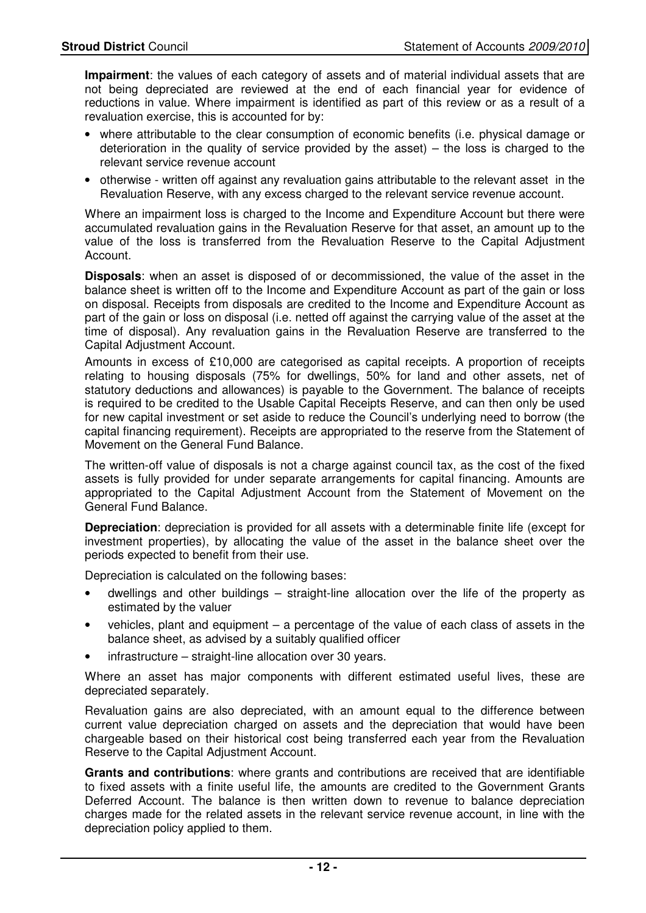**Impairment**: the values of each category of assets and of material individual assets that are not being depreciated are reviewed at the end of each financial year for evidence of reductions in value. Where impairment is identified as part of this review or as a result of a revaluation exercise, this is accounted for by:

- where attributable to the clear consumption of economic benefits (i.e. physical damage or deterioration in the quality of service provided by the asset) – the loss is charged to the relevant service revenue account
- otherwise written off against any revaluation gains attributable to the relevant asset in the Revaluation Reserve, with any excess charged to the relevant service revenue account.

Where an impairment loss is charged to the Income and Expenditure Account but there were accumulated revaluation gains in the Revaluation Reserve for that asset, an amount up to the value of the loss is transferred from the Revaluation Reserve to the Capital Adjustment Account.

 **Disposals**: when an asset is disposed of or decommissioned, the value of the asset in the balance sheet is written off to the Income and Expenditure Account as part of the gain or loss on disposal. Receipts from disposals are credited to the Income and Expenditure Account as part of the gain or loss on disposal (i.e. netted off against the carrying value of the asset at the time of disposal). Any revaluation gains in the Revaluation Reserve are transferred to the Capital Adjustment Account.

Amounts in excess of £10,000 are categorised as capital receipts. A proportion of receipts relating to housing disposals (75% for dwellings, 50% for land and other assets, net of statutory deductions and allowances) is payable to the Government. The balance of receipts is required to be credited to the Usable Capital Receipts Reserve, and can then only be used for new capital investment or set aside to reduce the Council's underlying need to borrow (the capital financing requirement). Receipts are appropriated to the reserve from the Statement of Movement on the General Fund Balance.

 The written-off value of disposals is not a charge against council tax, as the cost of the fixed assets is fully provided for under separate arrangements for capital financing. Amounts are appropriated to the Capital Adjustment Account from the Statement of Movement on the General Fund Balance.

**Depreciation**: depreciation is provided for all assets with a determinable finite life (except for investment properties), by allocating the value of the asset in the balance sheet over the periods expected to benefit from their use.

Depreciation is calculated on the following bases:

- dwellings and other buildings straight-line allocation over the life of the property as estimated by the valuer
- vehicles, plant and equipment  $-$  a percentage of the value of each class of assets in the balance sheet, as advised by a suitably qualified officer
- infrastructure straight-line allocation over 30 years.

 Where an asset has major components with different estimated useful lives, these are depreciated separately.

 Revaluation gains are also depreciated, with an amount equal to the difference between current value depreciation charged on assets and the depreciation that would have been chargeable based on their historical cost being transferred each year from the Revaluation Reserve to the Capital Adjustment Account.

**Grants and contributions**: where grants and contributions are received that are identifiable to fixed assets with a finite useful life, the amounts are credited to the Government Grants Deferred Account. The balance is then written down to revenue to balance depreciation charges made for the related assets in the relevant service revenue account, in line with the depreciation policy applied to them.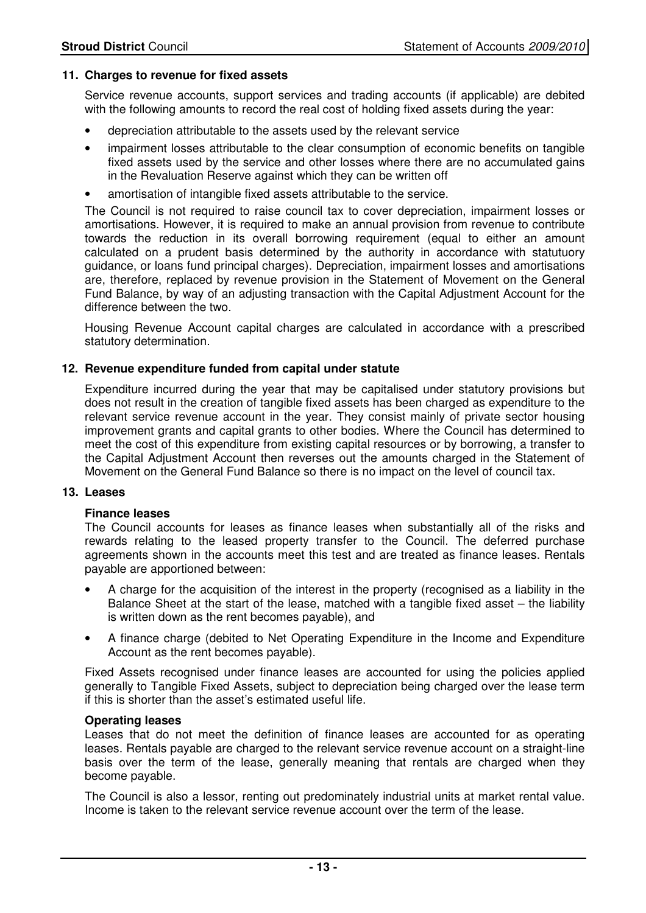#### **11. Charges to revenue for fixed assets**

Service revenue accounts, support services and trading accounts (if applicable) are debited with the following amounts to record the real cost of holding fixed assets during the year:

- depreciation attributable to the assets used by the relevant service
- impairment losses attributable to the clear consumption of economic benefits on tangible fixed assets used by the service and other losses where there are no accumulated gains in the Revaluation Reserve against which they can be written off
- amortisation of intangible fixed assets attributable to the service.

The Council is not required to raise council tax to cover depreciation, impairment losses or amortisations. However, it is required to make an annual provision from revenue to contribute towards the reduction in its overall borrowing requirement (equal to either an amount calculated on a prudent basis determined by the authority in accordance with statutuory guidance, or loans fund principal charges). Depreciation, impairment losses and amortisations are, therefore, replaced by revenue provision in the Statement of Movement on the General Fund Balance, by way of an adjusting transaction with the Capital Adjustment Account for the difference between the two.

 Housing Revenue Account capital charges are calculated in accordance with a prescribed statutory determination.

#### **12. Revenue expenditure funded from capital under statute**

 Expenditure incurred during the year that may be capitalised under statutory provisions but does not result in the creation of tangible fixed assets has been charged as expenditure to the relevant service revenue account in the year. They consist mainly of private sector housing improvement grants and capital grants to other bodies. Where the Council has determined to meet the cost of this expenditure from existing capital resources or by borrowing, a transfer to the Capital Adjustment Account then reverses out the amounts charged in the Statement of Movement on the General Fund Balance so there is no impact on the level of council tax.

#### **13. Leases**

#### **Finance leases**

 The Council accounts for leases as finance leases when substantially all of the risks and rewards relating to the leased property transfer to the Council. The deferred purchase agreements shown in the accounts meet this test and are treated as finance leases. Rentals payable are apportioned between:

- A charge for the acquisition of the interest in the property (recognised as a liability in the Balance Sheet at the start of the lease, matched with a tangible fixed asset – the liability is written down as the rent becomes payable), and
- A finance charge (debited to Net Operating Expenditure in the Income and Expenditure Account as the rent becomes payable).

Fixed Assets recognised under finance leases are accounted for using the policies applied generally to Tangible Fixed Assets, subject to depreciation being charged over the lease term if this is shorter than the asset's estimated useful life.

#### **Operating leases**

 Leases that do not meet the definition of finance leases are accounted for as operating leases. Rentals payable are charged to the relevant service revenue account on a straight-line basis over the term of the lease, generally meaning that rentals are charged when they become payable.

 The Council is also a lessor, renting out predominately industrial units at market rental value. Income is taken to the relevant service revenue account over the term of the lease.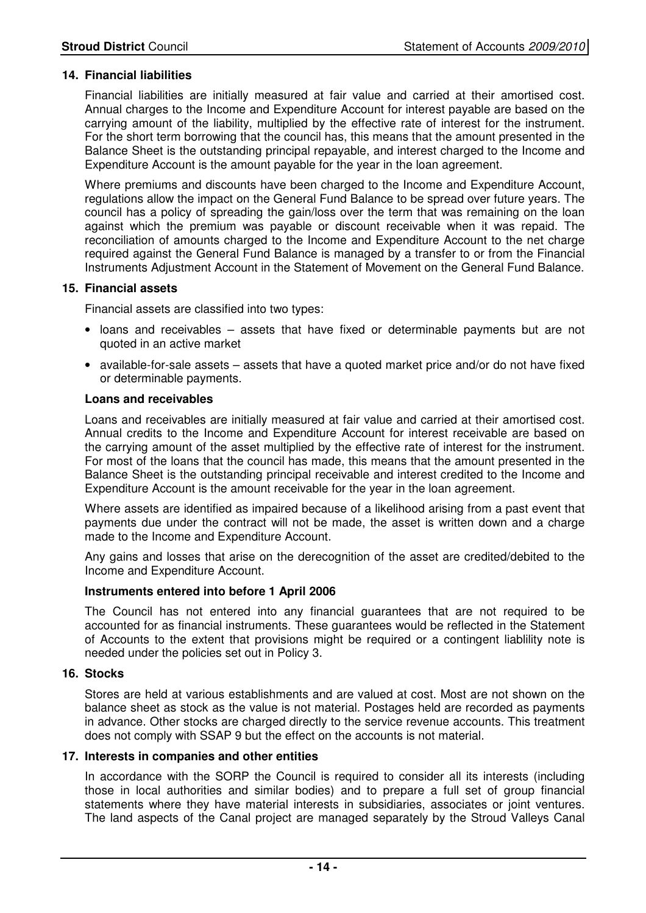#### **14. Financial liabilities**

Financial liabilities are initially measured at fair value and carried at their amortised cost. Annual charges to the Income and Expenditure Account for interest payable are based on the carrying amount of the liability, multiplied by the effective rate of interest for the instrument. For the short term borrowing that the council has, this means that the amount presented in the Balance Sheet is the outstanding principal repayable, and interest charged to the Income and Expenditure Account is the amount payable for the year in the loan agreement.

 Where premiums and discounts have been charged to the Income and Expenditure Account, regulations allow the impact on the General Fund Balance to be spread over future years. The council has a policy of spreading the gain/loss over the term that was remaining on the loan against which the premium was payable or discount receivable when it was repaid. The reconciliation of amounts charged to the Income and Expenditure Account to the net charge required against the General Fund Balance is managed by a transfer to or from the Financial Instruments Adjustment Account in the Statement of Movement on the General Fund Balance.

#### **15. Financial assets**

Financial assets are classified into two types:

- loans and receivables assets that have fixed or determinable payments but are not quoted in an active market
- available-for-sale assets assets that have a quoted market price and/or do not have fixed or determinable payments.

#### **Loans and receivables**

Loans and receivables are initially measured at fair value and carried at their amortised cost. Annual credits to the Income and Expenditure Account for interest receivable are based on the carrying amount of the asset multiplied by the effective rate of interest for the instrument. For most of the loans that the council has made, this means that the amount presented in the Balance Sheet is the outstanding principal receivable and interest credited to the Income and Expenditure Account is the amount receivable for the year in the loan agreement.

Where assets are identified as impaired because of a likelihood arising from a past event that payments due under the contract will not be made, the asset is written down and a charge made to the Income and Expenditure Account.

Any gains and losses that arise on the derecognition of the asset are credited/debited to the Income and Expenditure Account.

#### **Instruments entered into before 1 April 2006**

The Council has not entered into any financial guarantees that are not required to be accounted for as financial instruments. These guarantees would be reflected in the Statement of Accounts to the extent that provisions might be required or a contingent liablility note is needed under the policies set out in Policy 3.

#### **16. Stocks**

 Stores are held at various establishments and are valued at cost. Most are not shown on the balance sheet as stock as the value is not material. Postages held are recorded as payments in advance. Other stocks are charged directly to the service revenue accounts. This treatment does not comply with SSAP 9 but the effect on the accounts is not material.

#### **17. Interests in companies and other entities**

 In accordance with the SORP the Council is required to consider all its interests (including those in local authorities and similar bodies) and to prepare a full set of group financial statements where they have material interests in subsidiaries, associates or joint ventures. The land aspects of the Canal project are managed separately by the Stroud Valleys Canal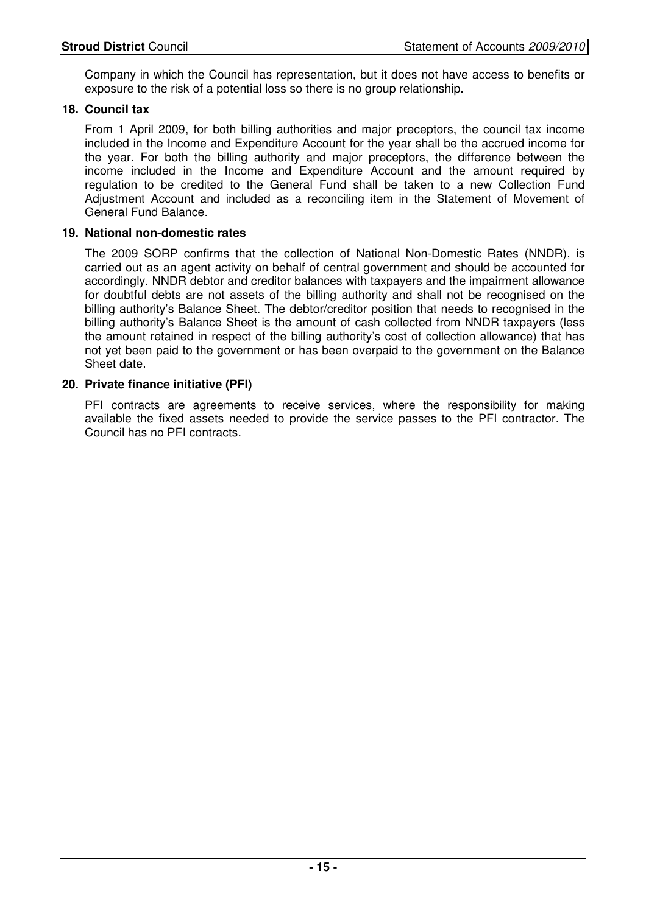Company in which the Council has representation, but it does not have access to benefits or exposure to the risk of a potential loss so there is no group relationship.

#### **18. Council tax**

From 1 April 2009, for both billing authorities and major preceptors, the council tax income included in the Income and Expenditure Account for the year shall be the accrued income for the year. For both the billing authority and major preceptors, the difference between the income included in the Income and Expenditure Account and the amount required by regulation to be credited to the General Fund shall be taken to a new Collection Fund Adjustment Account and included as a reconciling item in the Statement of Movement of General Fund Balance.

#### **19. National non-domestic rates**

The 2009 SORP confirms that the collection of National Non-Domestic Rates (NNDR), is carried out as an agent activity on behalf of central government and should be accounted for accordingly. NNDR debtor and creditor balances with taxpayers and the impairment allowance for doubtful debts are not assets of the billing authority and shall not be recognised on the billing authority's Balance Sheet. The debtor/creditor position that needs to recognised in the billing authority's Balance Sheet is the amount of cash collected from NNDR taxpayers (less the amount retained in respect of the billing authority's cost of collection allowance) that has not yet been paid to the government or has been overpaid to the government on the Balance Sheet date.

#### **20. Private finance initiative (PFI)**

 PFI contracts are agreements to receive services, where the responsibility for making available the fixed assets needed to provide the service passes to the PFI contractor. The Council has no PFI contracts.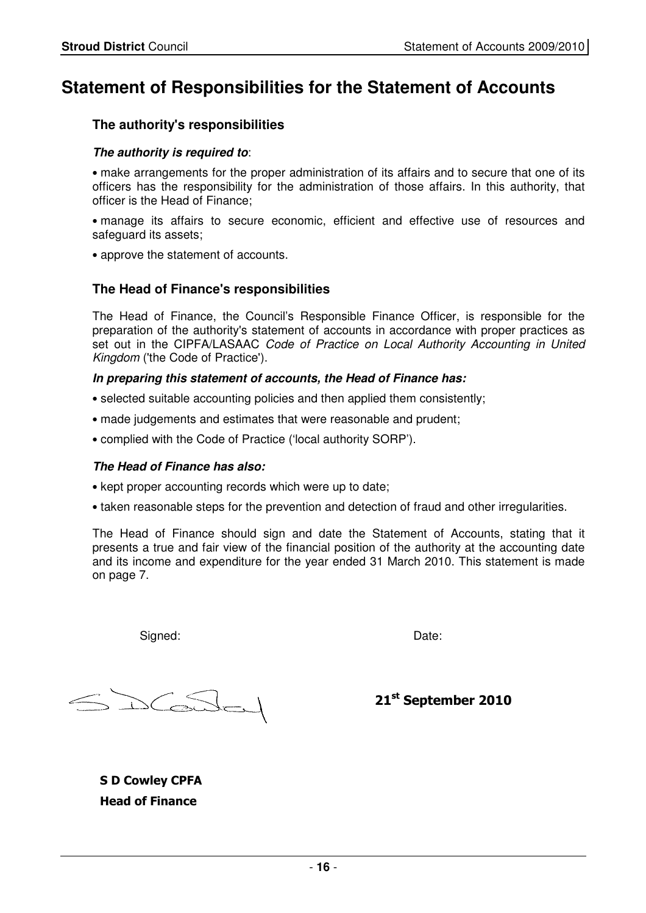## **Statement of Responsibilities for the Statement of Accounts**

#### **The authority's responsibilities**

#### **The authority is required to**:

• make arrangements for the proper administration of its affairs and to secure that one of its officers has the responsibility for the administration of those affairs. In this authority, that officer is the Head of Finance;

• manage its affairs to secure economic, efficient and effective use of resources and safeguard its assets;

• approve the statement of accounts.

#### **The Head of Finance's responsibilities**

The Head of Finance, the Council's Responsible Finance Officer, is responsible for the preparation of the authority's statement of accounts in accordance with proper practices as set out in the CIPFA/LASAAC Code of Practice on Local Authority Accounting in United Kingdom ('the Code of Practice').

#### **In preparing this statement of accounts, the Head of Finance has:**

- selected suitable accounting policies and then applied them consistently;
- made judgements and estimates that were reasonable and prudent;
- complied with the Code of Practice ('local authority SORP').

#### **The Head of Finance has also:**

- kept proper accounting records which were up to date;
- taken reasonable steps for the prevention and detection of fraud and other irregularities.

The Head of Finance should sign and date the Statement of Accounts, stating that it presents a true and fair view of the financial position of the authority at the accounting date and its income and expenditure for the year ended 31 March 2010. This statement is made on page 7.

Signed: We are also as a set of the Date: Date:

CeSSer

21<sup>st</sup> September 2010

S D Cowley CPFA Head of Finance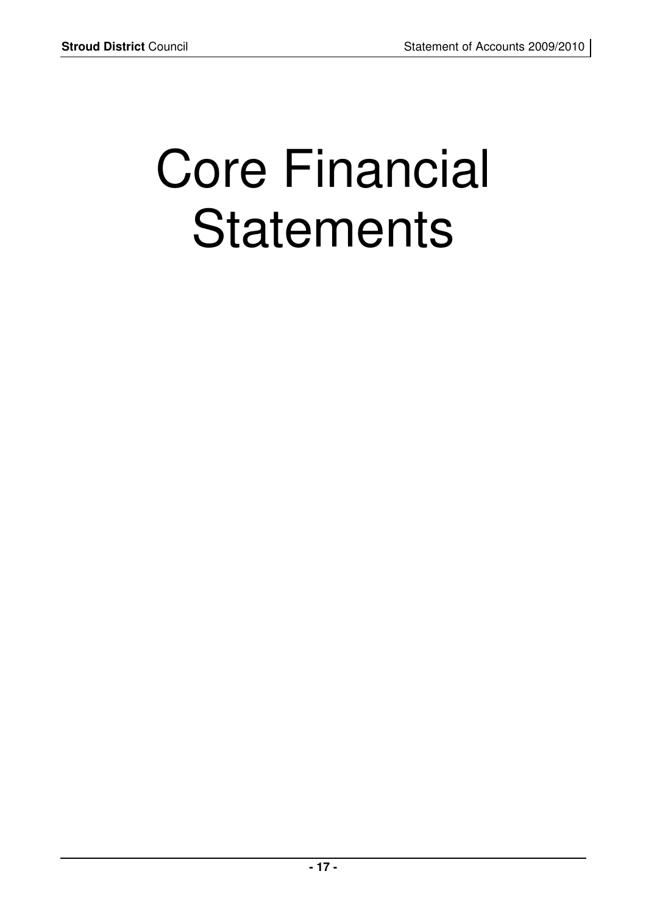# Core Financial **Statements**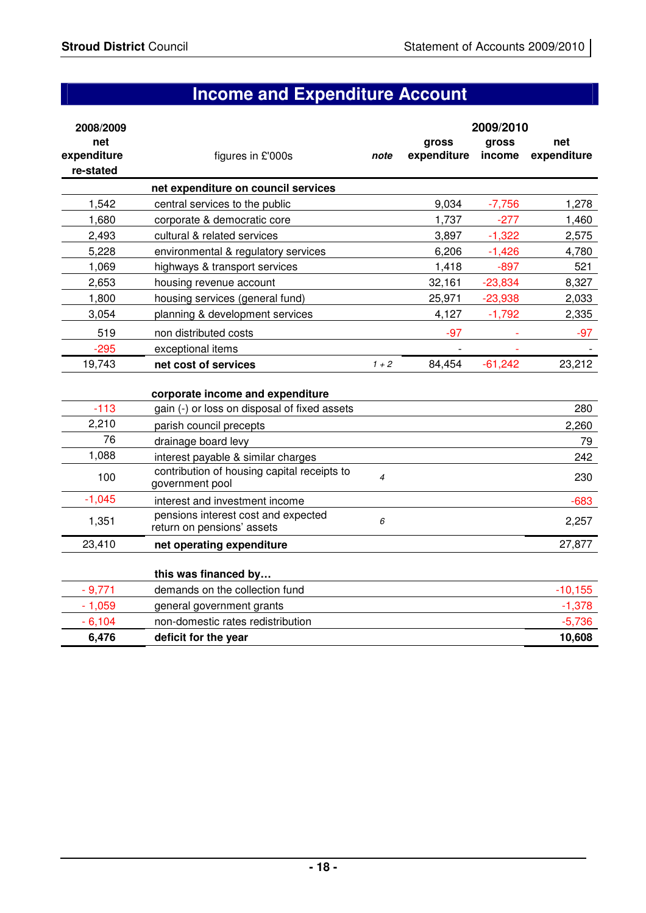# **Income and Expenditure Account**

| 2008/2009   |                                                                                  |                          |             | 2009/2010 |             |
|-------------|----------------------------------------------------------------------------------|--------------------------|-------------|-----------|-------------|
| net         |                                                                                  |                          | gross       | gross     | net         |
| expenditure | figures in £'000s                                                                | note                     | expenditure | income    | expenditure |
| re-stated   |                                                                                  |                          |             |           |             |
|             | net expenditure on council services                                              |                          |             |           |             |
| 1,542       | central services to the public                                                   |                          | 9,034       | $-7,756$  | 1,278       |
| 1,680       | corporate & democratic core                                                      |                          | 1,737       | $-277$    | 1,460       |
| 2,493       | cultural & related services                                                      |                          | 3,897       | $-1,322$  | 2,575       |
| 5,228       | environmental & regulatory services                                              |                          | 6,206       | $-1,426$  | 4,780       |
| 1,069       | highways & transport services                                                    |                          | 1,418       | $-897$    | 521         |
| 2,653       | housing revenue account                                                          |                          | 32,161      | $-23,834$ | 8,327       |
| 1,800       | housing services (general fund)                                                  |                          | 25,971      | $-23,938$ | 2,033       |
| 3,054       | planning & development services                                                  |                          | 4,127       | $-1,792$  | 2,335       |
| 519         | non distributed costs                                                            |                          | $-97$       |           | $-97$       |
| $-295$      | exceptional items                                                                |                          |             |           |             |
| 19,743      | net cost of services                                                             | $1 + 2$                  | 84,454      | $-61,242$ | 23,212      |
|             |                                                                                  |                          |             |           |             |
| $-113$      | corporate income and expenditure<br>gain (-) or loss on disposal of fixed assets |                          |             |           | 280         |
| 2,210       |                                                                                  |                          |             |           |             |
| 76          | parish council precepts                                                          |                          |             |           | 2,260       |
| 1,088       | drainage board levy                                                              |                          |             |           | 79          |
|             | interest payable & similar charges                                               |                          |             |           | 242         |
| 100         | contribution of housing capital receipts to<br>government pool                   | $\overline{\mathcal{A}}$ |             |           | 230         |
| $-1,045$    | interest and investment income                                                   |                          |             |           | $-683$      |
| 1,351       | pensions interest cost and expected<br>return on pensions' assets                | 6                        |             |           | 2,257       |
| 23,410      | net operating expenditure                                                        |                          |             |           | 27,877      |
|             |                                                                                  |                          |             |           |             |
|             | this was financed by                                                             |                          |             |           |             |
| $-9,771$    | demands on the collection fund                                                   |                          |             |           | $-10,155$   |
| $-1,059$    | general government grants                                                        |                          |             |           | $-1,378$    |
| $-6,104$    | non-domestic rates redistribution                                                |                          |             |           | $-5,736$    |
| 6,476       | deficit for the year                                                             |                          |             |           | 10,608      |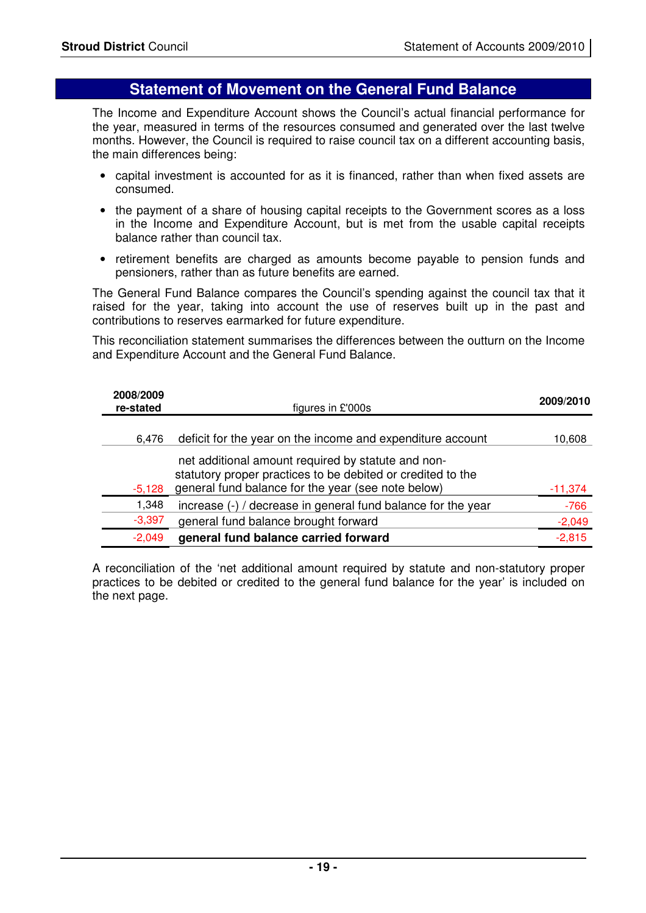### **Statement of Movement on the General Fund Balance**

 The Income and Expenditure Account shows the Council's actual financial performance for the year, measured in terms of the resources consumed and generated over the last twelve months. However, the Council is required to raise council tax on a different accounting basis, the main differences being:

- capital investment is accounted for as it is financed, rather than when fixed assets are consumed.
- the payment of a share of housing capital receipts to the Government scores as a loss in the Income and Expenditure Account, but is met from the usable capital receipts balance rather than council tax.
- retirement benefits are charged as amounts become payable to pension funds and pensioners, rather than as future benefits are earned.

 The General Fund Balance compares the Council's spending against the council tax that it raised for the year, taking into account the use of reserves built up in the past and contributions to reserves earmarked for future expenditure.

 This reconciliation statement summarises the differences between the outturn on the Income and Expenditure Account and the General Fund Balance.

| 2008/2009<br>re-stated | figures in £'000s                                            | 2009/2010 |
|------------------------|--------------------------------------------------------------|-----------|
| 6.476                  | deficit for the year on the income and expenditure account   | 10.608    |
|                        | net additional amount required by statute and non-           |           |
|                        | statutory proper practices to be debited or credited to the  |           |
| $-5,128$               | general fund balance for the year (see note below)           | $-11,374$ |
| 1,348                  | increase (-) / decrease in general fund balance for the year | $-766$    |
| $-3,397$               | general fund balance brought forward                         | $-2,049$  |
| $-2,049$               | general fund balance carried forward                         | $-2,815$  |

 A reconciliation of the 'net additional amount required by statute and non-statutory proper practices to be debited or credited to the general fund balance for the year' is included on the next page.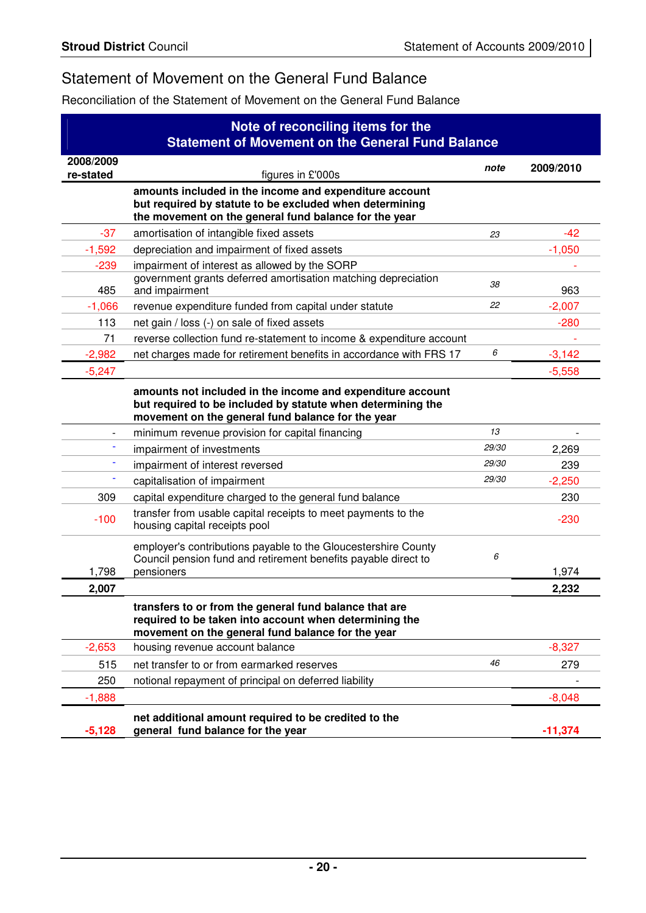## Statement of Movement on the General Fund Balance

Reconciliation of the Statement of Movement on the General Fund Balance

|           | Note of reconciling items for the<br><b>Statement of Movement on the General Fund Balance</b>                                                                                  |       |           |
|-----------|--------------------------------------------------------------------------------------------------------------------------------------------------------------------------------|-------|-----------|
| 2008/2009 |                                                                                                                                                                                | note  | 2009/2010 |
| re-stated | figures in £'000s                                                                                                                                                              |       |           |
|           | amounts included in the income and expenditure account<br>but required by statute to be excluded when determining                                                              |       |           |
|           | the movement on the general fund balance for the year                                                                                                                          |       |           |
| $-37$     | amortisation of intangible fixed assets                                                                                                                                        | 23    | $-42$     |
| $-1,592$  | depreciation and impairment of fixed assets                                                                                                                                    |       | $-1,050$  |
| $-239$    | impairment of interest as allowed by the SORP                                                                                                                                  |       |           |
| 485       | government grants deferred amortisation matching depreciation<br>and impairment                                                                                                | 38    | 963       |
| $-1,066$  | revenue expenditure funded from capital under statute                                                                                                                          | 22    | $-2,007$  |
| 113       | net gain / loss (-) on sale of fixed assets                                                                                                                                    |       | $-280$    |
| 71        | reverse collection fund re-statement to income & expenditure account                                                                                                           |       |           |
| $-2,982$  | net charges made for retirement benefits in accordance with FRS 17                                                                                                             | 6     | $-3,142$  |
| $-5,247$  |                                                                                                                                                                                |       | $-5,558$  |
|           | amounts not included in the income and expenditure account<br>but required to be included by statute when determining the<br>movement on the general fund balance for the year |       |           |
|           | minimum revenue provision for capital financing                                                                                                                                | 13    |           |
|           | impairment of investments                                                                                                                                                      | 29/30 | 2,269     |
|           | impairment of interest reversed                                                                                                                                                | 29/30 | 239       |
|           | capitalisation of impairment                                                                                                                                                   | 29/30 | $-2,250$  |
| 309       | capital expenditure charged to the general fund balance                                                                                                                        |       | 230       |
| $-100$    | transfer from usable capital receipts to meet payments to the<br>housing capital receipts pool                                                                                 |       | $-230$    |
|           | employer's contributions payable to the Gloucestershire County<br>Council pension fund and retirement benefits payable direct to                                               | 6     |           |
| 1,798     | pensioners                                                                                                                                                                     |       | 1,974     |
| 2,007     |                                                                                                                                                                                |       | 2,232     |
|           | transfers to or from the general fund balance that are<br>required to be taken into account when determining the<br>movement on the general fund balance for the year          |       |           |
| $-2,653$  | housing revenue account balance                                                                                                                                                |       | $-8,327$  |
| 515       | net transfer to or from earmarked reserves                                                                                                                                     | 46    | 279       |
| 250       | notional repayment of principal on deferred liability                                                                                                                          |       |           |
| $-1,888$  |                                                                                                                                                                                |       | $-8,048$  |
| $-5,128$  | net additional amount required to be credited to the<br>general fund balance for the year                                                                                      |       | $-11,374$ |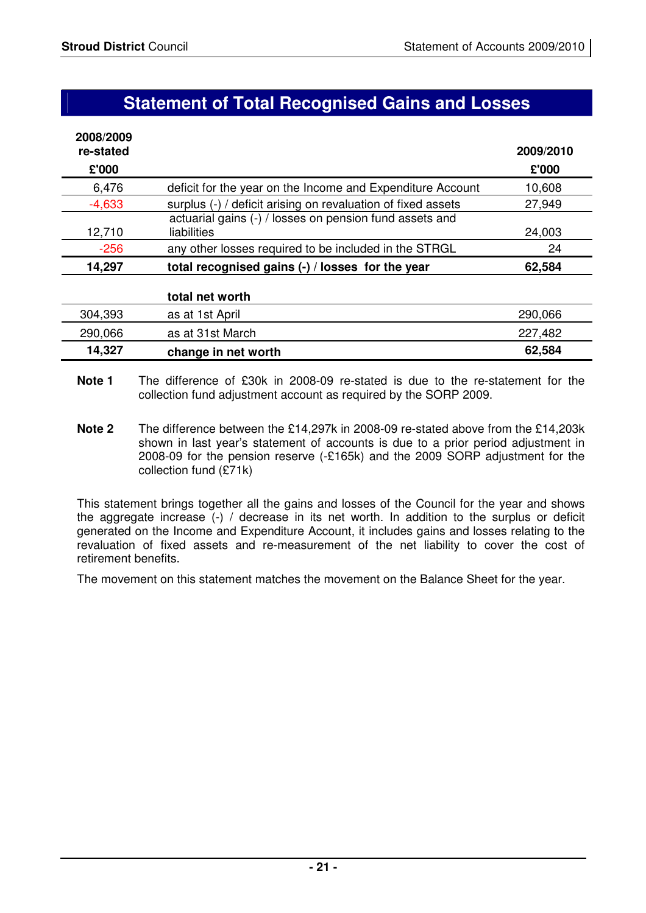## **Statement of Total Recognised Gains and Losses**

| 2008/2009 |                                                              |           |
|-----------|--------------------------------------------------------------|-----------|
| re-stated |                                                              | 2009/2010 |
| £'000     |                                                              | £'000     |
| 6,476     | deficit for the year on the Income and Expenditure Account   | 10,608    |
| $-4,633$  | surplus (-) / deficit arising on revaluation of fixed assets | 27,949    |
|           | actuarial gains (-) / losses on pension fund assets and      |           |
| 12,710    | liabilities                                                  | 24,003    |
| $-256$    | any other losses required to be included in the STRGL        | 24        |
| 14,297    | total recognised gains (-) / losses for the year             | 62,584    |

| 304,393 | as at 1st April     | 290,066 |
|---------|---------------------|---------|
| 290,066 | as at 31st March    | 227,482 |
| 14,327  | change in net worth | 62,584  |

- **Note 1** The difference of £30k in 2008-09 re-stated is due to the re-statement for the collection fund adjustment account as required by the SORP 2009.
- **Note 2** The difference between the £14,297k in 2008-09 re-stated above from the £14,203k shown in last year's statement of accounts is due to a prior period adjustment in 2008-09 for the pension reserve (-£165k) and the 2009 SORP adjustment for the collection fund (£71k)

This statement brings together all the gains and losses of the Council for the year and shows the aggregate increase (-) / decrease in its net worth. In addition to the surplus or deficit generated on the Income and Expenditure Account, it includes gains and losses relating to the revaluation of fixed assets and re-measurement of the net liability to cover the cost of retirement benefits.

The movement on this statement matches the movement on the Balance Sheet for the year.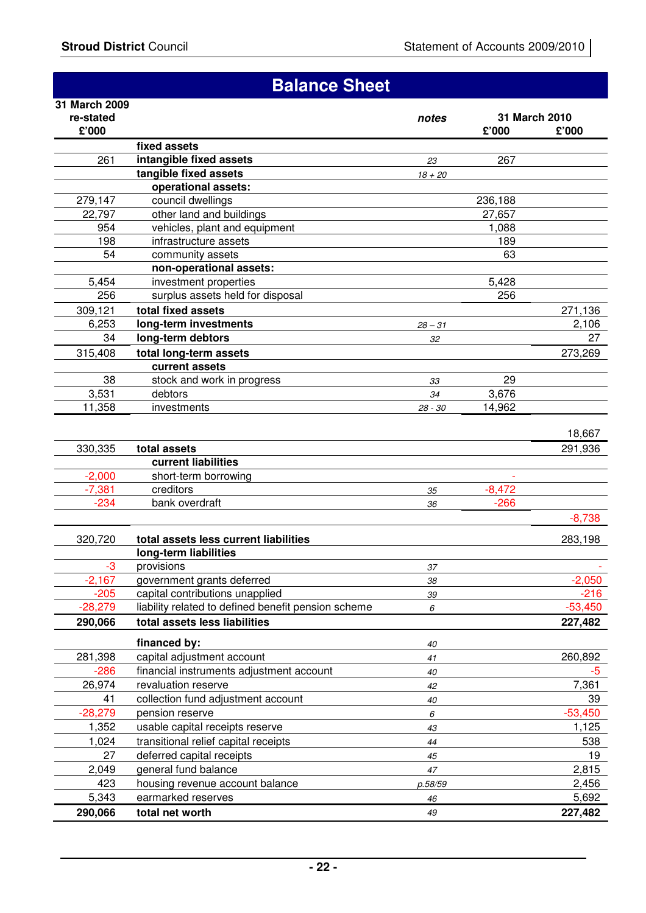|                    | <b>Balance Sheet</b>                                |           |                        |                    |
|--------------------|-----------------------------------------------------|-----------|------------------------|--------------------|
| 31 March 2009      |                                                     |           |                        |                    |
| re-stated<br>£'000 |                                                     | notes     | 31 March 2010<br>£'000 | £'000              |
|                    | fixed assets                                        |           |                        |                    |
| 261                | intangible fixed assets                             | 23        | 267                    |                    |
|                    | tangible fixed assets                               | $18 + 20$ |                        |                    |
|                    | operational assets:                                 |           |                        |                    |
| 279,147            | council dwellings                                   |           | 236,188                |                    |
| 22,797             | other land and buildings                            |           | 27,657                 |                    |
| 954                | vehicles, plant and equipment                       |           | 1,088                  |                    |
| 198                | infrastructure assets                               |           | 189                    |                    |
| 54                 | community assets                                    |           | 63                     |                    |
|                    | non-operational assets:                             |           |                        |                    |
| 5,454              | investment properties                               |           | 5,428                  |                    |
| 256                | surplus assets held for disposal                    |           | 256                    |                    |
| 309,121            | total fixed assets                                  |           |                        | 271,136            |
| 6,253              | long-term investments                               | $28 - 31$ |                        | 2,106              |
| 34                 | long-term debtors                                   | 32        |                        | 27                 |
| 315,408            | total long-term assets                              |           |                        | 273,269            |
|                    | current assets                                      |           |                        |                    |
| 38                 | stock and work in progress                          | 33        | 29                     |                    |
| 3,531              | debtors                                             | 34        | 3,676                  |                    |
| 11,358             | investments                                         | 28 - 30   | 14,962                 |                    |
|                    |                                                     |           |                        |                    |
|                    |                                                     |           |                        | 18,667             |
| 330,335            | total assets                                        |           |                        | 291,936            |
|                    | current liabilities                                 |           |                        |                    |
| $-2,000$           | short-term borrowing                                |           |                        |                    |
| $-7,381$           | creditors                                           | 35        | $-8,472$               |                    |
| $-234$             | bank overdraft                                      | 36        | $-266$                 |                    |
|                    |                                                     |           |                        | $-8,738$           |
| 320,720            | total assets less current liabilities               |           |                        | 283,198            |
|                    | long-term liabilities                               |           |                        |                    |
| $-3$               | provisions                                          | 37        |                        |                    |
| $-2,167$           | government grants deferred                          | 38        |                        | $-2,050$           |
| $-205$             | capital contributions unapplied                     | 39        |                        | $-216$             |
| $-28,279$          | liability related to defined benefit pension scheme | 6         |                        | $-53,450$          |
| 290,066            | total assets less liabilities                       |           |                        | 227,482            |
|                    | financed by:                                        |           |                        |                    |
| 281,398            | capital adjustment account                          | 40<br>41  |                        | 260,892            |
| $-286$             | financial instruments adjustment account            |           |                        |                    |
|                    | revaluation reserve                                 | 40        |                        | -5                 |
| 26,974             |                                                     | 42        |                        | 7,361              |
| 41                 | collection fund adjustment account                  | 40        |                        | 39                 |
| $-28,279$<br>1,352 | pension reserve<br>usable capital receipts reserve  | 6         |                        | $-53,450$<br>1,125 |
| 1,024              | transitional relief capital receipts                | 43        |                        | 538                |
| 27                 | deferred capital receipts                           | 44        |                        | 19                 |
| 2,049              | general fund balance                                | 45        |                        | 2,815              |
| 423                | housing revenue account balance                     | 47        |                        | 2,456              |
| 5,343              | earmarked reserves                                  | p.58/59   |                        | 5,692              |
|                    |                                                     | 46<br>49  |                        |                    |
| 290,066            | total net worth                                     |           |                        | 227,482            |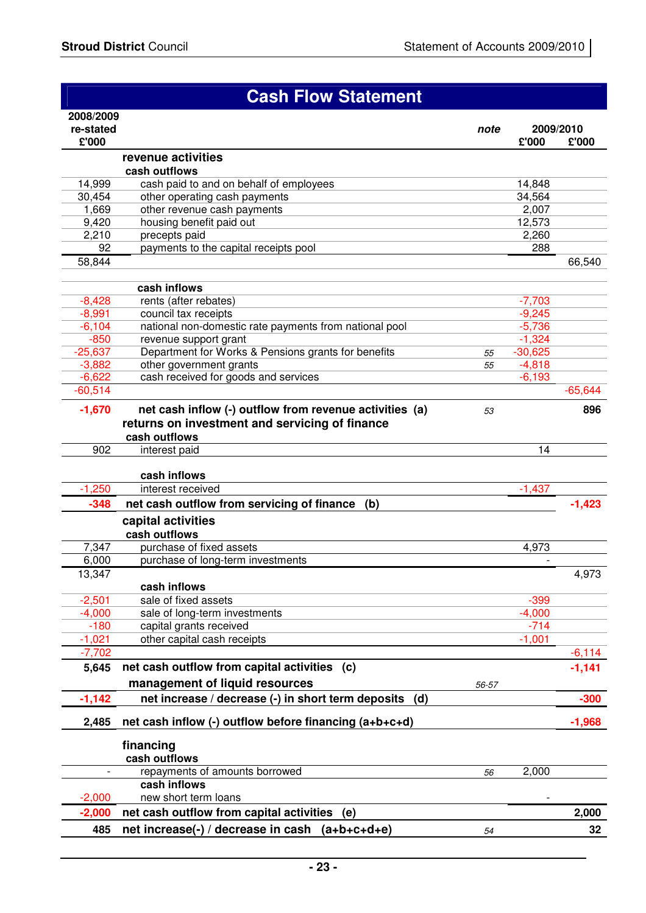|                     | <b>Cash Flow Statement</b>                                                   |          |                       |                    |
|---------------------|------------------------------------------------------------------------------|----------|-----------------------|--------------------|
| 2008/2009           |                                                                              |          |                       |                    |
| re-stated<br>£'000  |                                                                              | note     | £'000                 | 2009/2010<br>£'000 |
|                     | revenue activities                                                           |          |                       |                    |
|                     | cash outflows                                                                |          |                       |                    |
| 14,999              | cash paid to and on behalf of employees                                      |          | 14,848                |                    |
| 30,454              | other operating cash payments                                                |          | 34,564                |                    |
| 1,669<br>9,420      | other revenue cash payments<br>housing benefit paid out                      |          | 2,007<br>12,573       |                    |
| 2,210               | precepts paid                                                                |          | 2,260                 |                    |
| 92                  | payments to the capital receipts pool                                        |          | 288                   |                    |
| 58,844              |                                                                              |          |                       | 66,540             |
|                     |                                                                              |          |                       |                    |
|                     | cash inflows                                                                 |          |                       |                    |
| $-8,428$            | rents (after rebates)                                                        |          | $-7,703$              |                    |
| $-8,991$            | council tax receipts                                                         |          | $-9,245$              |                    |
| $-6,104$            | national non-domestic rate payments from national pool                       |          | $-5,736$              |                    |
| $-850$<br>$-25,637$ | revenue support grant<br>Department for Works & Pensions grants for benefits |          | $-1,324$              |                    |
| $-3,882$            | other government grants                                                      | 55<br>55 | $-30,625$<br>$-4,818$ |                    |
| $-6,622$            | cash received for goods and services                                         |          | $-6,193$              |                    |
| $-60,514$           |                                                                              |          |                       | $-65,644$          |
| $-1,670$            | net cash inflow (-) outflow from revenue activities (a)                      |          |                       | 896                |
|                     | returns on investment and servicing of finance                               | 53       |                       |                    |
|                     | cash outflows                                                                |          |                       |                    |
| 902                 | interest paid                                                                |          | 14                    |                    |
|                     |                                                                              |          |                       |                    |
|                     | cash inflows                                                                 |          |                       |                    |
| $-1,250$            | interest received                                                            |          | $-1,437$              |                    |
| $-348$              | net cash outflow from servicing of finance (b)                               |          |                       | $-1,423$           |
|                     | capital activities                                                           |          |                       |                    |
|                     | cash outflows                                                                |          |                       |                    |
| 7,347               | purchase of fixed assets                                                     |          | 4,973                 |                    |
| 6,000               | purchase of long-term investments                                            |          |                       |                    |
| 13,347              |                                                                              |          |                       | 4,973              |
|                     | cash inflows                                                                 |          |                       |                    |
| $-2,501$            | sale of fixed assets                                                         |          | $-399$                |                    |
| $-4,000$            | sale of long-term investments                                                |          | $-4,000$              |                    |
| $-180$              | capital grants received                                                      |          | $-714$                |                    |
| $-1,021$            | other capital cash receipts                                                  |          | $-1,001$              |                    |
| $-7,702$            |                                                                              |          |                       | $-6,114$           |
| 5,645               | net cash outflow from capital activities<br>(c)                              |          |                       | $-1,141$           |
|                     | management of liquid resources                                               | 56-57    |                       |                    |
| $-1,142$            | net increase / decrease (-) in short term deposits<br>(d)                    |          |                       | $-300$             |
| 2,485               | net cash inflow (-) outflow before financing (a+b+c+d)                       |          |                       | $-1,968$           |
|                     | financing                                                                    |          |                       |                    |
|                     | cash outflows                                                                |          |                       |                    |
|                     | repayments of amounts borrowed                                               | 56       | 2,000                 |                    |
|                     | cash inflows                                                                 |          |                       |                    |
| $-2,000$            | new short term loans                                                         |          |                       |                    |
| $-2,000$            | net cash outflow from capital activities<br>(e)                              |          |                       | 2,000              |
| 485                 | net increase(-) / decrease in cash (a+b+c+d+e)                               | 54       |                       | 32 <sub>2</sub>    |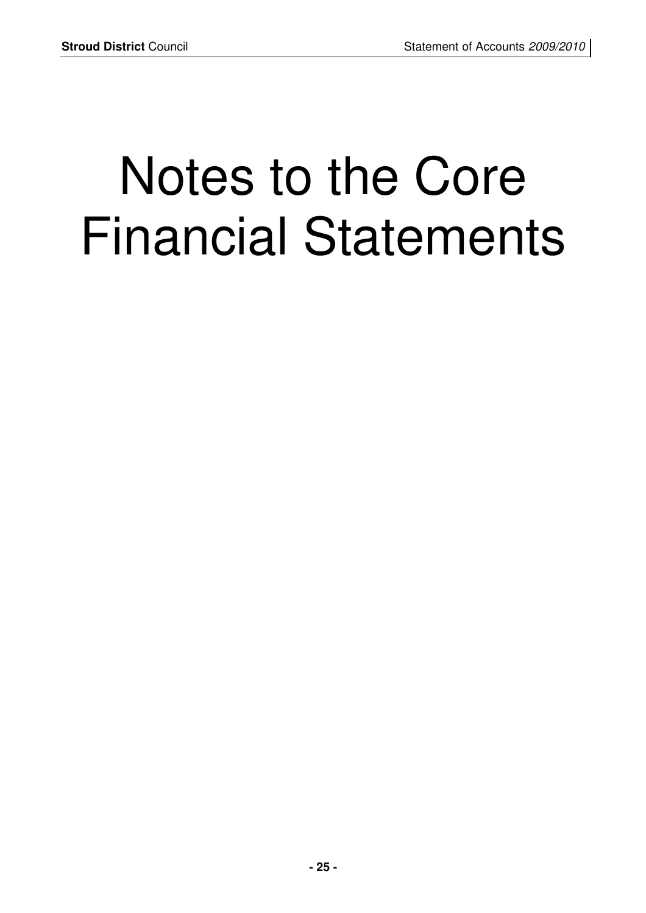# Notes to the Core Financial Statements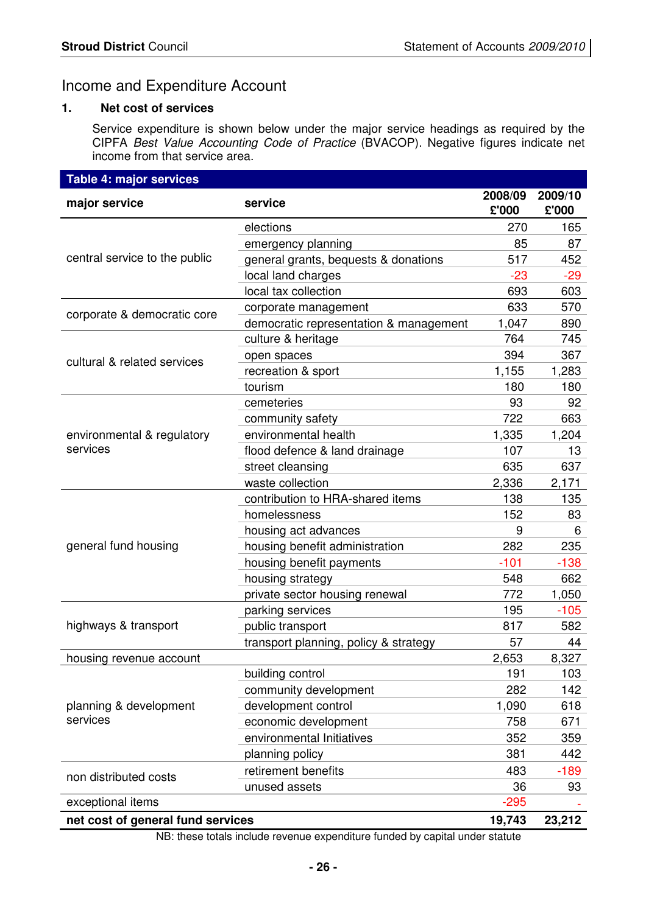### Income and Expenditure Account

#### **1. Net cost of services**

Service expenditure is shown below under the major service headings as required by the CIPFA Best Value Accounting Code of Practice (BVACOP). Negative figures indicate net income from that service area.

| <b>Table 4: major services</b>    |                                        |                  |                  |
|-----------------------------------|----------------------------------------|------------------|------------------|
| major service                     | service                                | 2008/09<br>£'000 | 2009/10<br>£'000 |
|                                   | elections                              | 270              | 165              |
|                                   | emergency planning                     | 85               | 87               |
| central service to the public     | general grants, bequests & donations   | 517              | 452              |
|                                   | local land charges                     | $-23$            | $-29$            |
|                                   | local tax collection                   | 693              | 603              |
| corporate & democratic core       | corporate management                   | 633              | 570              |
|                                   | democratic representation & management | 1,047            | 890              |
|                                   | culture & heritage                     | 764              | 745              |
| cultural & related services       | open spaces                            | 394              | 367              |
|                                   | recreation & sport                     | 1,155            | 1,283            |
|                                   | tourism                                | 180              | 180              |
|                                   | cemeteries                             | 93               | 92               |
|                                   | community safety                       | 722              | 663              |
| environmental & regulatory        | environmental health                   | 1,335            | 1,204            |
| services                          | flood defence & land drainage          | 107              | 13               |
|                                   | street cleansing                       | 635              | 637              |
|                                   | waste collection                       | 2,336            | 2,171            |
|                                   | contribution to HRA-shared items       | 138              | 135              |
|                                   | homelessness                           | 152              | 83               |
|                                   | housing act advances                   | 9                | 6                |
| general fund housing              | housing benefit administration         | 282              | 235              |
|                                   | housing benefit payments               | $-101$           | $-138$           |
|                                   | housing strategy                       | 548              | 662              |
|                                   | private sector housing renewal         | 772              | 1,050            |
|                                   | parking services                       | 195              | $-105$           |
| highways & transport              | public transport                       | 817              | 582              |
|                                   | transport planning, policy & strategy  | 57               | 44               |
| housing revenue account           |                                        | 2,653            | 8,327            |
|                                   | building control                       | 191              | 103              |
|                                   | community development                  | 282              | 142              |
| planning & development            | development control                    | 1,090            | 618              |
| services                          | economic development                   | 758              | 671              |
|                                   | environmental Initiatives              | 352              | 359              |
|                                   | planning policy                        | 381              | 442              |
| non distributed costs             | retirement benefits                    | 483              | $-189$           |
|                                   | unused assets                          | 36               | 93               |
| exceptional items                 |                                        | $-295$           |                  |
| net cost of general fund services |                                        | 19,743           | 23,212           |

NB: these totals include revenue expenditure funded by capital under statute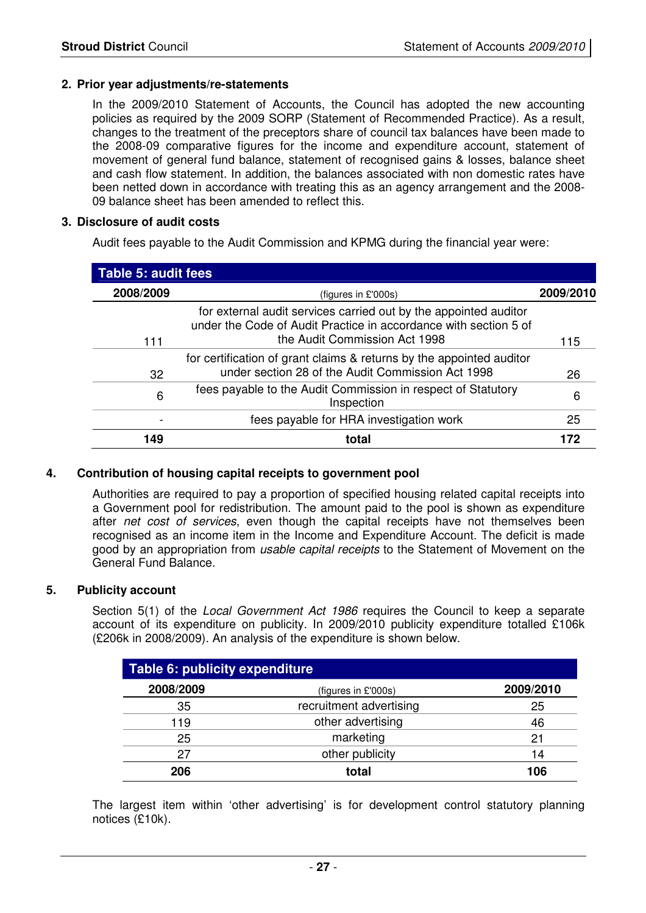#### **2. Prior year adjustments/re-statements**

 In the 2009/2010 Statement of Accounts, the Council has adopted the new accounting policies as required by the 2009 SORP (Statement of Recommended Practice). As a result, changes to the treatment of the preceptors share of council tax balances have been made to the 2008-09 comparative figures for the income and expenditure account, statement of movement of general fund balance, statement of recognised gains & losses, balance sheet and cash flow statement. In addition, the balances associated with non domestic rates have been netted down in accordance with treating this as an agency arrangement and the 2008- 09 balance sheet has been amended to reflect this.

#### **3. Disclosure of audit costs**

Audit fees payable to the Audit Commission and KPMG during the financial year were:

| Table 5: audit fees |                                                                                                                                                                       |           |
|---------------------|-----------------------------------------------------------------------------------------------------------------------------------------------------------------------|-----------|
| 2008/2009           | (figures in £'000s)                                                                                                                                                   | 2009/2010 |
| 111                 | for external audit services carried out by the appointed auditor<br>under the Code of Audit Practice in accordance with section 5 of<br>the Audit Commission Act 1998 | 115       |
| 32                  | for certification of grant claims & returns by the appointed auditor<br>under section 28 of the Audit Commission Act 1998                                             | 26        |
| 6                   | fees payable to the Audit Commission in respect of Statutory<br>Inspection                                                                                            | 6         |
|                     | fees payable for HRA investigation work                                                                                                                               | 25        |
| 49                  | total                                                                                                                                                                 |           |

#### **4. Contribution of housing capital receipts to government pool**

Authorities are required to pay a proportion of specified housing related capital receipts into a Government pool for redistribution. The amount paid to the pool is shown as expenditure after net cost of services, even though the capital receipts have not themselves been recognised as an income item in the Income and Expenditure Account. The deficit is made good by an appropriation from *usable capital receipts* to the Statement of Movement on the General Fund Balance.

#### **5. Publicity account**

Section 5(1) of the Local Government Act 1986 requires the Council to keep a separate account of its expenditure on publicity. In 2009/2010 publicity expenditure totalled £106k (£206k in 2008/2009). An analysis of the expenditure is shown below.

| Table 6: publicity expenditure |                         |           |  |  |  |  |  |  |  |
|--------------------------------|-------------------------|-----------|--|--|--|--|--|--|--|
| 2008/2009                      | (figures in £'000s)     | 2009/2010 |  |  |  |  |  |  |  |
| 35                             | recruitment advertising | 25        |  |  |  |  |  |  |  |
| 119                            | other advertising       | 46        |  |  |  |  |  |  |  |
| 25                             | marketing               | 21        |  |  |  |  |  |  |  |
| 27                             | other publicity         | 14        |  |  |  |  |  |  |  |
| 206                            | total                   | 106       |  |  |  |  |  |  |  |

The largest item within 'other advertising' is for development control statutory planning notices (£10k).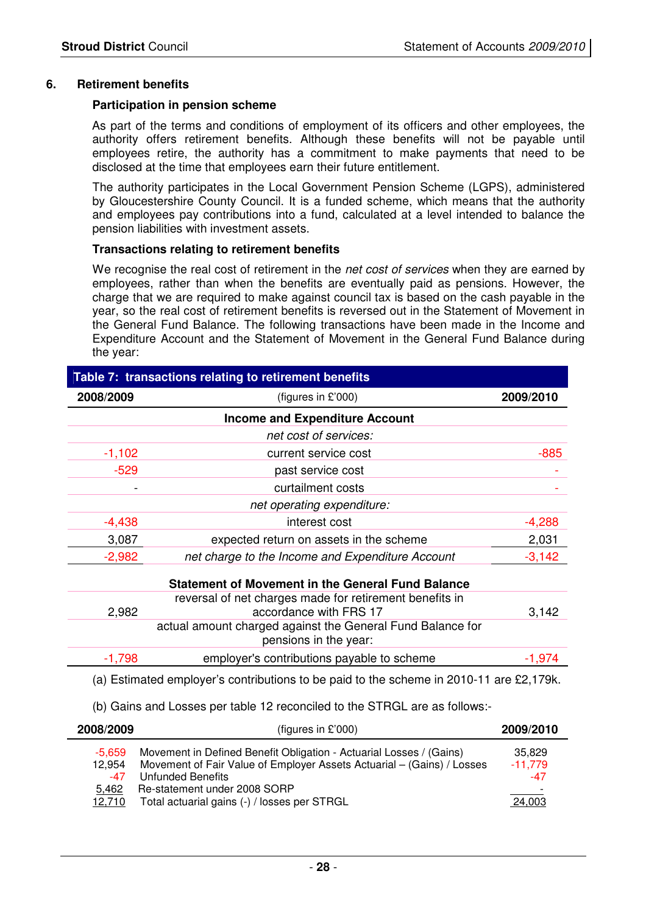#### **6. Retirement benefits**

#### **Participation in pension scheme**

 As part of the terms and conditions of employment of its officers and other employees, the authority offers retirement benefits. Although these benefits will not be payable until employees retire, the authority has a commitment to make payments that need to be disclosed at the time that employees earn their future entitlement.

 The authority participates in the Local Government Pension Scheme (LGPS), administered by Gloucestershire County Council. It is a funded scheme, which means that the authority and employees pay contributions into a fund, calculated at a level intended to balance the pension liabilities with investment assets.

#### **Transactions relating to retirement benefits**

We recognise the real cost of retirement in the *net cost of services* when they are earned by employees, rather than when the benefits are eventually paid as pensions. However, the charge that we are required to make against council tax is based on the cash payable in the year, so the real cost of retirement benefits is reversed out in the Statement of Movement in the General Fund Balance. The following transactions have been made in the Income and Expenditure Account and the Statement of Movement in the General Fund Balance during the year:

| 2008/2009 | (figures in £'000)                                                                      | 2009/2010 |
|-----------|-----------------------------------------------------------------------------------------|-----------|
|           | <b>Income and Expenditure Account</b>                                                   |           |
|           | net cost of services:                                                                   |           |
| $-1,102$  | current service cost                                                                    | $-885$    |
| $-529$    | past service cost                                                                       |           |
|           | curtailment costs                                                                       |           |
|           | net operating expenditure:                                                              |           |
| $-4,438$  | interest cost                                                                           | $-4,288$  |
| 3,087     | expected return on assets in the scheme                                                 | 2,031     |
| $-2,982$  | net charge to the Income and Expenditure Account                                        | $-3,142$  |
|           | <b>Statement of Movement in the General Fund Balance</b>                                |           |
| 2,982     | reversal of net charges made for retirement benefits in<br>accordance with FRS 17       | 3,142     |
|           | actual amount charged against the General Fund Balance for<br>pensions in the year:     |           |
| $-1,798$  | employer's contributions payable to scheme                                              | $-1,974$  |
|           | (a) Estimated employer's contributions to be paid to the scheme in 2010-11 are £2,179k. |           |

| 2008/2009                                    | (figures in $£'000$ )                                                                                                                                                                                                                              | 2009/2010                              |
|----------------------------------------------|----------------------------------------------------------------------------------------------------------------------------------------------------------------------------------------------------------------------------------------------------|----------------------------------------|
| -5.659<br>12,954<br>$-47$<br>5,462<br>12,710 | Movement in Defined Benefit Obligation - Actuarial Losses / (Gains)<br>Movement of Fair Value of Employer Assets Actuarial - (Gains) / Losses<br>Unfunded Benefits<br>Re-statement under 2008 SORP<br>Total actuarial gains (-) / losses per STRGL | 35,829<br>$-11,779$<br>$-47$<br>24,003 |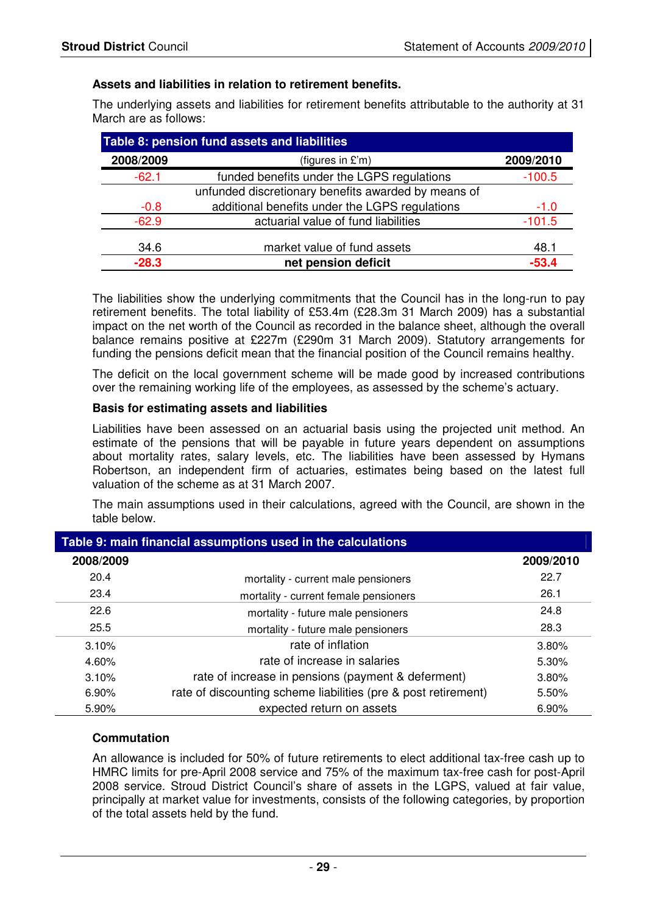#### **Assets and liabilities in relation to retirement benefits.**

The underlying assets and liabilities for retirement benefits attributable to the authority at 31 March are as follows:

| Table 8: pension fund assets and liabilities |                                                     |           |  |  |  |  |  |  |  |  |
|----------------------------------------------|-----------------------------------------------------|-----------|--|--|--|--|--|--|--|--|
| 2008/2009                                    | (figures in £'m)                                    | 2009/2010 |  |  |  |  |  |  |  |  |
| $-62.1$                                      | funded benefits under the LGPS regulations          | $-100.5$  |  |  |  |  |  |  |  |  |
|                                              | unfunded discretionary benefits awarded by means of |           |  |  |  |  |  |  |  |  |
| $-0.8$                                       | additional benefits under the LGPS regulations      | $-1.0$    |  |  |  |  |  |  |  |  |
| $-62.9$                                      | actuarial value of fund liabilities                 | $-101.5$  |  |  |  |  |  |  |  |  |
| 34.6                                         | market value of fund assets                         | 48.1      |  |  |  |  |  |  |  |  |
| $-28.3$                                      | net pension deficit                                 | $-53.4$   |  |  |  |  |  |  |  |  |

The liabilities show the underlying commitments that the Council has in the long-run to pay retirement benefits. The total liability of £53.4m (£28.3m 31 March 2009) has a substantial impact on the net worth of the Council as recorded in the balance sheet, although the overall balance remains positive at £227m (£290m 31 March 2009). Statutory arrangements for funding the pensions deficit mean that the financial position of the Council remains healthy.

The deficit on the local government scheme will be made good by increased contributions over the remaining working life of the employees, as assessed by the scheme's actuary.

#### **Basis for estimating assets and liabilities**

Liabilities have been assessed on an actuarial basis using the projected unit method. An estimate of the pensions that will be payable in future years dependent on assumptions about mortality rates, salary levels, etc. The liabilities have been assessed by Hymans Robertson, an independent firm of actuaries, estimates being based on the latest full valuation of the scheme as at 31 March 2007.

The main assumptions used in their calculations, agreed with the Council, are shown in the table below.

| Table 9: main financial assumptions used in the calculations |                                                                |           |  |  |  |  |  |  |
|--------------------------------------------------------------|----------------------------------------------------------------|-----------|--|--|--|--|--|--|
| 2008/2009                                                    |                                                                | 2009/2010 |  |  |  |  |  |  |
| 20.4                                                         | mortality - current male pensioners                            | 22.7      |  |  |  |  |  |  |
| 23.4                                                         | mortality - current female pensioners                          | 26.1      |  |  |  |  |  |  |
| 22.6                                                         | mortality - future male pensioners                             | 24.8      |  |  |  |  |  |  |
| 25.5                                                         | mortality - future male pensioners                             | 28.3      |  |  |  |  |  |  |
| 3.10%                                                        | rate of inflation                                              | 3.80%     |  |  |  |  |  |  |
| 4.60%                                                        | rate of increase in salaries                                   | 5.30%     |  |  |  |  |  |  |
| 3.10%                                                        | rate of increase in pensions (payment & deferment)             | $3.80\%$  |  |  |  |  |  |  |
| 6.90%                                                        | rate of discounting scheme liabilities (pre & post retirement) | 5.50%     |  |  |  |  |  |  |
| 5.90%                                                        | expected return on assets                                      | $6.90\%$  |  |  |  |  |  |  |

#### **Commutation**

An allowance is included for 50% of future retirements to elect additional tax-free cash up to HMRC limits for pre-April 2008 service and 75% of the maximum tax-free cash for post-April 2008 service. Stroud District Council's share of assets in the LGPS, valued at fair value, principally at market value for investments, consists of the following categories, by proportion of the total assets held by the fund.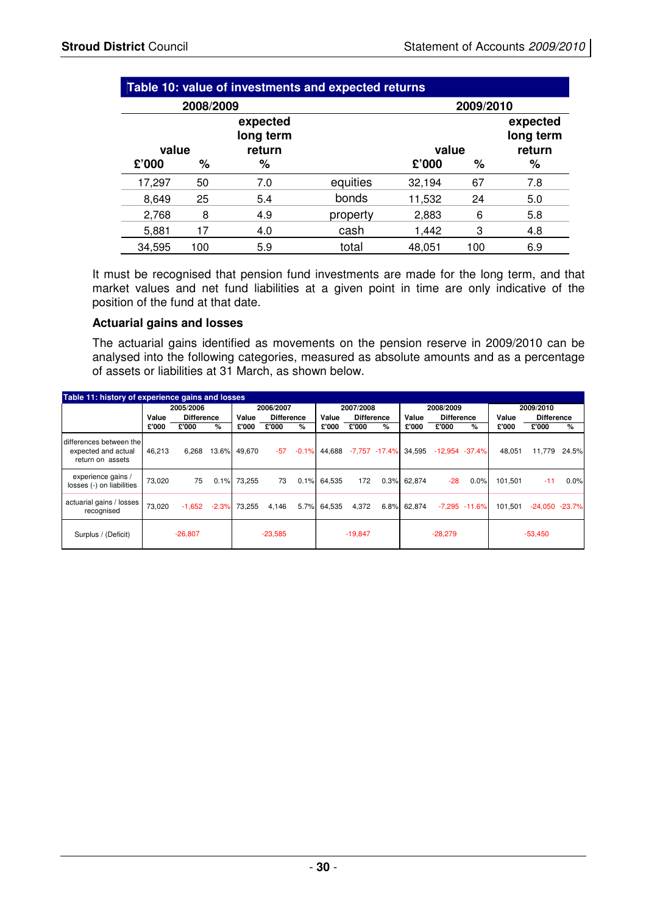| Table 10: value of investments and expected returns |     |                                 |          |        |     |                                 |  |  |  |  |
|-----------------------------------------------------|-----|---------------------------------|----------|--------|-----|---------------------------------|--|--|--|--|
| 2008/2009<br>2009/2010                              |     |                                 |          |        |     |                                 |  |  |  |  |
| value                                               |     | expected<br>long term<br>return |          | value  |     | expected<br>long term<br>return |  |  |  |  |
| £'000                                               | %   | ℅                               |          | £'000  | %   | %                               |  |  |  |  |
| 17,297                                              | 50  | 7.0                             | equities | 32,194 | 67  | 7.8                             |  |  |  |  |
| 8,649                                               | 25  | 5.4                             | bonds    | 11,532 | 24  | 5.0                             |  |  |  |  |
| 2,768                                               | 8   | 4.9                             | property | 2,883  | 6   | 5.8                             |  |  |  |  |
| 5,881                                               | 17  | 4.0                             | cash     | 1,442  | 3   | 4.8                             |  |  |  |  |
| 34,595                                              | 100 | 5.9                             | total    | 48,051 | 100 | 6.9                             |  |  |  |  |

It must be recognised that pension fund investments are made for the long term, and that market values and net fund liabilities at a given point in time are only indicative of the position of the fund at that date.

#### **Actuarial gains and losses**

The actuarial gains identified as movements on the pension reserve in 2009/2010 can be analysed into the following categories, measured as absolute amounts and as a percentage of assets or liabilities at 31 March, as shown below.

| Table 11: history of experience gains and losses                   |           |                   |         |                        |                   |         |             |                   |                   |             |                   |                  |         |                   |       |
|--------------------------------------------------------------------|-----------|-------------------|---------|------------------------|-------------------|---------|-------------|-------------------|-------------------|-------------|-------------------|------------------|---------|-------------------|-------|
|                                                                    | 2005/2006 |                   |         | 2006/2007<br>2007/2008 |                   |         | 2008/2009   |                   |                   | 2009/2010   |                   |                  |         |                   |       |
|                                                                    | Value     | <b>Difference</b> |         | Value                  | <b>Difference</b> |         | Value       | <b>Difference</b> |                   | Value       | <b>Difference</b> |                  | Value   | <b>Difference</b> |       |
|                                                                    | £'000     | £'000             | %       | £'000                  | £'000             | %       | £'000       | £'000             | $\%$              | £'000       | £'000             | %                | £'000   | £'000             | %     |
| differences between the<br>expected and actual<br>return on assets | 46.213    | 6,268             | 13.6%   | 49.670                 | $-57$             | $-0.1%$ | 44.688      |                   | $-7,757 - 17.4\%$ | 34,595      | $-12,954 -37.4%$  |                  | 48.051  | 11,779            | 24.5% |
| experience gains /<br>losses (-) on liabilities                    | 73,020    | 75                | 0.1%    | 73.255                 | 73                |         | 0.1% 64.535 | 172               |                   | 0.3% 62.874 | $-28$             | 0.0%             | 101.501 | $-11$             | 0.0%  |
| actuarial gains / losses<br>recognised                             | 73.020    | $-1,652$          | $-2.3%$ | 73.255                 | 4.146             | 5.7%    | 64,535      | 4,372             |                   | 6.8% 62,874 |                   | $-7.295 - 11.6%$ | 101.501 | $-24,050 -23.7%$  |       |
| Surplus / (Deficit)                                                |           | $-26,807$         |         |                        | $-23,585$         |         |             | $-19,847$         |                   |             | $-28,279$         |                  |         | $-53,450$         |       |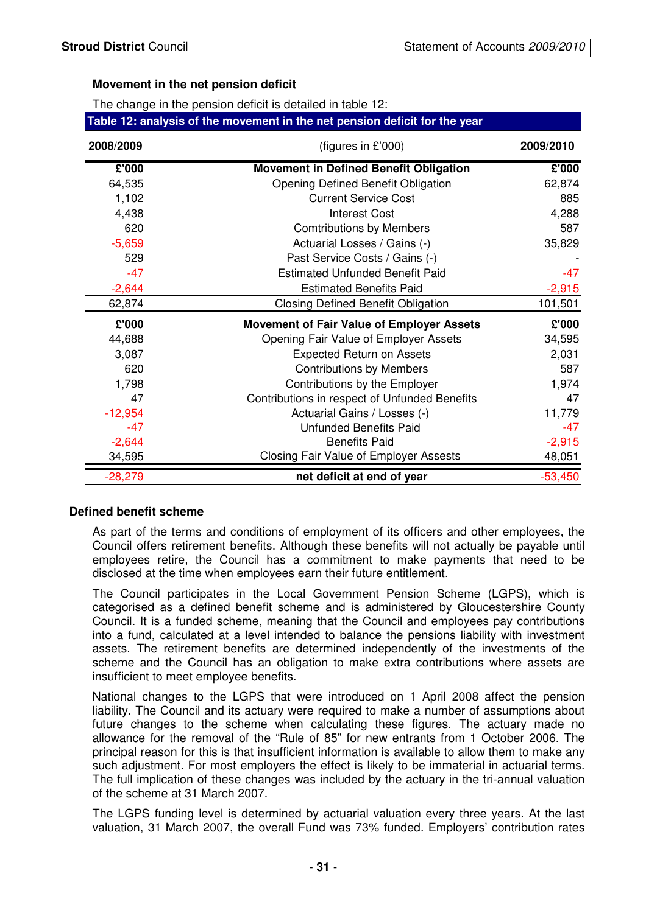#### **Movement in the net pension deficit**

The change in the pension deficit is detailed in table 12:

| Table 12: analysis of the movement in the net pension deficit for the year |                                               |           |  |  |  |
|----------------------------------------------------------------------------|-----------------------------------------------|-----------|--|--|--|
| 2008/2009                                                                  | (figures in $£'000$ )                         | 2009/2010 |  |  |  |
| £'000                                                                      | <b>Movement in Defined Benefit Obligation</b> | £'000     |  |  |  |
| 64,535                                                                     | <b>Opening Defined Benefit Obligation</b>     | 62,874    |  |  |  |

| 1,102     | <b>Current Service Cost</b>                   |           |  |  |
|-----------|-----------------------------------------------|-----------|--|--|
| 4,438     | Interest Cost                                 | 4,288     |  |  |
| 620       | <b>Comtributions by Members</b>               | 587       |  |  |
| $-5,659$  | Actuarial Losses / Gains (-)                  | 35,829    |  |  |
| 529       | Past Service Costs / Gains (-)                |           |  |  |
| $-47$     | <b>Estimated Unfunded Benefit Paid</b>        | $-47$     |  |  |
| $-2,644$  | <b>Estimated Benefits Paid</b>                | $-2,915$  |  |  |
| 62,874    | <b>Closing Defined Benefit Obligation</b>     | 101,501   |  |  |
| £'000     | Movement of Fair Value of Employer Assets     | £'000     |  |  |
| 44,688    | Opening Fair Value of Employer Assets         | 34,595    |  |  |
| 3,087     | <b>Expected Return on Assets</b>              | 2,031     |  |  |
| 620       | <b>Contributions by Members</b>               | 587       |  |  |
| 1,798     | Contributions by the Employer                 | 1,974     |  |  |
| 47        | Contributions in respect of Unfunded Benefits | 47        |  |  |
| $-12,954$ | Actuarial Gains / Losses (-)                  | 11,779    |  |  |
| -47       | <b>Unfunded Benefits Paid</b>                 | -47       |  |  |
| $-2,644$  | <b>Benefits Paid</b>                          | $-2,915$  |  |  |
| 34,595    | Closing Fair Value of Employer Assests        | 48,051    |  |  |
| $-28,279$ | net deficit at end of year                    | $-53,450$ |  |  |

#### **Defined benefit scheme**

As part of the terms and conditions of employment of its officers and other employees, the Council offers retirement benefits. Although these benefits will not actually be payable until employees retire, the Council has a commitment to make payments that need to be disclosed at the time when employees earn their future entitlement.

The Council participates in the Local Government Pension Scheme (LGPS), which is categorised as a defined benefit scheme and is administered by Gloucestershire County Council. It is a funded scheme, meaning that the Council and employees pay contributions into a fund, calculated at a level intended to balance the pensions liability with investment assets. The retirement benefits are determined independently of the investments of the scheme and the Council has an obligation to make extra contributions where assets are insufficient to meet employee benefits.

National changes to the LGPS that were introduced on 1 April 2008 affect the pension liability. The Council and its actuary were required to make a number of assumptions about future changes to the scheme when calculating these figures. The actuary made no allowance for the removal of the "Rule of 85" for new entrants from 1 October 2006. The principal reason for this is that insufficient information is available to allow them to make any such adjustment. For most employers the effect is likely to be immaterial in actuarial terms. The full implication of these changes was included by the actuary in the tri-annual valuation of the scheme at 31 March 2007.

The LGPS funding level is determined by actuarial valuation every three years. At the last valuation, 31 March 2007, the overall Fund was 73% funded. Employers' contribution rates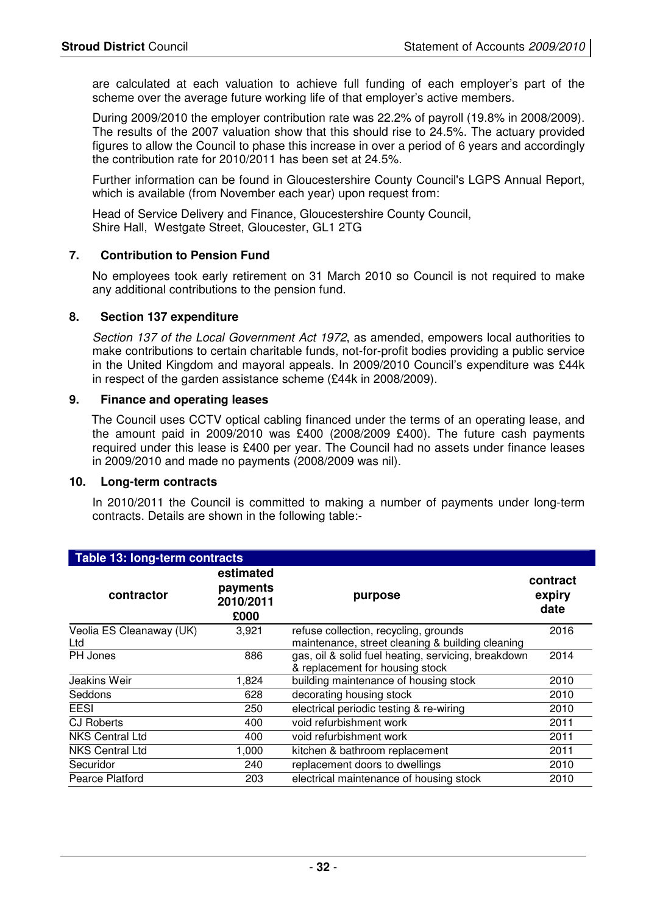are calculated at each valuation to achieve full funding of each employer's part of the scheme over the average future working life of that employer's active members.

During 2009/2010 the employer contribution rate was 22.2% of payroll (19.8% in 2008/2009). The results of the 2007 valuation show that this should rise to 24.5%. The actuary provided figures to allow the Council to phase this increase in over a period of 6 years and accordingly the contribution rate for 2010/2011 has been set at 24.5%.

Further information can be found in Gloucestershire County Council's LGPS Annual Report, which is available (from November each year) upon request from:

Head of Service Delivery and Finance, Gloucestershire County Council, Shire Hall, Westgate Street, Gloucester, GL1 2TG

#### **7. Contribution to Pension Fund**

No employees took early retirement on 31 March 2010 so Council is not required to make any additional contributions to the pension fund.

#### **8. Section 137 expenditure**

Section 137 of the Local Government Act 1972, as amended, empowers local authorities to make contributions to certain charitable funds, not-for-profit bodies providing a public service in the United Kingdom and mayoral appeals. In 2009/2010 Council's expenditure was £44k in respect of the garden assistance scheme (£44k in 2008/2009).

#### **9. Finance and operating leases**

The Council uses CCTV optical cabling financed under the terms of an operating lease, and the amount paid in 2009/2010 was £400 (2008/2009 £400). The future cash payments required under this lease is £400 per year. The Council had no assets under finance leases in 2009/2010 and made no payments (2008/2009 was nil).

#### **10. Long-term contracts**

In 2010/2011 the Council is committed to making a number of payments under long-term contracts. Details are shown in the following table:-

| Table 13: long-term contracts   |                                            |                                                                                           |                            |  |  |  |
|---------------------------------|--------------------------------------------|-------------------------------------------------------------------------------------------|----------------------------|--|--|--|
| contractor                      | estimated<br>payments<br>2010/2011<br>£000 | purpose                                                                                   | contract<br>expiry<br>date |  |  |  |
| Veolia ES Cleanaway (UK)<br>Ltd | 3,921                                      | refuse collection, recycling, grounds<br>maintenance, street cleaning & building cleaning | 2016                       |  |  |  |
| PH Jones                        | 886                                        | gas, oil & solid fuel heating, servicing, breakdown<br>& replacement for housing stock    | 2014                       |  |  |  |
| Jeakins Weir                    | 1,824                                      | building maintenance of housing stock                                                     | 2010                       |  |  |  |
| Seddons                         | 628                                        | decorating housing stock                                                                  | 2010                       |  |  |  |
| <b>EESI</b>                     | 250                                        | electrical periodic testing & re-wiring                                                   | 2010                       |  |  |  |
| <b>CJ Roberts</b>               | 400                                        | void refurbishment work                                                                   | 2011                       |  |  |  |
| <b>NKS Central Ltd</b>          | 400                                        | void refurbishment work                                                                   | 2011                       |  |  |  |
| <b>NKS Central Ltd</b>          | 1,000                                      | kitchen & bathroom replacement                                                            | 2011                       |  |  |  |
| Securidor                       | 240                                        | replacement doors to dwellings                                                            | 2010                       |  |  |  |
| Pearce Platford                 | 203                                        | electrical maintenance of housing stock                                                   | 2010                       |  |  |  |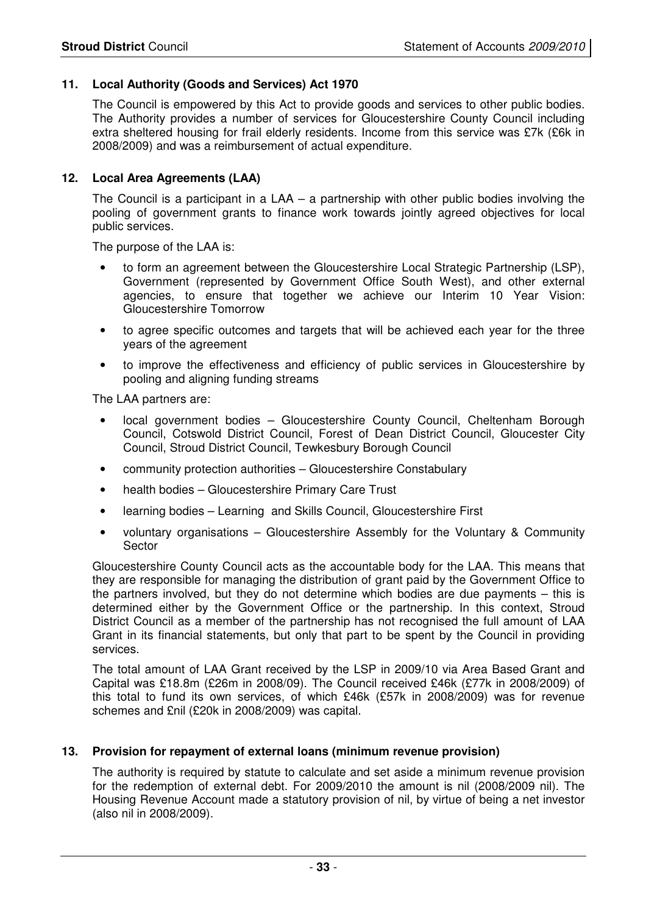#### **11. Local Authority (Goods and Services) Act 1970**

 The Council is empowered by this Act to provide goods and services to other public bodies. The Authority provides a number of services for Gloucestershire County Council including extra sheltered housing for frail elderly residents. Income from this service was £7k (£6k in 2008/2009) and was a reimbursement of actual expenditure.

#### **12. Local Area Agreements (LAA)**

The Council is a participant in a LAA – a partnership with other public bodies involving the pooling of government grants to finance work towards jointly agreed objectives for local public services.

The purpose of the LAA is:

- to form an agreement between the Gloucestershire Local Strategic Partnership (LSP), Government (represented by Government Office South West), and other external agencies, to ensure that together we achieve our Interim 10 Year Vision: Gloucestershire Tomorrow
- to agree specific outcomes and targets that will be achieved each year for the three years of the agreement
- to improve the effectiveness and efficiency of public services in Gloucestershire by pooling and aligning funding streams

The LAA partners are:

- local government bodies Gloucestershire County Council, Cheltenham Borough Council, Cotswold District Council, Forest of Dean District Council, Gloucester City Council, Stroud District Council, Tewkesbury Borough Council
- community protection authorities Gloucestershire Constabulary
- health bodies Gloucestershire Primary Care Trust
- learning bodies Learning and Skills Council, Gloucestershire First
- voluntary organisations Gloucestershire Assembly for the Voluntary & Community Sector

Gloucestershire County Council acts as the accountable body for the LAA. This means that they are responsible for managing the distribution of grant paid by the Government Office to the partners involved, but they do not determine which bodies are due payments – this is determined either by the Government Office or the partnership. In this context, Stroud District Council as a member of the partnership has not recognised the full amount of LAA Grant in its financial statements, but only that part to be spent by the Council in providing services.

The total amount of LAA Grant received by the LSP in 2009/10 via Area Based Grant and Capital was £18.8m (£26m in 2008/09). The Council received £46k (£77k in 2008/2009) of this total to fund its own services, of which £46k (£57k in 2008/2009) was for revenue schemes and £nil (£20k in 2008/2009) was capital.

#### **13. Provision for repayment of external loans (minimum revenue provision)**

The authority is required by statute to calculate and set aside a minimum revenue provision for the redemption of external debt. For 2009/2010 the amount is nil (2008/2009 nil). The Housing Revenue Account made a statutory provision of nil, by virtue of being a net investor (also nil in 2008/2009).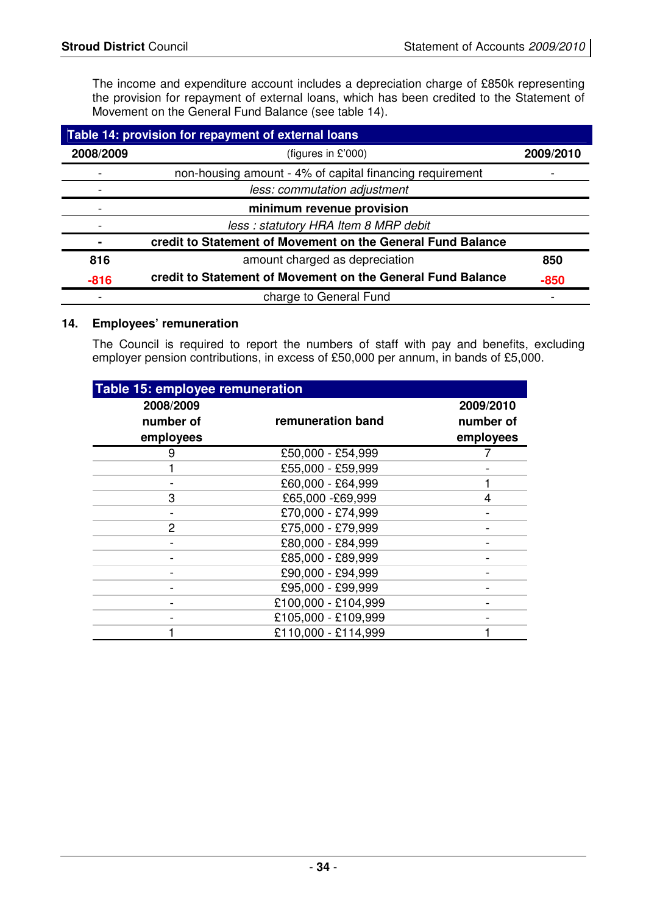The income and expenditure account includes a depreciation charge of £850k representing the provision for repayment of external loans, which has been credited to the Statement of Movement on the General Fund Balance (see table 14).

|           | Table 14: provision for repayment of external loans         |           |
|-----------|-------------------------------------------------------------|-----------|
| 2008/2009 | (figures in $£'000$ )                                       | 2009/2010 |
|           | non-housing amount - 4% of capital financing requirement    |           |
|           | less: commutation adjustment                                |           |
|           | minimum revenue provision                                   |           |
|           | less: statutory HRA Item 8 MRP debit                        |           |
|           | credit to Statement of Movement on the General Fund Balance |           |
| 816       | amount charged as depreciation                              | 850       |
| $-816$    | credit to Statement of Movement on the General Fund Balance | $-850$    |
|           | charge to General Fund                                      |           |

#### **14. Employees' remuneration**

The Council is required to report the numbers of staff with pay and benefits, excluding employer pension contributions, in excess of £50,000 per annum, in bands of £5,000.

| Table 15: employee remuneration |                     |           |
|---------------------------------|---------------------|-----------|
| 2008/2009                       |                     | 2009/2010 |
| number of                       | remuneration band   | number of |
| employees                       |                     | employees |
| 9                               | £50,000 - £54,999   |           |
|                                 | £55,000 - £59,999   |           |
|                                 | £60,000 - £64,999   |           |
| 3                               | £65,000 -£69,999    | 4         |
|                                 | £70,000 - £74,999   |           |
| $\mathcal{P}$                   | £75,000 - £79,999   |           |
|                                 | £80,000 - £84,999   |           |
|                                 | £85,000 - £89,999   |           |
|                                 | £90,000 - £94,999   |           |
|                                 | £95,000 - £99,999   |           |
|                                 | £100,000 - £104,999 |           |
|                                 | £105,000 - £109,999 |           |
|                                 | £110,000 - £114,999 |           |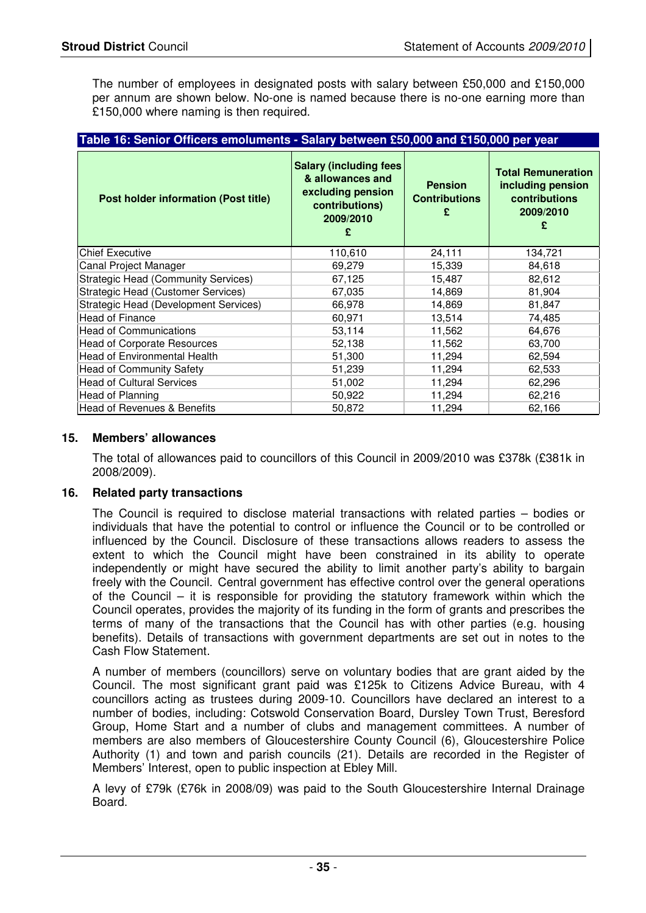The number of employees in designated posts with salary between £50,000 and £150,000 per annum are shown below. No-one is named because there is no-one earning more than £150,000 where naming is then required.

| Table 16: Senior Officers emoluments - Salary between £50,000 and £150,000 per year |                                                                                                             |                                        |                                                                                          |  |
|-------------------------------------------------------------------------------------|-------------------------------------------------------------------------------------------------------------|----------------------------------------|------------------------------------------------------------------------------------------|--|
| <b>Post holder information (Post title)</b>                                         | <b>Salary (including fees)</b><br>& allowances and<br>excluding pension<br>contributions)<br>2009/2010<br>£ | <b>Pension</b><br><b>Contributions</b> | <b>Total Remuneration</b><br>including pension<br><b>contributions</b><br>2009/2010<br>£ |  |
| <b>Chief Executive</b>                                                              | 110,610                                                                                                     | 24,111                                 | 134,721                                                                                  |  |
| Canal Project Manager                                                               | 69,279                                                                                                      | 15,339                                 | 84,618                                                                                   |  |
| <b>Strategic Head (Community Services)</b>                                          | 67,125                                                                                                      | 15,487                                 | 82,612                                                                                   |  |
| Strategic Head (Customer Services)                                                  | 67.035                                                                                                      | 14.869                                 | 81,904                                                                                   |  |
| Strategic Head (Development Services)                                               | 66,978                                                                                                      | 14,869                                 | 81,847                                                                                   |  |
| Head of Finance                                                                     | 60,971                                                                                                      | 13,514                                 | 74,485                                                                                   |  |
| <b>Head of Communications</b>                                                       | 53,114                                                                                                      | 11,562                                 | 64,676                                                                                   |  |
| <b>Head of Corporate Resources</b>                                                  | 52,138                                                                                                      | 11,562                                 | 63,700                                                                                   |  |
| Head of Environmental Health                                                        | 51,300                                                                                                      | 11,294                                 | 62,594                                                                                   |  |
| <b>Head of Community Safety</b>                                                     | 51,239                                                                                                      | 11,294                                 | 62,533                                                                                   |  |
| <b>Head of Cultural Services</b>                                                    | 51,002                                                                                                      | 11,294                                 | 62,296                                                                                   |  |
| Head of Planning                                                                    | 50,922                                                                                                      | 11,294                                 | 62,216                                                                                   |  |
| Head of Revenues & Benefits                                                         | 50,872                                                                                                      | 11,294                                 | 62,166                                                                                   |  |

#### **15. Members' allowances**

The total of allowances paid to councillors of this Council in 2009/2010 was £378k (£381k in 2008/2009).

#### **16. Related party transactions**

The Council is required to disclose material transactions with related parties – bodies or individuals that have the potential to control or influence the Council or to be controlled or influenced by the Council. Disclosure of these transactions allows readers to assess the extent to which the Council might have been constrained in its ability to operate independently or might have secured the ability to limit another party's ability to bargain freely with the Council. Central government has effective control over the general operations of the Council – it is responsible for providing the statutory framework within which the Council operates, provides the majority of its funding in the form of grants and prescribes the terms of many of the transactions that the Council has with other parties (e.g. housing benefits). Details of transactions with government departments are set out in notes to the Cash Flow Statement.

 A number of members (councillors) serve on voluntary bodies that are grant aided by the Council. The most significant grant paid was £125k to Citizens Advice Bureau, with 4 councillors acting as trustees during 2009-10. Councillors have declared an interest to a number of bodies, including: Cotswold Conservation Board, Dursley Town Trust, Beresford Group, Home Start and a number of clubs and management committees. A number of members are also members of Gloucestershire County Council (6), Gloucestershire Police Authority (1) and town and parish councils (21). Details are recorded in the Register of Members' Interest, open to public inspection at Ebley Mill.

 A levy of £79k (£76k in 2008/09) was paid to the South Gloucestershire Internal Drainage Board.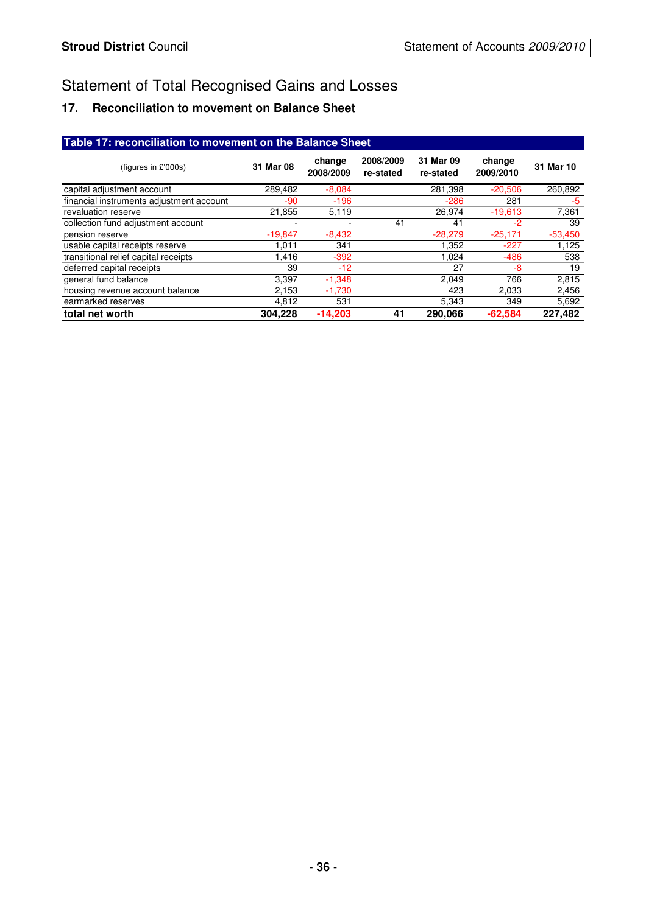# Statement of Total Recognised Gains and Losses

# **17. Reconciliation to movement on Balance Sheet**

| Table 17: reconciliation to movement on the Balance Sheet |           |                     |                        |                        |                     |           |
|-----------------------------------------------------------|-----------|---------------------|------------------------|------------------------|---------------------|-----------|
| (figures in $£'000s$ )                                    | 31 Mar 08 | change<br>2008/2009 | 2008/2009<br>re-stated | 31 Mar 09<br>re-stated | change<br>2009/2010 | 31 Mar 10 |
| capital adjustment account                                | 289,482   | $-8,084$            |                        | 281,398                | $-20,506$           | 260,892   |
| financial instruments adjustment account                  | -90       | $-196$              |                        | $-286$                 | 281                 | -5        |
| revaluation reserve                                       | 21,855    | 5,119               |                        | 26,974                 | $-19,613$           | 7,361     |
| collection fund adjustment account                        |           |                     | 41                     | 41                     | -2                  | 39        |
| pension reserve                                           | $-19,847$ | $-8,432$            |                        | $-28,279$              | $-25,171$           | $-53,450$ |
| usable capital receipts reserve                           | 1.011     | 341                 |                        | 1,352                  | $-227$              | 1,125     |
| transitional relief capital receipts                      | 1.416     | $-392$              |                        | 1.024                  | $-486$              | 538       |
| deferred capital receipts                                 | 39        | $-12$               |                        | 27                     | -8                  | 19        |
| general fund balance                                      | 3.397     | $-1,348$            |                        | 2.049                  | 766                 | 2,815     |
| housing revenue account balance                           | 2,153     | $-1,730$            |                        | 423                    | 2,033               | 2,456     |
| earmarked reserves                                        | 4,812     | 531                 |                        | 5,343                  | 349                 | 5,692     |
| total net worth                                           | 304.228   | $-14.203$           | 41                     | 290.066                | $-62.584$           | 227.482   |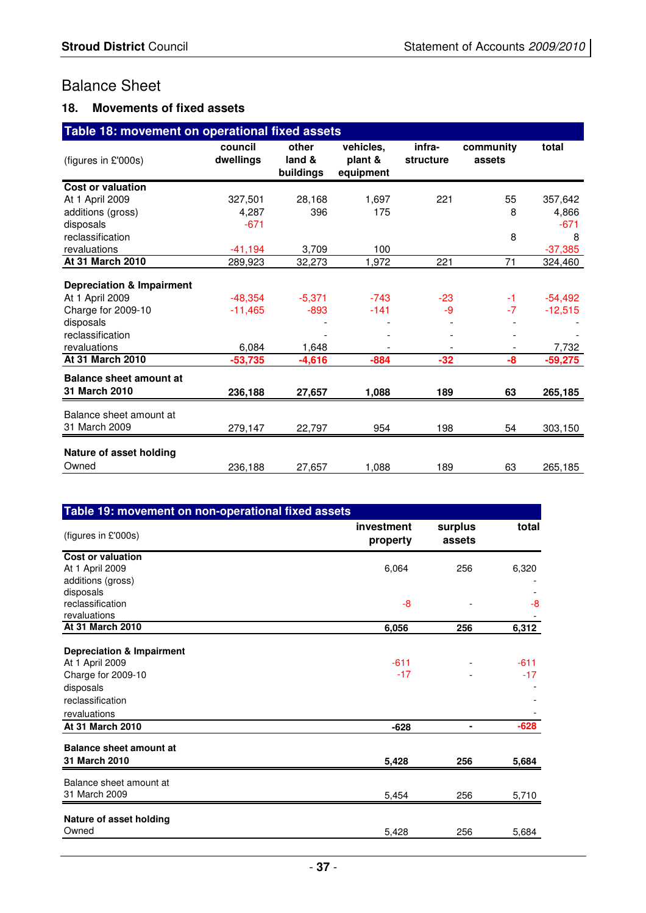# Balance Sheet

#### **18. Movements of fixed assets**

| Table 18: movement on operational fixed assets |                      |                              |                                   |                     |                     |           |
|------------------------------------------------|----------------------|------------------------------|-----------------------------------|---------------------|---------------------|-----------|
| (figures in £'000s)                            | council<br>dwellings | other<br>land &<br>buildings | vehicles.<br>plant &<br>equipment | infra-<br>structure | community<br>assets | total     |
| Cost or valuation                              |                      |                              |                                   |                     |                     |           |
| At 1 April 2009                                | 327,501              | 28,168                       | 1,697                             | 221                 | 55                  | 357,642   |
| additions (gross)                              | 4,287                | 396                          | 175                               |                     | 8                   | 4,866     |
| disposals                                      | $-671$               |                              |                                   |                     |                     | $-671$    |
| reclassification                               |                      |                              |                                   |                     | 8                   | 8         |
| revaluations                                   | $-41,194$            | 3,709                        | 100                               |                     |                     | $-37,385$ |
| At 31 March 2010                               | 289,923              | 32,273                       | 1,972                             | 221                 | 71                  | 324,460   |
| <b>Depreciation &amp; Impairment</b>           |                      |                              |                                   |                     |                     |           |
| At 1 April 2009                                | $-48,354$            | $-5,371$                     | $-743$                            | $-23$               | -1                  | $-54,492$ |
| Charge for 2009-10                             | $-11.465$            | $-893$                       | $-141$                            | -9                  | $-7$                | $-12,515$ |
| disposals                                      |                      |                              |                                   |                     |                     |           |
| reclassification                               |                      |                              |                                   |                     |                     |           |
| revaluations                                   | 6,084                | 1,648                        |                                   |                     |                     | 7,732     |
| <b>At 31 March 2010</b>                        | $-53,735$            | $-4,616$                     | $-884$                            | $-32$               | -8                  | $-59,275$ |
| <b>Balance sheet amount at</b>                 |                      |                              |                                   |                     |                     |           |
| 31 March 2010                                  | 236,188              | 27,657                       | 1,088                             | 189                 | 63                  | 265,185   |
| Balance sheet amount at<br>31 March 2009       | 279,147              | 22,797                       | 954                               | 198                 | 54                  | 303,150   |
| Nature of asset holding<br>Owned               | 236,188              | 27,657                       | 1,088                             | 189                 | 63                  | 265,185   |

| Table 19: movement on non-operational fixed assets                                                             |                        |                   |                 |  |
|----------------------------------------------------------------------------------------------------------------|------------------------|-------------------|-----------------|--|
| (figures in £'000s)                                                                                            | investment<br>property | surplus<br>assets | total           |  |
| Cost or valuation                                                                                              |                        |                   |                 |  |
| At 1 April 2009                                                                                                | 6,064                  | 256               | 6,320           |  |
| additions (gross)                                                                                              |                        |                   |                 |  |
| disposals                                                                                                      |                        |                   |                 |  |
| reclassification                                                                                               | $-8$                   |                   | -8              |  |
| revaluations                                                                                                   |                        |                   |                 |  |
| At 31 March 2010                                                                                               | 6,056                  | 256               | 6,312           |  |
| <b>Depreciation &amp; Impairment</b><br>At 1 April 2009<br>Charge for 2009-10<br>disposals<br>reclassification | $-611$<br>$-17$        |                   | $-611$<br>$-17$ |  |
| revaluations                                                                                                   |                        |                   |                 |  |
| At 31 March 2010                                                                                               | $-628$                 |                   | $-628$          |  |
| <b>Balance sheet amount at</b><br>31 March 2010                                                                | 5,428                  | 256               | 5,684           |  |
| Balance sheet amount at                                                                                        |                        |                   |                 |  |
| 31 March 2009                                                                                                  | 5,454                  | 256               | 5,710           |  |
| Nature of asset holding<br>Owned                                                                               | 5,428                  | 256               | 5,684           |  |
|                                                                                                                |                        |                   |                 |  |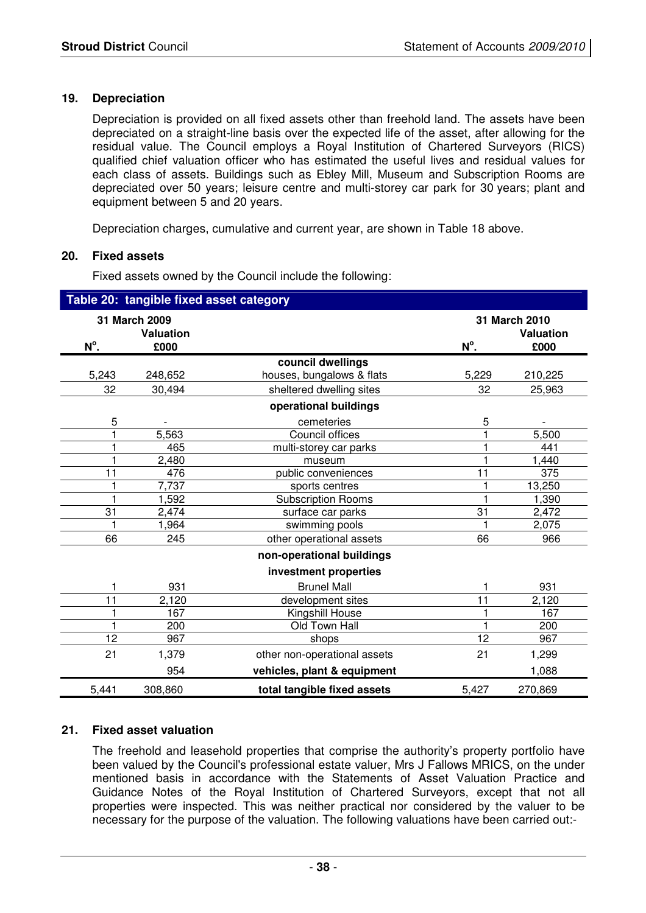#### **19. Depreciation**

Depreciation is provided on all fixed assets other than freehold land. The assets have been depreciated on a straight-line basis over the expected life of the asset, after allowing for the residual value. The Council employs a Royal Institution of Chartered Surveyors (RICS) qualified chief valuation officer who has estimated the useful lives and residual values for each class of assets. Buildings such as Ebley Mill, Museum and Subscription Rooms are depreciated over 50 years; leisure centre and multi-storey car park for 30 years; plant and equipment between 5 and 20 years.

Depreciation charges, cumulative and current year, are shown in Table 18 above.

#### **20. Fixed assets**

Fixed assets owned by the Council include the following:

|       | Table 20: tangible fixed asset category |                              |               |                                   |
|-------|-----------------------------------------|------------------------------|---------------|-----------------------------------|
|       | 31 March 2009<br><b>Valuation</b>       |                              |               | 31 March 2010<br><b>Valuation</b> |
| N°.   | £000                                    |                              | $N^{\circ}$ . | £000                              |
|       |                                         | council dwellings            |               |                                   |
| 5,243 | 248,652                                 | houses, bungalows & flats    | 5,229         | 210,225                           |
| 32    | 30,494                                  | sheltered dwelling sites     | 32            | 25,963                            |
|       |                                         | operational buildings        |               |                                   |
| 5     |                                         | cemeteries                   | 5             |                                   |
|       | 5,563                                   | Council offices              |               | 5,500                             |
|       | 465                                     | multi-storey car parks       |               | 441                               |
|       | 2,480                                   | museum                       |               | 1,440                             |
| 11    | 476                                     | public conveniences          | 11            | 375                               |
|       | 7,737                                   | sports centres               |               | 13,250                            |
|       | 1,592                                   | <b>Subscription Rooms</b>    |               | 1,390                             |
| 31    | 2,474                                   | surface car parks            | 31            | 2,472                             |
|       | 1,964                                   | swimming pools               |               | 2,075                             |
| 66    | 245                                     | other operational assets     | 66            | 966                               |
|       |                                         | non-operational buildings    |               |                                   |
|       |                                         | investment properties        |               |                                   |
|       | 931                                     | <b>Brunel Mall</b>           |               | 931                               |
| 11    | 2,120                                   | development sites            | 11            | 2,120                             |
|       | 167                                     | Kingshill House              |               | 167                               |
|       | 200                                     | Old Town Hall                |               | 200                               |
| 12    | 967                                     | shops                        | 12            | 967                               |
| 21    | 1,379                                   | other non-operational assets | 21            | 1,299                             |
|       | 954                                     | vehicles, plant & equipment  |               | 1,088                             |
| 5,441 | 308,860                                 | total tangible fixed assets  | 5,427         | 270,869                           |

#### **21. Fixed asset valuation**

 The freehold and leasehold properties that comprise the authority's property portfolio have been valued by the Council's professional estate valuer, Mrs J Fallows MRICS, on the under mentioned basis in accordance with the Statements of Asset Valuation Practice and Guidance Notes of the Royal Institution of Chartered Surveyors, except that not all properties were inspected. This was neither practical nor considered by the valuer to be necessary for the purpose of the valuation. The following valuations have been carried out:-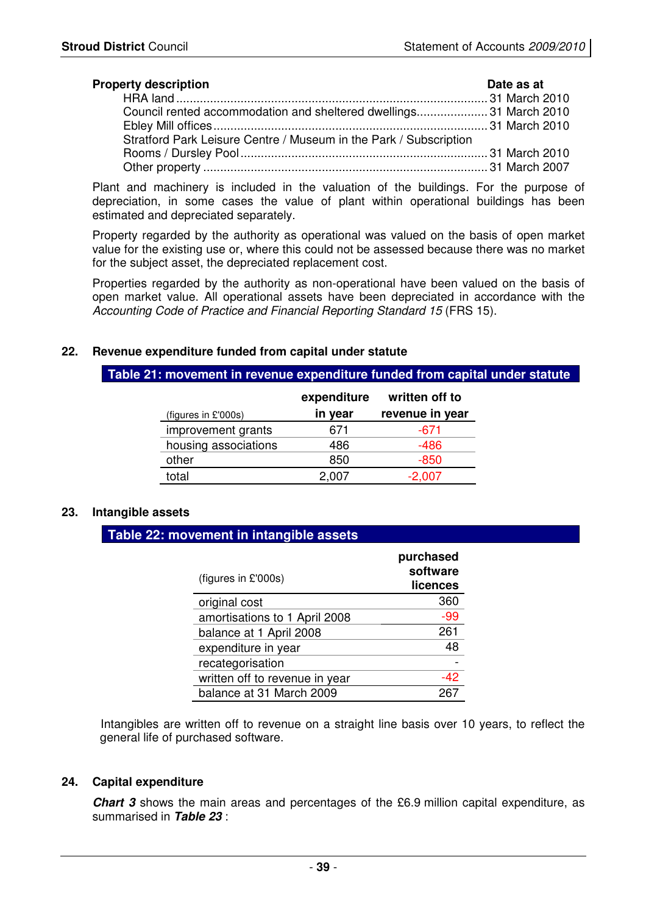| <b>Property description</b>                                       | Date as at |
|-------------------------------------------------------------------|------------|
|                                                                   |            |
| Council rented accommodation and sheltered dwellings31 March 2010 |            |
|                                                                   |            |
| Stratford Park Leisure Centre / Museum in the Park / Subscription |            |
|                                                                   |            |
|                                                                   |            |

Plant and machinery is included in the valuation of the buildings. For the purpose of depreciation, in some cases the value of plant within operational buildings has been estimated and depreciated separately.

Property regarded by the authority as operational was valued on the basis of open market value for the existing use or, where this could not be assessed because there was no market for the subject asset, the depreciated replacement cost.

Properties regarded by the authority as non-operational have been valued on the basis of open market value. All operational assets have been depreciated in accordance with the Accounting Code of Practice and Financial Reporting Standard 15 (FRS 15).

#### **22. Revenue expenditure funded from capital under statute**

#### **Table 21: movement in revenue expenditure funded from capital under statute**

|                      | expenditure | written off to  |
|----------------------|-------------|-----------------|
| (figures in £'000s)  | in year     | revenue in year |
| improvement grants   | 671         | -671            |
| housing associations | 486         | -486            |
| other                | 850         | -850            |
| total                | 2.007       | $-2,007$        |

#### **23. Intangible assets**

#### **Table 22: movement in intangible assets**

| (figures in £'000s)            | purchased<br>software<br>licences |
|--------------------------------|-----------------------------------|
| original cost                  | 360                               |
| amortisations to 1 April 2008  | $-99$                             |
| balance at 1 April 2008        | 261                               |
| expenditure in year            | 48                                |
| recategorisation               |                                   |
| written off to revenue in year | -42                               |
| balance at 31 March 2009       |                                   |

Intangibles are written off to revenue on a straight line basis over 10 years, to reflect the general life of purchased software.

#### **24. Capital expenditure**

 **Chart 3** shows the main areas and percentages of the £6.9 million capital expenditure, as summarised in **Table 23** :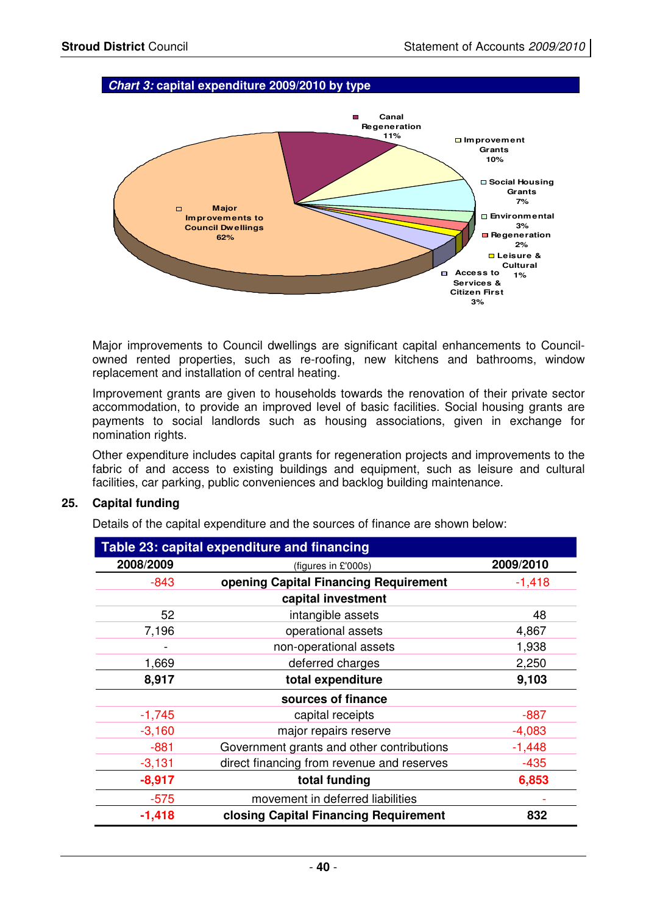#### **Chart 3: capital expenditure 2009/2010 by type**



Major improvements to Council dwellings are significant capital enhancements to Councilowned rented properties, such as re-roofing, new kitchens and bathrooms, window replacement and installation of central heating.

Improvement grants are given to households towards the renovation of their private sector accommodation, to provide an improved level of basic facilities. Social housing grants are payments to social landlords such as housing associations, given in exchange for nomination rights.

Other expenditure includes capital grants for regeneration projects and improvements to the fabric of and access to existing buildings and equipment, such as leisure and cultural facilities, car parking, public conveniences and backlog building maintenance.

#### **25. Capital funding**

Details of the capital expenditure and the sources of finance are shown below:

|           | Table 23: capital expenditure and financing |           |
|-----------|---------------------------------------------|-----------|
| 2008/2009 | (figures in £'000s)                         | 2009/2010 |
| $-843$    | opening Capital Financing Requirement       | $-1,418$  |
|           | capital investment                          |           |
| 52        | intangible assets                           | 48        |
| 7,196     | operational assets                          | 4,867     |
|           | non-operational assets                      | 1,938     |
| 1,669     | deferred charges                            | 2,250     |
| 8,917     | total expenditure                           | 9,103     |
|           | sources of finance                          |           |
| $-1,745$  | capital receipts                            | $-887$    |
| $-3,160$  | major repairs reserve                       | $-4,083$  |
| $-881$    | Government grants and other contributions   | $-1,448$  |
| $-3,131$  | direct financing from revenue and reserves  | $-435$    |
| $-8,917$  | total funding                               | 6,853     |
| $-575$    | movement in deferred liabilities            |           |
| $-1,418$  | closing Capital Financing Requirement       | 832       |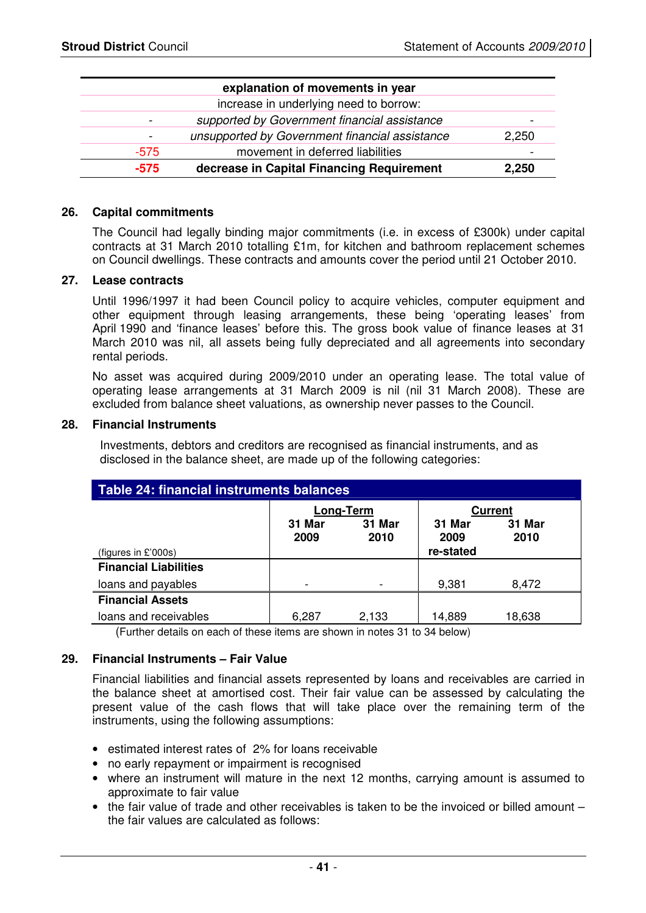|        | explanation of movements in year               |                |
|--------|------------------------------------------------|----------------|
|        | increase in underlying need to borrow:         |                |
|        | supported by Government financial assistance   | -              |
|        | unsupported by Government financial assistance | 2,250          |
| $-575$ | movement in deferred liabilities               | $\blacksquare$ |
| $-575$ | decrease in Capital Financing Requirement      | 2,250          |

#### **26. Capital commitments**

 The Council had legally binding major commitments (i.e. in excess of £300k) under capital contracts at 31 March 2010 totalling £1m, for kitchen and bathroom replacement schemes on Council dwellings. These contracts and amounts cover the period until 21 October 2010.

#### **27. Lease contracts**

Until 1996/1997 it had been Council policy to acquire vehicles, computer equipment and other equipment through leasing arrangements, these being 'operating leases' from April 1990 and 'finance leases' before this. The gross book value of finance leases at 31 March 2010 was nil, all assets being fully depreciated and all agreements into secondary rental periods.

No asset was acquired during 2009/2010 under an operating lease. The total value of operating lease arrangements at 31 March 2009 is nil (nil 31 March 2008). These are excluded from balance sheet valuations, as ownership never passes to the Council.

#### **28. Financial Instruments**

Investments, debtors and creditors are recognised as financial instruments, and as disclosed in the balance sheet, are made up of the following categories:

| Table 24: financial instruments balances |                          |                |                |                |  |  |  |
|------------------------------------------|--------------------------|----------------|----------------|----------------|--|--|--|
|                                          | Long-Term                |                |                | <b>Current</b> |  |  |  |
|                                          | 31 Mar<br>2009           | 31 Mar<br>2010 | 31 Mar<br>2009 | 31 Mar<br>2010 |  |  |  |
| (figures in $£'000s$ )                   |                          |                | re-stated      |                |  |  |  |
| <b>Financial Liabilities</b>             |                          |                |                |                |  |  |  |
| loans and payables                       | $\overline{\phantom{a}}$ |                | 9,381          | 8,472          |  |  |  |
| <b>Financial Assets</b>                  |                          |                |                |                |  |  |  |
| loans and receivables                    | 6,287                    | 2,133          | 14,889         | 18,638         |  |  |  |

(Further details on each of these items are shown in notes 31 to 34 below)

#### **29. Financial Instruments – Fair Value**

Financial liabilities and financial assets represented by loans and receivables are carried in the balance sheet at amortised cost. Their fair value can be assessed by calculating the present value of the cash flows that will take place over the remaining term of the instruments, using the following assumptions:

- estimated interest rates of 2% for loans receivable
- no early repayment or impairment is recognised
- where an instrument will mature in the next 12 months, carrying amount is assumed to approximate to fair value
- $\bullet$  the fair value of trade and other receivables is taken to be the invoiced or billed amount the fair values are calculated as follows: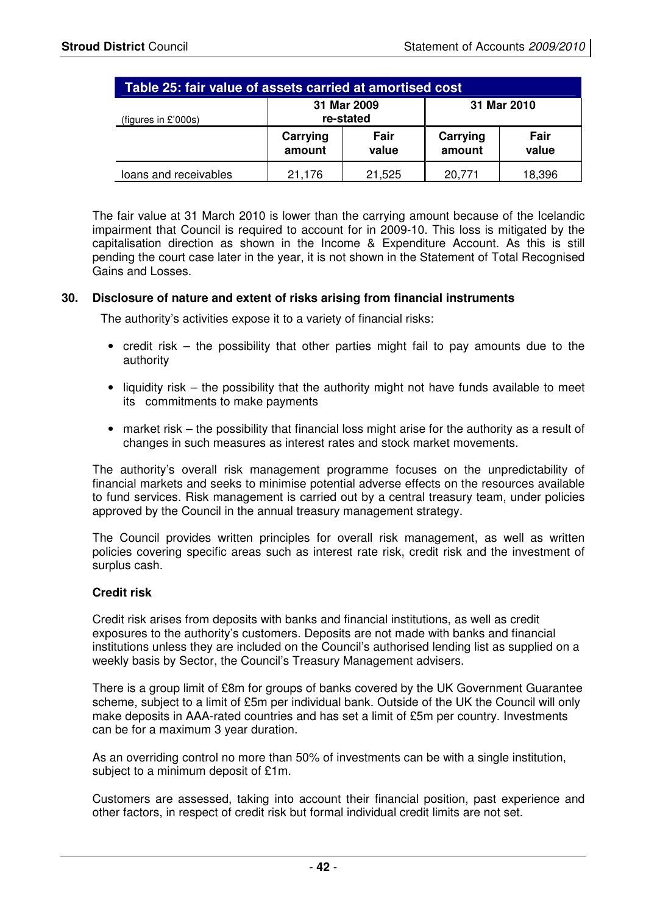| Table 25: fair value of assets carried at amortised cost |                          |               |                    |               |  |
|----------------------------------------------------------|--------------------------|---------------|--------------------|---------------|--|
| (figures in $£'000s$ )                                   | 31 Mar 2009<br>re-stated |               | 31 Mar 2010        |               |  |
|                                                          | Carrying<br>amount       | Fair<br>value | Carrying<br>amount | Fair<br>value |  |
| loans and receivables                                    | 21,176                   | 21,525        | 20,771             | 18,396        |  |

The fair value at 31 March 2010 is lower than the carrying amount because of the Icelandic impairment that Council is required to account for in 2009-10. This loss is mitigated by the capitalisation direction as shown in the Income & Expenditure Account. As this is still pending the court case later in the year, it is not shown in the Statement of Total Recognised Gains and Losses.

#### **30. Disclosure of nature and extent of risks arising from financial instruments**

The authority's activities expose it to a variety of financial risks:

- credit risk the possibility that other parties might fail to pay amounts due to the authority
- liquidity risk the possibility that the authority might not have funds available to meet its commitments to make payments
- market risk the possibility that financial loss might arise for the authority as a result of changes in such measures as interest rates and stock market movements.

The authority's overall risk management programme focuses on the unpredictability of financial markets and seeks to minimise potential adverse effects on the resources available to fund services. Risk management is carried out by a central treasury team, under policies approved by the Council in the annual treasury management strategy.

The Council provides written principles for overall risk management, as well as written policies covering specific areas such as interest rate risk, credit risk and the investment of surplus cash.

#### **Credit risk**

Credit risk arises from deposits with banks and financial institutions, as well as credit exposures to the authority's customers. Deposits are not made with banks and financial institutions unless they are included on the Council's authorised lending list as supplied on a weekly basis by Sector, the Council's Treasury Management advisers.

There is a group limit of £8m for groups of banks covered by the UK Government Guarantee scheme, subject to a limit of £5m per individual bank. Outside of the UK the Council will only make deposits in AAA-rated countries and has set a limit of £5m per country. Investments can be for a maximum 3 year duration.

As an overriding control no more than 50% of investments can be with a single institution, subject to a minimum deposit of £1m.

Customers are assessed, taking into account their financial position, past experience and other factors, in respect of credit risk but formal individual credit limits are not set.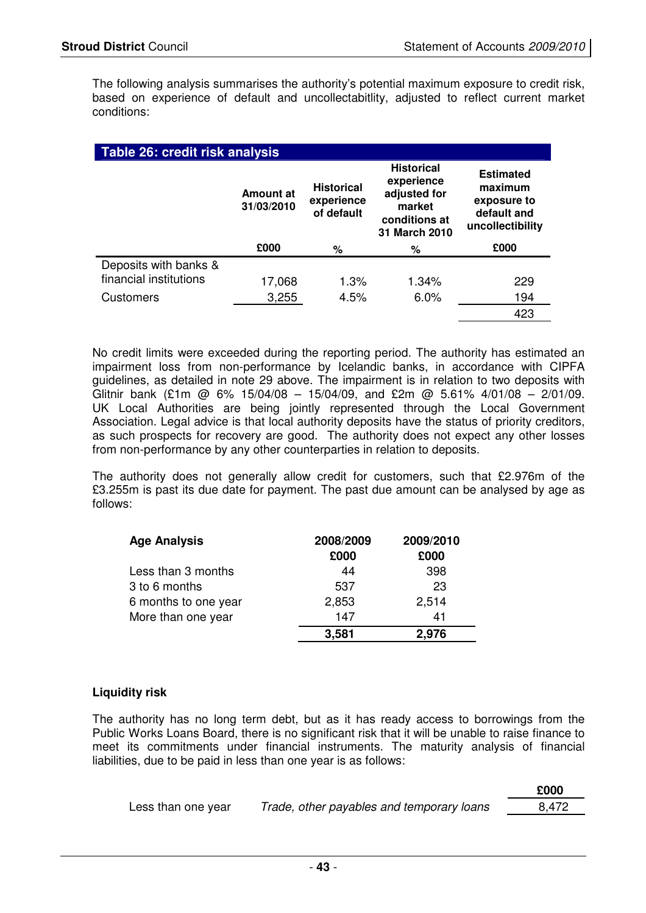The following analysis summarises the authority's potential maximum exposure to credit risk, based on experience of default and uncollectabitlity, adjusted to reflect current market conditions:

| Table 26: credit risk analysis |                         |                                               |                                                                                             |                                                                               |  |  |
|--------------------------------|-------------------------|-----------------------------------------------|---------------------------------------------------------------------------------------------|-------------------------------------------------------------------------------|--|--|
|                                | Amount at<br>31/03/2010 | <b>Historical</b><br>experience<br>of default | <b>Historical</b><br>experience<br>adjusted for<br>market<br>conditions at<br>31 March 2010 | <b>Estimated</b><br>maximum<br>exposure to<br>default and<br>uncollectibility |  |  |
|                                | £000                    | ℅                                             | %                                                                                           | £000                                                                          |  |  |
| Deposits with banks &          |                         |                                               |                                                                                             |                                                                               |  |  |
| financial institutions         | 17,068                  | 1.3%                                          | $1.34\%$                                                                                    | 229                                                                           |  |  |
| <b>Customers</b>               | 3,255                   | 4.5%                                          | 6.0%                                                                                        | 194                                                                           |  |  |
|                                |                         |                                               |                                                                                             | 423                                                                           |  |  |

No credit limits were exceeded during the reporting period. The authority has estimated an impairment loss from non-performance by Icelandic banks, in accordance with CIPFA guidelines, as detailed in note 29 above. The impairment is in relation to two deposits with Glitnir bank (£1m @ 6% 15/04/08 – 15/04/09, and £2m @ 5.61% 4/01/08 – 2/01/09. UK Local Authorities are being jointly represented through the Local Government Association. Legal advice is that local authority deposits have the status of priority creditors, as such prospects for recovery are good. The authority does not expect any other losses from non-performance by any other counterparties in relation to deposits.

The authority does not generally allow credit for customers, such that £2.976m of the £3.255m is past its due date for payment. The past due amount can be analysed by age as follows:

| <b>Age Analysis</b>  | 2008/2009 | 2009/2010 |  |
|----------------------|-----------|-----------|--|
|                      | £000      | £000      |  |
| Less than 3 months   | 44        | 398       |  |
| 3 to 6 months        | 537       | 23        |  |
| 6 months to one year | 2,853     | 2,514     |  |
| More than one year   | 147       | 41        |  |
|                      | 3,581     | 2,976     |  |

#### **Liquidity risk**

The authority has no long term debt, but as it has ready access to borrowings from the Public Works Loans Board, there is no significant risk that it will be unable to raise finance to meet its commitments under financial instruments. The maturity analysis of financial liabilities, due to be paid in less than one year is as follows:

|                    |                                           | £000  |
|--------------------|-------------------------------------------|-------|
| Less than one year | Trade, other payables and temporary loans | 8.472 |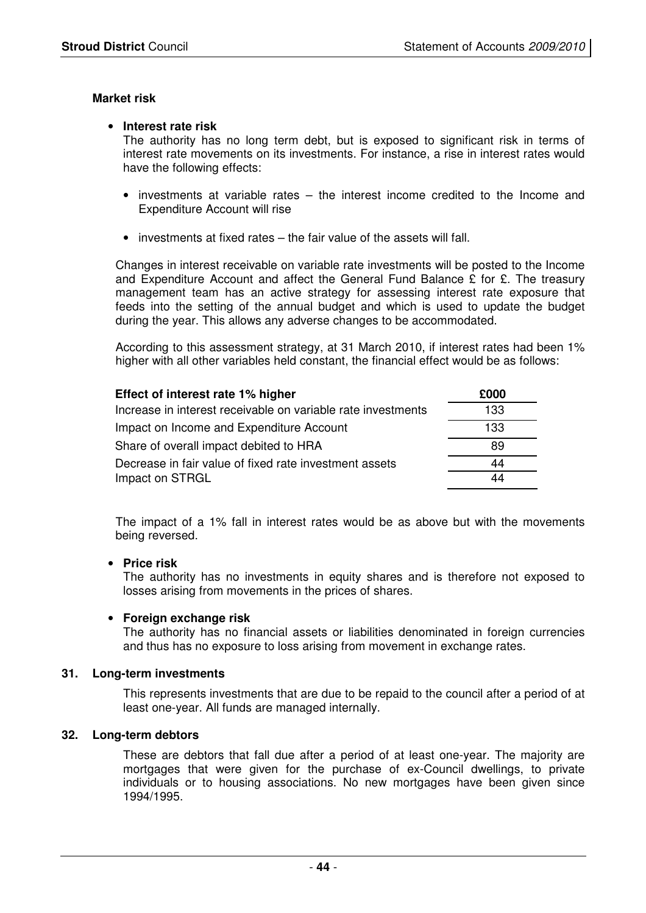#### **Market risk**

#### • **Interest rate risk**

The authority has no long term debt, but is exposed to significant risk in terms of interest rate movements on its investments. For instance, a rise in interest rates would have the following effects:

- investments at variable rates the interest income credited to the Income and Expenditure Account will rise
- investments at fixed rates the fair value of the assets will fall.

Changes in interest receivable on variable rate investments will be posted to the Income and Expenditure Account and affect the General Fund Balance  $\hat{\Sigma}$  for  $\hat{\Sigma}$ . The treasury management team has an active strategy for assessing interest rate exposure that feeds into the setting of the annual budget and which is used to update the budget during the year. This allows any adverse changes to be accommodated.

According to this assessment strategy, at 31 March 2010, if interest rates had been 1% higher with all other variables held constant, the financial effect would be as follows:

| Effect of interest rate 1% higher                            | £000 |
|--------------------------------------------------------------|------|
| Increase in interest receivable on variable rate investments | 133  |
| Impact on Income and Expenditure Account                     | 133  |
| Share of overall impact debited to HRA                       | 89   |
| Decrease in fair value of fixed rate investment assets       | 44   |
| Impact on STRGL                                              | 44   |

 The impact of a 1% fall in interest rates would be as above but with the movements being reversed.

#### • **Price risk**

The authority has no investments in equity shares and is therefore not exposed to losses arising from movements in the prices of shares.

#### • **Foreign exchange risk**

The authority has no financial assets or liabilities denominated in foreign currencies and thus has no exposure to loss arising from movement in exchange rates.

#### **31. Long-term investments**

 This represents investments that are due to be repaid to the council after a period of at least one-year. All funds are managed internally.

#### **32. Long-term debtors**

 These are debtors that fall due after a period of at least one-year. The majority are mortgages that were given for the purchase of ex-Council dwellings, to private individuals or to housing associations. No new mortgages have been given since 1994/1995.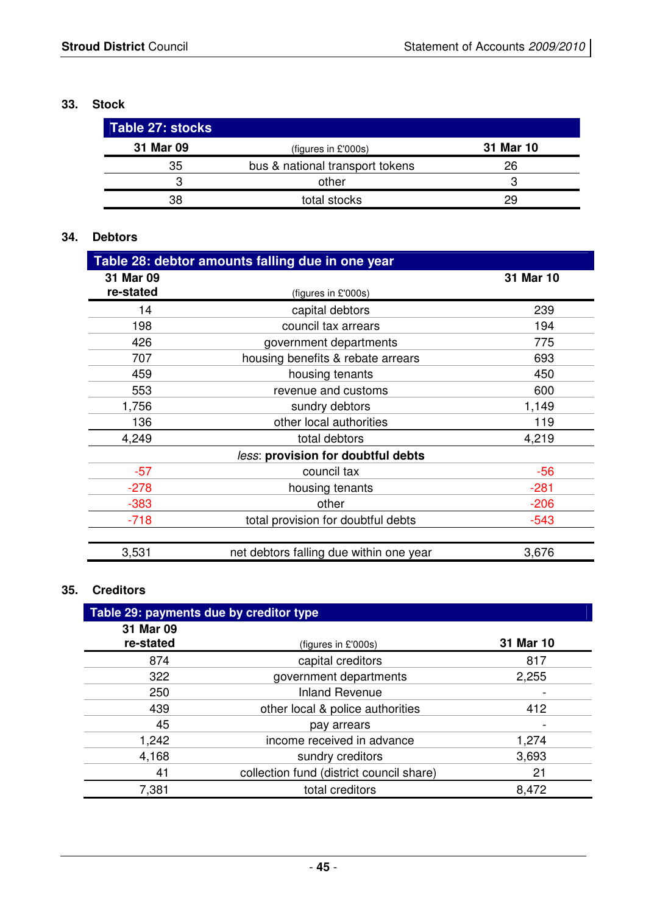## **33. Stock**

| Table 27: stocks |                                 |           |
|------------------|---------------------------------|-----------|
| 31 Mar 09        | (figures in £'000s)             | 31 Mar 10 |
| 35               | bus & national transport tokens | 26        |
| З                | other                           | 3         |
| 38               | total stocks                    | 29        |

# **34. Debtors**

| Table 28: debtor amounts falling due in one year |                                         |           |  |  |
|--------------------------------------------------|-----------------------------------------|-----------|--|--|
| 31 Mar 09                                        |                                         | 31 Mar 10 |  |  |
| re-stated                                        | (figures in £'000s)                     |           |  |  |
| 14                                               | capital debtors                         | 239       |  |  |
| 198                                              | council tax arrears                     | 194       |  |  |
| 426                                              | government departments                  | 775       |  |  |
| 707                                              | housing benefits & rebate arrears       | 693       |  |  |
| 459                                              | housing tenants                         | 450       |  |  |
| 553                                              | revenue and customs                     | 600       |  |  |
| 1,756                                            | sundry debtors                          | 1,149     |  |  |
| 136                                              | other local authorities                 | 119       |  |  |
| 4,249                                            | total debtors                           | 4,219     |  |  |
|                                                  | less: provision for doubtful debts      |           |  |  |
| $-57$                                            | council tax                             | $-56$     |  |  |
| $-278$                                           | housing tenants                         | $-281$    |  |  |
| $-383$                                           | other                                   | $-206$    |  |  |
| $-718$                                           | total provision for doubtful debts      | $-543$    |  |  |
|                                                  |                                         |           |  |  |
| 3,531                                            | net debtors falling due within one year | 3,676     |  |  |

# **35. Creditors**

| Table 29: payments due by creditor type |                                          |           |  |  |
|-----------------------------------------|------------------------------------------|-----------|--|--|
| 31 Mar 09                               |                                          |           |  |  |
| re-stated                               | (figures in £'000s)                      | 31 Mar 10 |  |  |
| 874                                     | capital creditors                        | 817       |  |  |
| 322                                     | government departments                   | 2,255     |  |  |
| 250                                     | <b>Inland Revenue</b>                    |           |  |  |
| 439                                     | other local & police authorities         | 412       |  |  |
| 45                                      | pay arrears                              |           |  |  |
| 1,242                                   | income received in advance               | 1,274     |  |  |
| 4,168                                   | sundry creditors                         | 3,693     |  |  |
| 41                                      | collection fund (district council share) | 21        |  |  |
| 7,381                                   | total creditors                          | 8,472     |  |  |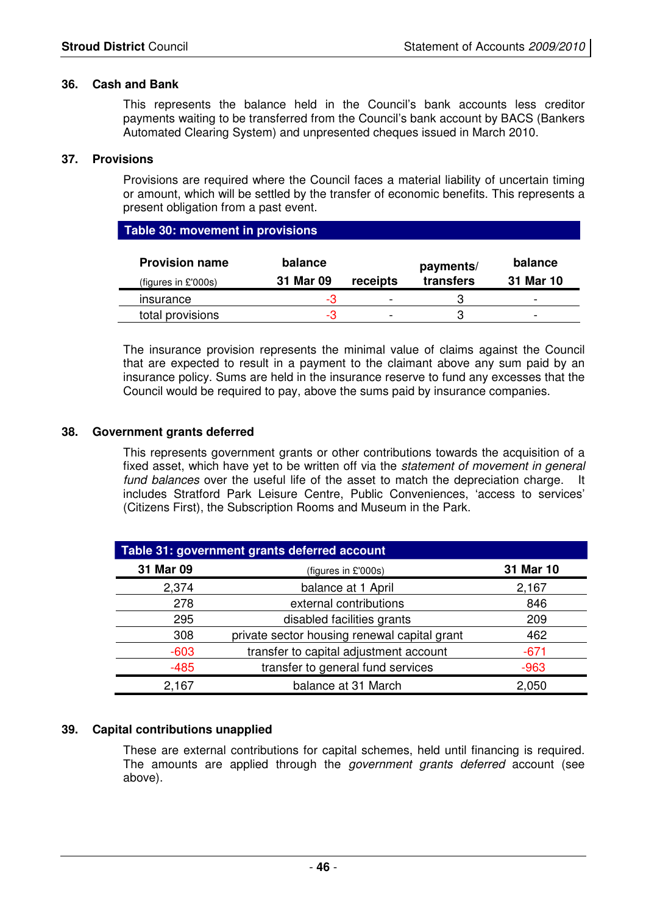#### **36. Cash and Bank**

 This represents the balance held in the Council's bank accounts less creditor payments waiting to be transferred from the Council's bank account by BACS (Bankers Automated Clearing System) and unpresented cheques issued in March 2010.

#### **37. Provisions**

Provisions are required where the Council faces a material liability of uncertain timing or amount, which will be settled by the transfer of economic benefits. This represents a present obligation from a past event.

| Table 30: movement in provisions                |                      |          |                        |                          |  |  |  |
|-------------------------------------------------|----------------------|----------|------------------------|--------------------------|--|--|--|
| <b>Provision name</b><br>(figures in $£'000s$ ) | balance<br>31 Mar 09 | receipts | payments/<br>transfers | balance<br>31 Mar 10     |  |  |  |
| insurance                                       | -3                   |          |                        | $\overline{\phantom{0}}$ |  |  |  |
| total provisions                                | -3                   |          | ാ                      | $\overline{\phantom{0}}$ |  |  |  |

 The insurance provision represents the minimal value of claims against the Council that are expected to result in a payment to the claimant above any sum paid by an insurance policy. Sums are held in the insurance reserve to fund any excesses that the Council would be required to pay, above the sums paid by insurance companies.

#### **38. Government grants deferred**

This represents government grants or other contributions towards the acquisition of a fixed asset, which have yet to be written off via the statement of movement in general fund balances over the useful life of the asset to match the depreciation charge. It includes Stratford Park Leisure Centre, Public Conveniences, 'access to services' (Citizens First), the Subscription Rooms and Museum in the Park.

| Table 31: government grants deferred account |                                              |           |  |  |
|----------------------------------------------|----------------------------------------------|-----------|--|--|
| 31 Mar 09                                    | (figures in £'000s)                          | 31 Mar 10 |  |  |
| 2,374                                        | balance at 1 April                           | 2,167     |  |  |
| 278                                          | external contributions                       | 846       |  |  |
| 295                                          | disabled facilities grants                   | 209       |  |  |
| 308                                          | private sector housing renewal capital grant | 462       |  |  |
| $-603$                                       | transfer to capital adjustment account       | $-671$    |  |  |
| $-485$                                       | transfer to general fund services            | $-963$    |  |  |
| 2,167                                        | balance at 31 March                          | 2,050     |  |  |

#### **39. Capital contributions unapplied**

These are external contributions for capital schemes, held until financing is required. The amounts are applied through the *government grants deferred* account (see above).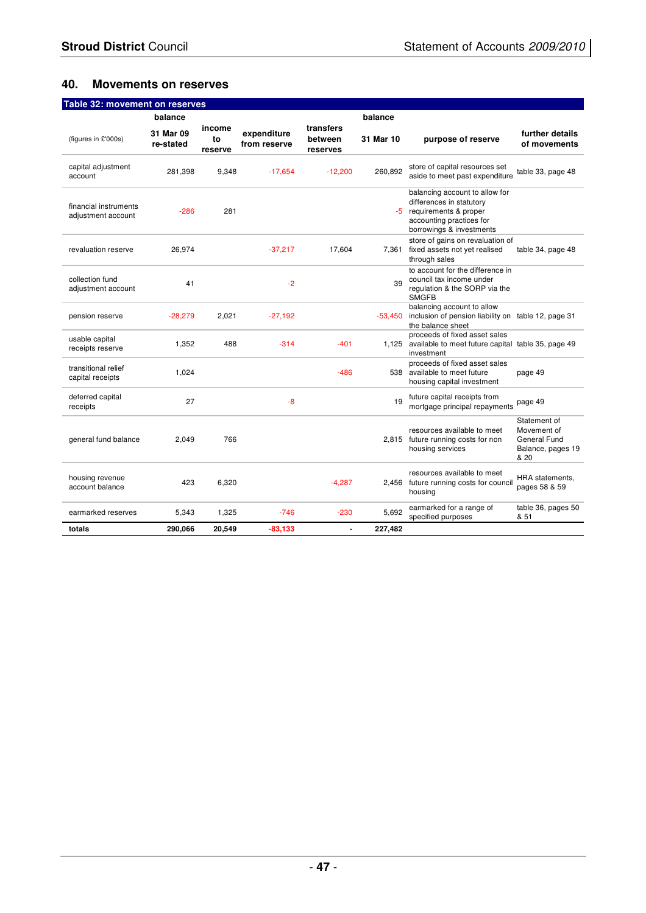### **40. Movements on reserves**

| Table 32: movement on reserves              |                        |                         |                             |                                  |           |                                                                                                                                             |                                                                          |
|---------------------------------------------|------------------------|-------------------------|-----------------------------|----------------------------------|-----------|---------------------------------------------------------------------------------------------------------------------------------------------|--------------------------------------------------------------------------|
|                                             | balance                |                         |                             |                                  | balance   |                                                                                                                                             |                                                                          |
| (figures in £'000s)                         | 31 Mar 09<br>re-stated | income<br>to<br>reserve | expenditure<br>from reserve | transfers<br>between<br>reserves | 31 Mar 10 | purpose of reserve                                                                                                                          | further details<br>of movements                                          |
| capital adjustment<br>account               | 281,398                | 9,348                   | $-17,654$                   | $-12,200$                        | 260,892   | store of capital resources set<br>aside to meet past expenditure                                                                            | table 33, page 48                                                        |
| financial instruments<br>adjustment account | $-286$                 | 281                     |                             |                                  | -5        | balancing account to allow for<br>differences in statutory<br>requirements & proper<br>accounting practices for<br>borrowings & investments |                                                                          |
| revaluation reserve                         | 26,974                 |                         | $-37.217$                   | 17,604                           | 7.361     | store of gains on revaluation of<br>fixed assets not yet realised<br>through sales                                                          | table 34, page 48                                                        |
| collection fund<br>adjustment account       | 41                     |                         | $-2$                        |                                  | 39        | to account for the difference in<br>council tax income under<br>regulation & the SORP via the<br><b>SMGFB</b>                               |                                                                          |
| pension reserve                             | $-28,279$              | 2,021                   | $-27.192$                   |                                  | $-53.450$ | balancing account to allow<br>inclusion of pension liability on table 12, page 31<br>the balance sheet                                      |                                                                          |
| usable capital<br>receipts reserve          | 1,352                  | 488                     | $-314$                      | $-401$                           | 1.125     | proceeds of fixed asset sales<br>available to meet future capital table 35, page 49<br>investment                                           |                                                                          |
| transitional relief<br>capital receipts     | 1.024                  |                         |                             | $-486$                           | 538       | proceeds of fixed asset sales<br>available to meet future<br>housing capital investment                                                     | page 49                                                                  |
| deferred capital<br>receipts                | 27                     |                         | $-8$                        |                                  | 19        | future capital receipts from<br>mortgage principal repayments                                                                               | page 49                                                                  |
| general fund balance                        | 2.049                  | 766                     |                             |                                  |           | resources available to meet<br>2,815 future running costs for non<br>housing services                                                       | Statement of<br>Movement of<br>General Fund<br>Balance, pages 19<br>& 20 |
| housing revenue<br>account balance          | 423                    | 6,320                   |                             | $-4,287$                         |           | resources available to meet<br>2,456 future running costs for council<br>housing                                                            | HRA statements,<br>pages 58 & 59                                         |
| earmarked reserves                          | 5,343                  | 1,325                   | $-746$                      | $-230$                           | 5.692     | earmarked for a range of<br>specified purposes                                                                                              | table 36, pages 50<br>& 51                                               |
| totals                                      | 290,066                | 20,549                  | -83,133                     | $\overline{a}$                   | 227,482   |                                                                                                                                             |                                                                          |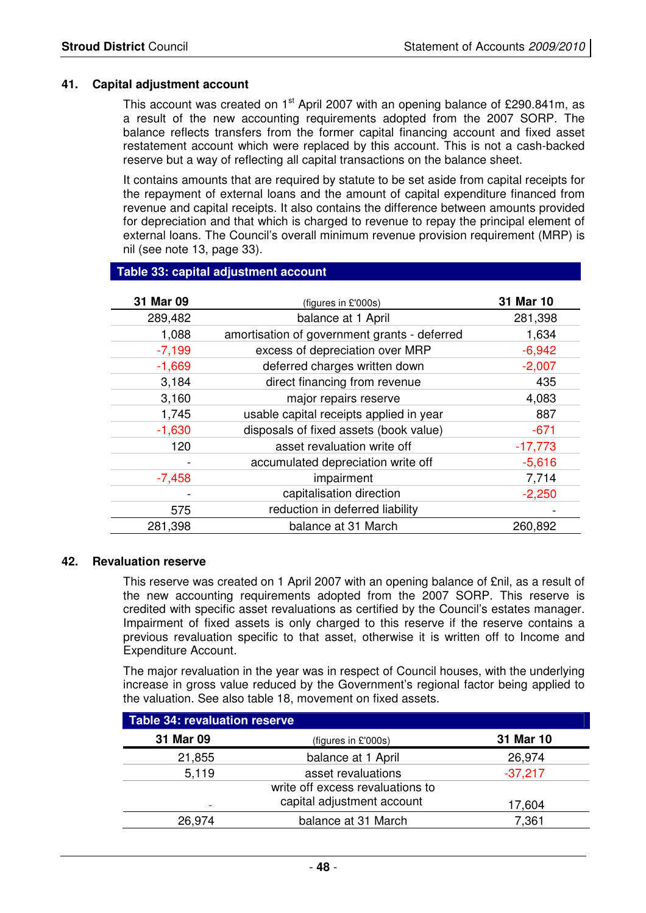#### **41. Capital adjustment account**

This account was created on  $1<sup>st</sup>$  April 2007 with an opening balance of £290.841m, as a result of the new accounting requirements adopted from the 2007 SORP. The balance reflects transfers from the former capital financing account and fixed asset restatement account which were replaced by this account. This is not a cash-backed reserve but a way of reflecting all capital transactions on the balance sheet.

It contains amounts that are required by statute to be set aside from capital receipts for the repayment of external loans and the amount of capital expenditure financed from revenue and capital receipts. It also contains the difference between amounts provided for depreciation and that which is charged to revenue to repay the principal element of external loans. The Council's overall minimum revenue provision requirement (MRP) is nil (see note 13, page 33).

#### **Table 33: capital adjustment account**

| 31 Mar 09 | (figures in £'000s)                          | 31 Mar 10 |
|-----------|----------------------------------------------|-----------|
| 289,482   | balance at 1 April                           | 281,398   |
| 1,088     | amortisation of government grants - deferred | 1,634     |
| $-7,199$  | excess of depreciation over MRP              | $-6,942$  |
| $-1,669$  | deferred charges written down                | $-2,007$  |
| 3,184     | direct financing from revenue                | 435       |
| 3,160     | major repairs reserve                        | 4,083     |
| 1,745     | usable capital receipts applied in year      | 887       |
| $-1,630$  | disposals of fixed assets (book value)       | $-671$    |
| 120       | asset revaluation write off                  | $-17,773$ |
|           | accumulated depreciation write off           | $-5,616$  |
| $-7,458$  | impairment                                   | 7,714     |
|           | capitalisation direction                     | $-2,250$  |
| 575       | reduction in deferred liability              |           |
| 281,398   | balance at 31 March                          | 260,892   |

#### **42. Revaluation reserve**

 This reserve was created on 1 April 2007 with an opening balance of £nil, as a result of the new accounting requirements adopted from the 2007 SORP. This reserve is credited with specific asset revaluations as certified by the Council's estates manager. Impairment of fixed assets is only charged to this reserve if the reserve contains a previous revaluation specific to that asset, otherwise it is written off to Income and Expenditure Account.

 The major revaluation in the year was in respect of Council houses, with the underlying increase in gross value reduced by the Government's regional factor being applied to the valuation. See also table 18, movement on fixed assets.

| <b>Table 34: revaluation reserve</b> |                                  |           |  |  |
|--------------------------------------|----------------------------------|-----------|--|--|
| 31 Mar 09                            | (figures in £'000s)              | 31 Mar 10 |  |  |
| 21,855                               | balance at 1 April               | 26,974    |  |  |
| 5,119                                | asset revaluations               | $-37,217$ |  |  |
|                                      | write off excess revaluations to |           |  |  |
|                                      | capital adjustment account       | 17,604    |  |  |
| 26,974                               | balance at 31 March              | 7,361     |  |  |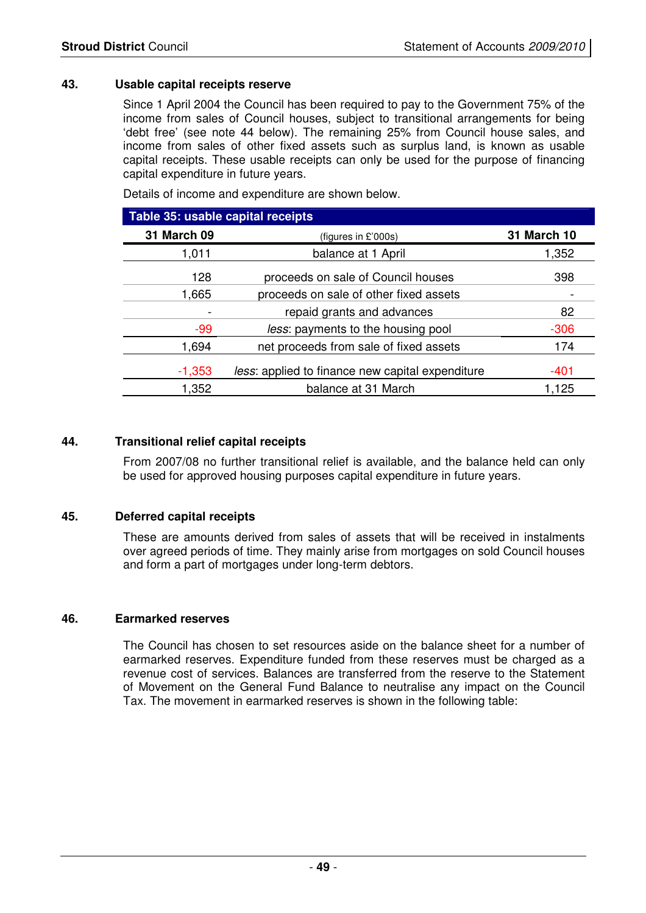#### **43. Usable capital receipts reserve**

 Since 1 April 2004 the Council has been required to pay to the Government 75% of the income from sales of Council houses, subject to transitional arrangements for being 'debt free' (see note 44 below). The remaining 25% from Council house sales, and income from sales of other fixed assets such as surplus land, is known as usable capital receipts. These usable receipts can only be used for the purpose of financing capital expenditure in future years.

Details of income and expenditure are shown below.

| Table 35: usable capital receipts |                                                  |                    |  |  |
|-----------------------------------|--------------------------------------------------|--------------------|--|--|
| <b>31 March 09</b>                | (figures in $£'000s$ )                           | <b>31 March 10</b> |  |  |
| 1,011                             | balance at 1 April                               | 1,352              |  |  |
| 128                               | proceeds on sale of Council houses               | 398                |  |  |
| 1,665                             | proceeds on sale of other fixed assets           |                    |  |  |
|                                   | repaid grants and advances                       | 82                 |  |  |
| $-99$                             | less: payments to the housing pool               | $-306$             |  |  |
| 1,694                             | net proceeds from sale of fixed assets           | 174                |  |  |
| $-1,353$                          | less: applied to finance new capital expenditure | -401               |  |  |
| 1,352                             | balance at 31 March                              | 1,125              |  |  |

#### **44. Transitional relief capital receipts**

 From 2007/08 no further transitional relief is available, and the balance held can only be used for approved housing purposes capital expenditure in future years.

#### **45. Deferred capital receipts**

 These are amounts derived from sales of assets that will be received in instalments over agreed periods of time. They mainly arise from mortgages on sold Council houses and form a part of mortgages under long-term debtors.

#### **46. Earmarked reserves**

 The Council has chosen to set resources aside on the balance sheet for a number of earmarked reserves. Expenditure funded from these reserves must be charged as a revenue cost of services. Balances are transferred from the reserve to the Statement of Movement on the General Fund Balance to neutralise any impact on the Council Tax. The movement in earmarked reserves is shown in the following table: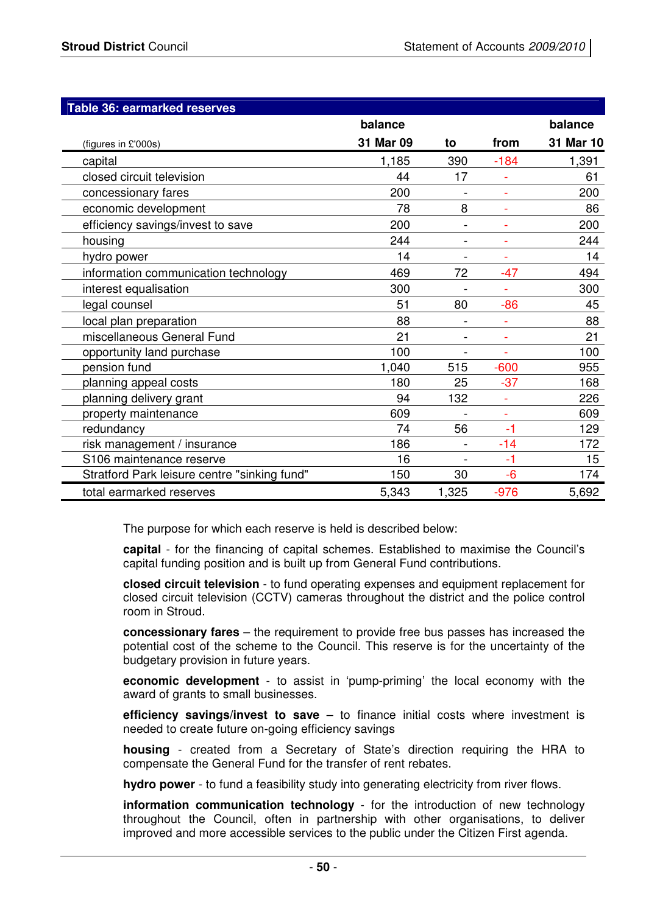| Table 36: earmarked reserves                 |           |                |                          |           |
|----------------------------------------------|-----------|----------------|--------------------------|-----------|
|                                              | balance   |                |                          | balance   |
| (figures in £'000s)                          | 31 Mar 09 | to             | from                     | 31 Mar 10 |
| capital                                      | 1,185     | 390            | $-184$                   | 1,391     |
| closed circuit television                    | 44        | 17             |                          | 61        |
| concessionary fares                          | 200       |                | $\blacksquare$           | 200       |
| economic development                         | 78        | 8              |                          | 86        |
| efficiency savings/invest to save            | 200       |                | ÷.                       | 200       |
| housing                                      | 244       |                | ÷                        | 244       |
| hydro power                                  | 14        | $\blacksquare$ | ÷.                       | 14        |
| information communication technology         | 469       | 72             | $-47$                    | 494       |
| interest equalisation                        | 300       |                | $\overline{\phantom{a}}$ | 300       |
| legal counsel                                | 51        | 80             | $-86$                    | 45        |
| local plan preparation                       | 88        |                |                          | 88        |
| miscellaneous General Fund                   | 21        |                | $\bar{\phantom{a}}$      | 21        |
| opportunity land purchase                    | 100       |                | $\blacksquare$           | 100       |
| pension fund                                 | 1,040     | 515            | $-600$                   | 955       |
| planning appeal costs                        | 180       | 25             | $-37$                    | 168       |
| planning delivery grant                      | 94        | 132            |                          | 226       |
| property maintenance                         | 609       |                | $\sim$                   | 609       |
| redundancy                                   | 74        | 56             | $-1$                     | 129       |
| risk management / insurance                  | 186       |                | $-14$                    | 172       |
| S106 maintenance reserve                     | 16        | $\blacksquare$ | $-1$                     | 15        |
| Stratford Park leisure centre "sinking fund" | 150       | 30             | $-6$                     | 174       |
| total earmarked reserves                     | 5.343     | 1,325          | $-976$                   | 5,692     |

The purpose for which each reserve is held is described below:

**capital** - for the financing of capital schemes. Established to maximise the Council's capital funding position and is built up from General Fund contributions.

**closed circuit television** - to fund operating expenses and equipment replacement for closed circuit television (CCTV) cameras throughout the district and the police control room in Stroud.

**concessionary fares** – the requirement to provide free bus passes has increased the potential cost of the scheme to the Council. This reserve is for the uncertainty of the budgetary provision in future years.

**economic development** - to assist in 'pump-priming' the local economy with the award of grants to small businesses.

**efficiency savings/invest to save** – to finance initial costs where investment is needed to create future on-going efficiency savings

**housing** - created from a Secretary of State's direction requiring the HRA to compensate the General Fund for the transfer of rent rebates.

**hydro power** - to fund a feasibility study into generating electricity from river flows.

**information communication technology** - for the introduction of new technology throughout the Council, often in partnership with other organisations, to deliver improved and more accessible services to the public under the Citizen First agenda.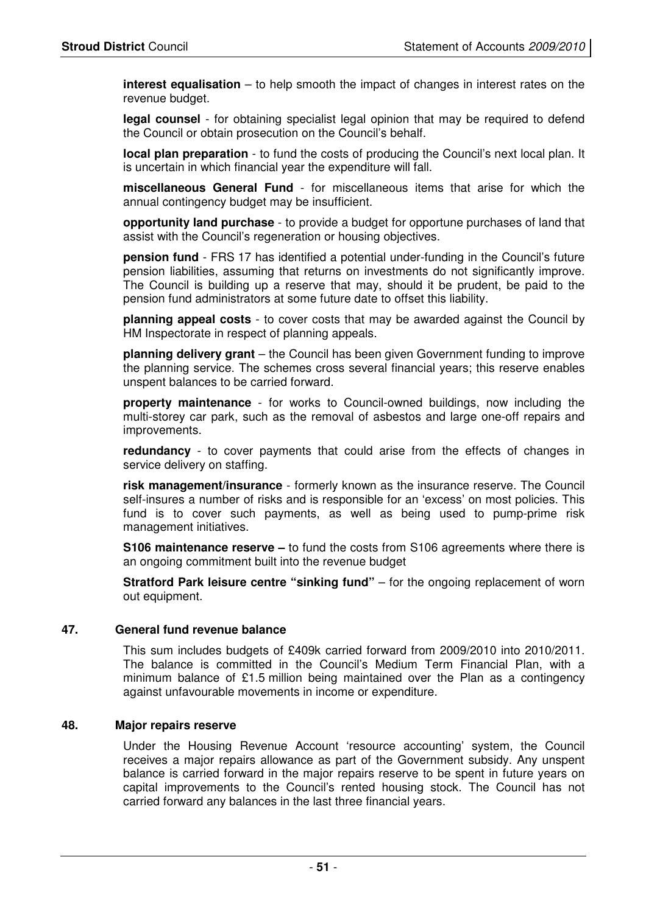**interest equalisation** – to help smooth the impact of changes in interest rates on the revenue budget.

**legal counsel** - for obtaining specialist legal opinion that may be required to defend the Council or obtain prosecution on the Council's behalf.

**local plan preparation** - to fund the costs of producing the Council's next local plan. It is uncertain in which financial year the expenditure will fall.

**miscellaneous General Fund** - for miscellaneous items that arise for which the annual contingency budget may be insufficient.

**opportunity land purchase** - to provide a budget for opportune purchases of land that assist with the Council's regeneration or housing objectives.

**pension fund** - FRS 17 has identified a potential under-funding in the Council's future pension liabilities, assuming that returns on investments do not significantly improve. The Council is building up a reserve that may, should it be prudent, be paid to the pension fund administrators at some future date to offset this liability.

**planning appeal costs** - to cover costs that may be awarded against the Council by HM Inspectorate in respect of planning appeals.

**planning delivery grant** – the Council has been given Government funding to improve the planning service. The schemes cross several financial years; this reserve enables unspent balances to be carried forward.

**property maintenance** - for works to Council-owned buildings, now including the multi-storey car park, such as the removal of asbestos and large one-off repairs and improvements.

**redundancy** - to cover payments that could arise from the effects of changes in service delivery on staffing.

**risk management/insurance** - formerly known as the insurance reserve. The Council self-insures a number of risks and is responsible for an 'excess' on most policies. This fund is to cover such payments, as well as being used to pump-prime risk management initiatives.

**S106 maintenance reserve –** to fund the costs from S106 agreements where there is an ongoing commitment built into the revenue budget

**Stratford Park leisure centre "sinking fund"** – for the ongoing replacement of worn out equipment.

#### **47. General fund revenue balance**

 This sum includes budgets of £409k carried forward from 2009/2010 into 2010/2011. The balance is committed in the Council's Medium Term Financial Plan, with a minimum balance of £1.5 million being maintained over the Plan as a contingency against unfavourable movements in income or expenditure.

#### **48. Major repairs reserve**

 Under the Housing Revenue Account 'resource accounting' system, the Council receives a major repairs allowance as part of the Government subsidy. Any unspent balance is carried forward in the major repairs reserve to be spent in future years on capital improvements to the Council's rented housing stock. The Council has not carried forward any balances in the last three financial years.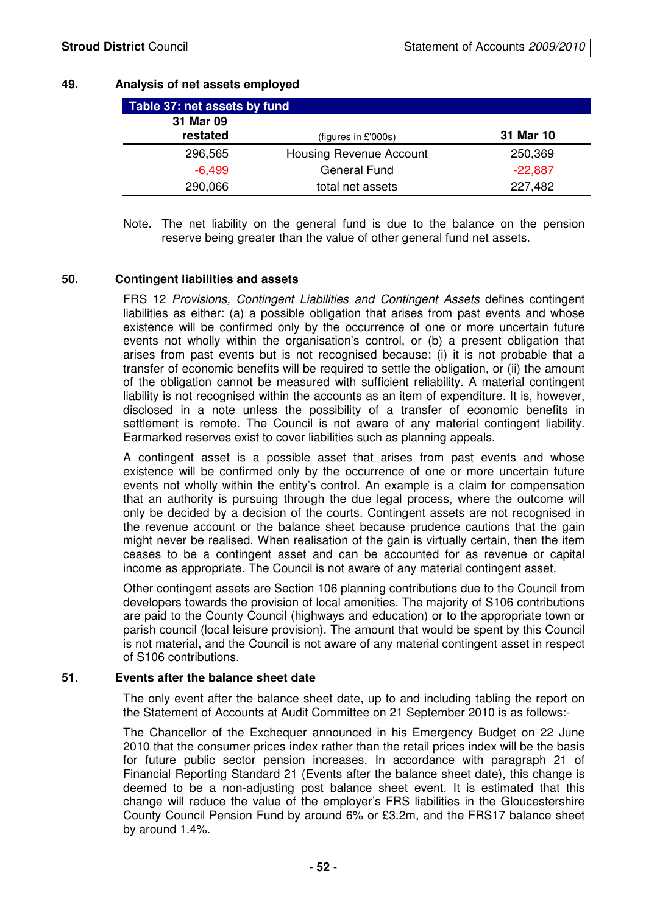#### **49. Analysis of net assets employed**

| Table 37: net assets by fund |                         |           |  |  |
|------------------------------|-------------------------|-----------|--|--|
| 31 Mar 09                    |                         |           |  |  |
| restated                     | (figures in £'000s)     | 31 Mar 10 |  |  |
| 296,565                      | Housing Revenue Account | 250,369   |  |  |
| $-6.499$                     | <b>General Fund</b>     | $-22,887$ |  |  |
| 290,066                      | total net assets        | 227,482   |  |  |

Note. The net liability on the general fund is due to the balance on the pension reserve being greater than the value of other general fund net assets.

#### **50. Contingent liabilities and assets**

 FRS 12 Provisions, Contingent Liabilities and Contingent Assets defines contingent liabilities as either: (a) a possible obligation that arises from past events and whose existence will be confirmed only by the occurrence of one or more uncertain future events not wholly within the organisation's control, or (b) a present obligation that arises from past events but is not recognised because: (i) it is not probable that a transfer of economic benefits will be required to settle the obligation, or (ii) the amount of the obligation cannot be measured with sufficient reliability. A material contingent liability is not recognised within the accounts as an item of expenditure. It is, however, disclosed in a note unless the possibility of a transfer of economic benefits in settlement is remote. The Council is not aware of any material contingent liability. Earmarked reserves exist to cover liabilities such as planning appeals.

 A contingent asset is a possible asset that arises from past events and whose existence will be confirmed only by the occurrence of one or more uncertain future events not wholly within the entity's control. An example is a claim for compensation that an authority is pursuing through the due legal process, where the outcome will only be decided by a decision of the courts. Contingent assets are not recognised in the revenue account or the balance sheet because prudence cautions that the gain might never be realised. When realisation of the gain is virtually certain, then the item ceases to be a contingent asset and can be accounted for as revenue or capital income as appropriate. The Council is not aware of any material contingent asset.

Other contingent assets are Section 106 planning contributions due to the Council from developers towards the provision of local amenities. The majority of S106 contributions are paid to the County Council (highways and education) or to the appropriate town or parish council (local leisure provision). The amount that would be spent by this Council is not material, and the Council is not aware of any material contingent asset in respect of S106 contributions.

#### **51. Events after the balance sheet date**

 The only event after the balance sheet date, up to and including tabling the report on the Statement of Accounts at Audit Committee on 21 September 2010 is as follows:-

 The Chancellor of the Exchequer announced in his Emergency Budget on 22 June 2010 that the consumer prices index rather than the retail prices index will be the basis for future public sector pension increases. In accordance with paragraph 21 of Financial Reporting Standard 21 (Events after the balance sheet date), this change is deemed to be a non-adjusting post balance sheet event. It is estimated that this change will reduce the value of the employer's FRS liabilities in the Gloucestershire County Council Pension Fund by around 6% or £3.2m, and the FRS17 balance sheet by around 1.4%.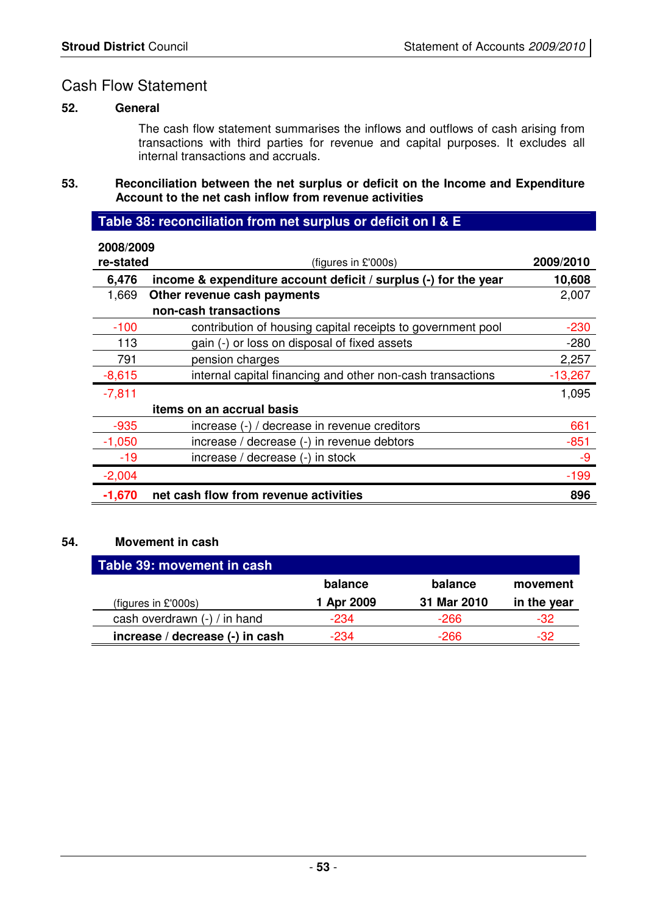# Cash Flow Statement

#### **52. General**

The cash flow statement summarises the inflows and outflows of cash arising from transactions with third parties for revenue and capital purposes. It excludes all internal transactions and accruals.

**53. Reconciliation between the net surplus or deficit on the Income and Expenditure Account to the net cash inflow from revenue activities** 

# **Table 38: reconciliation from net surplus or deficit on I & E**

| 2008/2009 |                                                                 |           |
|-----------|-----------------------------------------------------------------|-----------|
| re-stated | (figures in £'000s)                                             | 2009/2010 |
| 6,476     | income & expenditure account deficit / surplus (-) for the year | 10,608    |
| 1,669     | Other revenue cash payments                                     | 2,007     |
|           | non-cash transactions                                           |           |
| $-100$    | contribution of housing capital receipts to government pool     | $-230$    |
| 113       | gain (-) or loss on disposal of fixed assets                    | $-280$    |
| 791       | pension charges                                                 | 2,257     |
| $-8,615$  | internal capital financing and other non-cash transactions      | $-13,267$ |
| $-7,811$  |                                                                 | 1,095     |
|           | items on an accrual basis                                       |           |
| $-935$    | increase (-) / decrease in revenue creditors                    | 661       |
| $-1,050$  | increase / decrease (-) in revenue debtors                      | $-851$    |
| $-19$     | increase / decrease (-) in stock                                | $-9$      |
| $-2,004$  |                                                                 | $-199$    |
| $-1,670$  | net cash flow from revenue activities                           | 896       |

#### **54. Movement in cash**

| Table 39: movement in cash      |            |             |             |
|---------------------------------|------------|-------------|-------------|
|                                 | balance    | balance     | movement    |
| (figures in $£'000s$ )          | 1 Apr 2009 | 31 Mar 2010 | in the year |
| cash overdrawn (-) / in hand    | $-234$     | -266        | -32         |
| increase / decrease (-) in cash | -234       | -266        | $-32$       |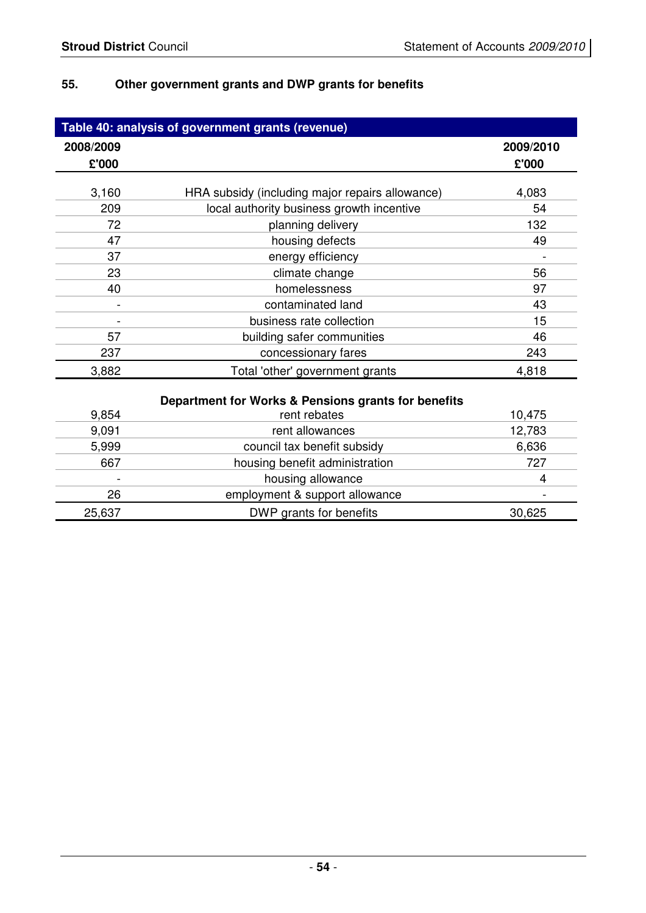# **55. Other government grants and DWP grants for benefits**

|           | Table 40: analysis of government grants (revenue)   |           |
|-----------|-----------------------------------------------------|-----------|
| 2008/2009 |                                                     | 2009/2010 |
| £'000     |                                                     | £'000     |
|           |                                                     |           |
| 3,160     | HRA subsidy (including major repairs allowance)     | 4,083     |
| 209       | local authority business growth incentive           | 54        |
| 72        | planning delivery                                   | 132       |
| 47        | housing defects                                     | 49        |
| 37        | energy efficiency                                   |           |
| 23        | climate change                                      | 56        |
| 40        | homelessness                                        | 97        |
|           | contaminated land                                   | 43        |
|           | business rate collection                            | 15        |
| 57        | building safer communities                          | 46        |
| 237       | concessionary fares                                 | 243       |
| 3,882     | Total 'other' government grants                     | 4,818     |
|           | Department for Works & Pensions grants for benefits |           |
| 9,854     | rent rebates                                        | 10,475    |
| 9,091     | rent allowances                                     | 12,783    |
| 5,999     | council tax benefit subsidy                         | 6,636     |
| 667       | housing benefit administration                      | 727       |
|           | housing allowance                                   | 4         |
| 26        | employment & support allowance                      |           |
| 25,637    | DWP grants for benefits                             | 30,625    |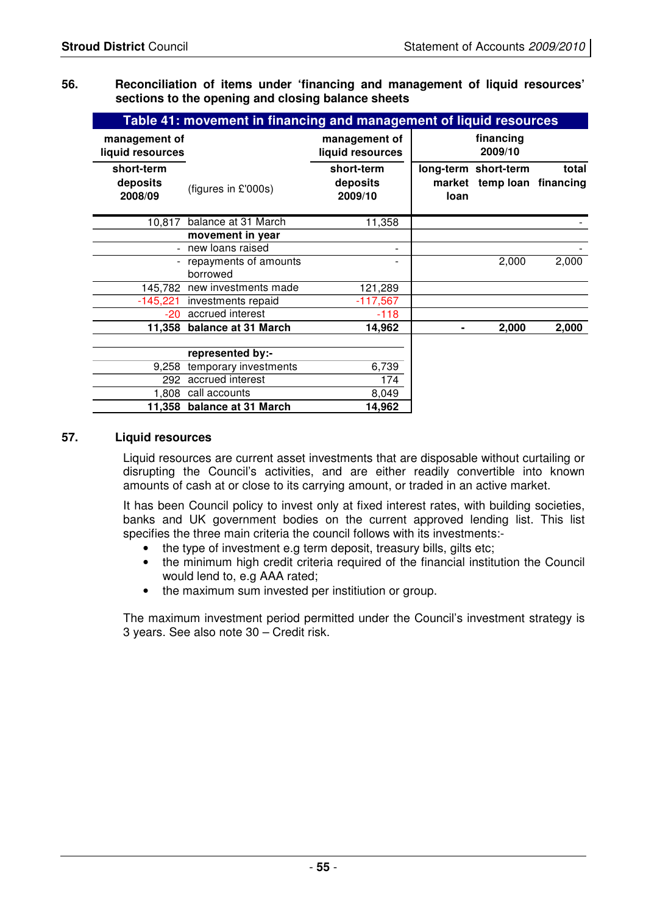#### **56. Reconciliation of items under 'financing and management of liquid resources' sections to the opening and closing balance sheets**

|                                   | Table 41: movement in financing and management of liquid resources |                                   |      |                                                    |       |
|-----------------------------------|--------------------------------------------------------------------|-----------------------------------|------|----------------------------------------------------|-------|
| management of<br>liquid resources |                                                                    | management of<br>liquid resources |      | financing<br>2009/10                               |       |
| short-term<br>deposits<br>2008/09 | (figures in £'000s)                                                | short-term<br>deposits<br>2009/10 | loan | long-term short-term<br>market temp loan financing | total |
| 10,817                            | balance at 31 March                                                | 11,358                            |      |                                                    |       |
|                                   | movement in year                                                   |                                   |      |                                                    |       |
|                                   | - new loans raised                                                 |                                   |      |                                                    |       |
|                                   | - repayments of amounts<br>borrowed                                |                                   |      | 2,000                                              | 2,000 |
|                                   | 145,782 new investments made                                       | 121,289                           |      |                                                    |       |
|                                   | -145,221 investments repaid                                        | $-117,567$                        |      |                                                    |       |
|                                   | -20 accrued interest                                               | $-118$                            |      |                                                    |       |
|                                   | 11,358 balance at 31 March                                         | 14,962                            |      | 2,000                                              | 2,000 |
|                                   | represented by:-                                                   |                                   |      |                                                    |       |
| 9,258                             | temporary investments                                              | 6,739                             |      |                                                    |       |
|                                   | 292 accrued interest                                               | 174                               |      |                                                    |       |
|                                   | 1,808 call accounts                                                | 8,049                             |      |                                                    |       |
|                                   | 11,358 balance at 31 March                                         | 14,962                            |      |                                                    |       |

#### **57. Liquid resources**

 Liquid resources are current asset investments that are disposable without curtailing or disrupting the Council's activities, and are either readily convertible into known amounts of cash at or close to its carrying amount, or traded in an active market.

 It has been Council policy to invest only at fixed interest rates, with building societies, banks and UK government bodies on the current approved lending list. This list specifies the three main criteria the council follows with its investments:-

- the type of investment e.g term deposit, treasury bills, gilts etc;
- the minimum high credit criteria required of the financial institution the Council would lend to, e.g AAA rated;
- the maximum sum invested per institiution or group.

 The maximum investment period permitted under the Council's investment strategy is 3 years. See also note 30 – Credit risk.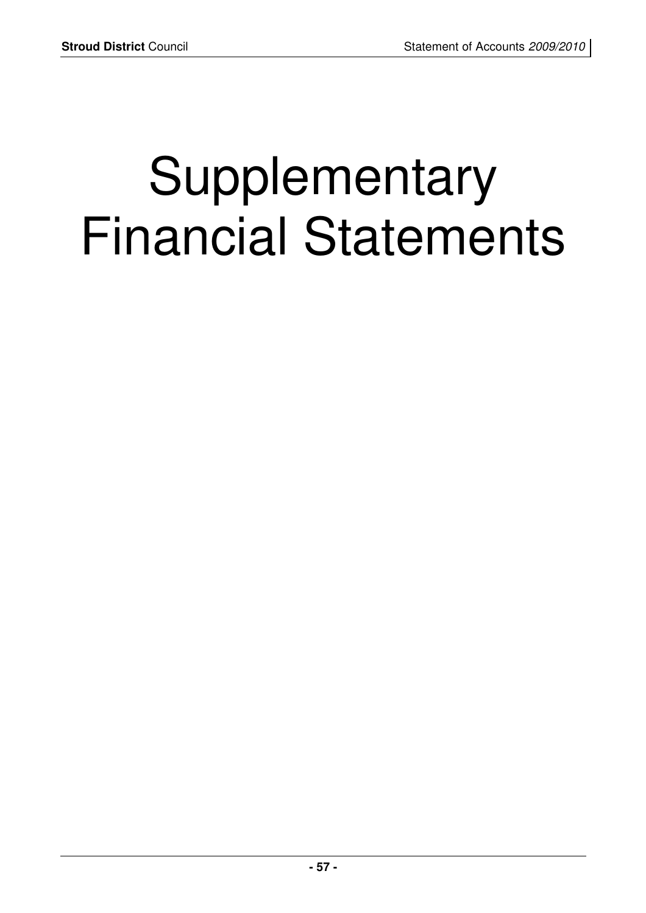# Supplementary Financial Statements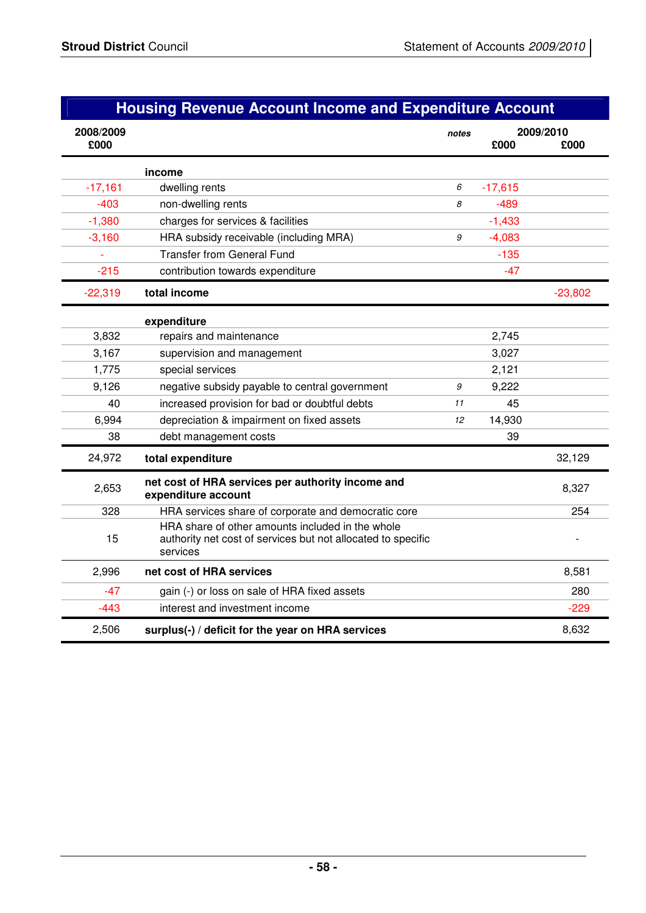# **Housing Revenue Account Income and Expenditure Account**

| 2008/2009<br>£000 |                                                                                                                              | notes | £000      | 2009/2010<br>£000 |
|-------------------|------------------------------------------------------------------------------------------------------------------------------|-------|-----------|-------------------|
|                   |                                                                                                                              |       |           |                   |
|                   | income                                                                                                                       |       |           |                   |
| $-17,161$         | dwelling rents                                                                                                               | 6     | $-17,615$ |                   |
| $-403$            | non-dwelling rents                                                                                                           | 8     | $-489$    |                   |
| $-1,380$          | charges for services & facilities                                                                                            |       | $-1,433$  |                   |
| $-3,160$          | HRA subsidy receivable (including MRA)                                                                                       | 9     | $-4,083$  |                   |
|                   | <b>Transfer from General Fund</b>                                                                                            |       | $-135$    |                   |
| $-215$            | contribution towards expenditure                                                                                             |       | $-47$     |                   |
| $-22,319$         | total income                                                                                                                 |       |           | $-23,802$         |
|                   | expenditure                                                                                                                  |       |           |                   |
| 3,832             | repairs and maintenance                                                                                                      |       | 2,745     |                   |
| 3,167             | supervision and management                                                                                                   |       | 3,027     |                   |
| 1,775             | special services                                                                                                             |       | 2,121     |                   |
| 9,126             | negative subsidy payable to central government                                                                               | 9     | 9,222     |                   |
| 40                | increased provision for bad or doubtful debts                                                                                | 11    | 45        |                   |
| 6,994             | depreciation & impairment on fixed assets                                                                                    | 12    | 14,930    |                   |
| 38                | debt management costs                                                                                                        |       | 39        |                   |
| 24,972            | total expenditure                                                                                                            |       |           | 32,129            |
| 2,653             | net cost of HRA services per authority income and<br>expenditure account                                                     |       |           | 8,327             |
| 328               | HRA services share of corporate and democratic core                                                                          |       |           | 254               |
| 15                | HRA share of other amounts included in the whole<br>authority net cost of services but not allocated to specific<br>services |       |           |                   |
| 2,996             | net cost of HRA services                                                                                                     |       |           | 8,581             |
| $-47$             | gain (-) or loss on sale of HRA fixed assets                                                                                 |       |           | 280               |
| $-443$            | interest and investment income                                                                                               |       |           | $-229$            |
| 2,506             | surplus(-) / deficit for the year on HRA services                                                                            |       |           | 8,632             |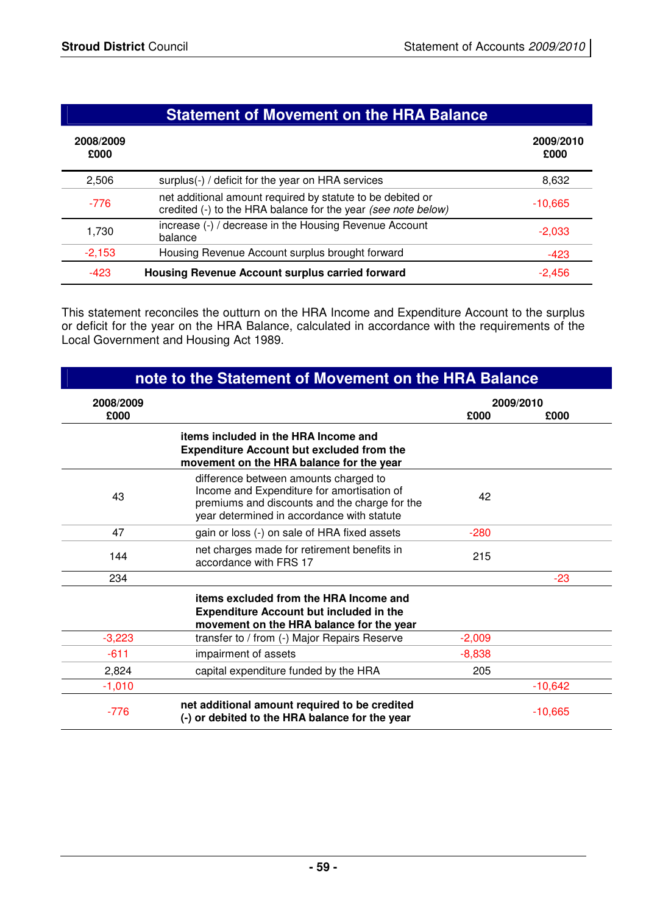|                   | <b>Statement of Movement on the HRA Balance</b>                                                                             |                   |  |
|-------------------|-----------------------------------------------------------------------------------------------------------------------------|-------------------|--|
| 2008/2009<br>£000 |                                                                                                                             | 2009/2010<br>£000 |  |
| 2,506             | surplus(-) / deficit for the year on HRA services                                                                           | 8,632             |  |
| $-776$            | net additional amount required by statute to be debited or<br>credited (-) to the HRA balance for the year (see note below) | $-10,665$         |  |
| 1,730             | increase (-) / decrease in the Housing Revenue Account<br>balance                                                           | $-2,033$          |  |
| $-2,153$          | Housing Revenue Account surplus brought forward                                                                             | $-423$            |  |
| $-423$            | Housing Revenue Account surplus carried forward                                                                             | $-2.456$          |  |

This statement reconciles the outturn on the HRA Income and Expenditure Account to the surplus or deficit for the year on the HRA Balance, calculated in accordance with the requirements of the Local Government and Housing Act 1989.

| note to the Statement of Movement on the HRA Balance |                                                                                                                                                                                    |          |           |
|------------------------------------------------------|------------------------------------------------------------------------------------------------------------------------------------------------------------------------------------|----------|-----------|
| 2008/2009                                            |                                                                                                                                                                                    |          | 2009/2010 |
| £000                                                 |                                                                                                                                                                                    | £000     | £000      |
|                                                      | items included in the HRA Income and<br><b>Expenditure Account but excluded from the</b><br>movement on the HRA balance for the year                                               |          |           |
| 43                                                   | difference between amounts charged to<br>Income and Expenditure for amortisation of<br>premiums and discounts and the charge for the<br>year determined in accordance with statute | 42       |           |
| 47                                                   | gain or loss (-) on sale of HRA fixed assets                                                                                                                                       | $-280$   |           |
| 144                                                  | net charges made for retirement benefits in<br>accordance with FRS 17                                                                                                              | 215      |           |
| 234                                                  |                                                                                                                                                                                    |          | $-23$     |
|                                                      | items excluded from the HRA Income and<br><b>Expenditure Account but included in the</b><br>movement on the HRA balance for the year                                               |          |           |
| $-3,223$                                             | transfer to / from (-) Major Repairs Reserve                                                                                                                                       | $-2,009$ |           |
| $-611$                                               | impairment of assets                                                                                                                                                               | $-8,838$ |           |
| 2,824                                                | capital expenditure funded by the HRA                                                                                                                                              | 205      |           |
| $-1,010$                                             |                                                                                                                                                                                    |          | $-10,642$ |
| $-776$                                               | net additional amount required to be credited<br>(-) or debited to the HRA balance for the year                                                                                    |          | $-10,665$ |

# **- 59 -**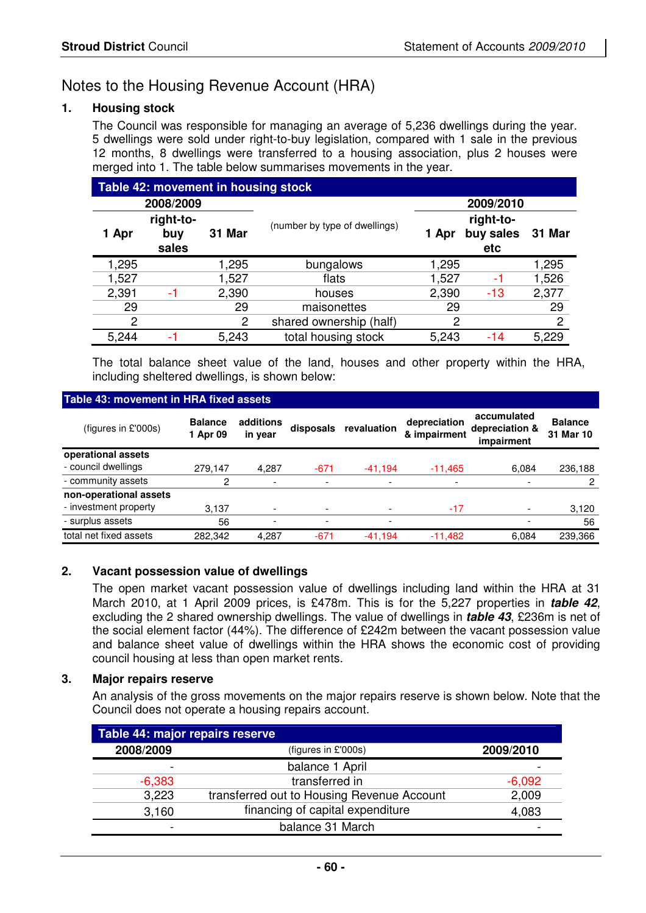# Notes to the Housing Revenue Account (HRA)

#### **1. Housing stock**

The Council was responsible for managing an average of 5,236 dwellings during the year. 5 dwellings were sold under right-to-buy legislation, compared with 1 sale in the previous 12 months, 8 dwellings were transferred to a housing association, plus 2 houses were merged into 1. The table below summarises movements in the year.

| Table 42: movement in housing stock |                           |        |                               |                                        |           |        |
|-------------------------------------|---------------------------|--------|-------------------------------|----------------------------------------|-----------|--------|
|                                     | 2008/2009                 |        |                               |                                        | 2009/2010 |        |
| 1 Apr                               | right-to-<br>buy<br>sales | 31 Mar | (number by type of dwellings) | right-to-<br>buy sales<br>1 Apr<br>etc |           | 31 Mar |
| 1,295                               |                           | 1,295  | bungalows                     | 1,295                                  |           | 1,295  |
| 1,527                               |                           | 1,527  | flats                         | 1,527                                  | -1        | 1,526  |
| 2,391                               | -1                        | 2,390  | houses                        | 2,390                                  | -13       | 2,377  |
| 29                                  |                           | 29     | maisonettes                   | 29                                     |           | 29     |
| 2                                   |                           | 2      | shared ownership (half)       | 2                                      |           | 2      |
| 5,244                               |                           | 5,243  | total housing stock           | 5,243                                  | -14       | 5,229  |

The total balance sheet value of the land, houses and other property within the HRA, including sheltered dwellings, is shown below:

#### (figures in £'000s) **Balance 1 Apr 09 additions in year disposals revaluation depreciation & impairment accumulated depreciation & impairment Balance 31 Mar 10 operational assets** - council dwellings 279,147 4,287 -671 -41,194 -11,465 6,084 236,188 - community assets 2 - - - - - - - - - 2 **non-operational assets** - investment property 3,137 - - - - - - - - - - 3,120 - surplus assets 56 - - - - 56 total net fixed assets 282,342 4,287 -671 -41,194 -11,482 6,084 239,366 **Table 43: movement in HRA fixed assets**

#### **2. Vacant possession value of dwellings**

The open market vacant possession value of dwellings including land within the HRA at 31 March 2010, at 1 April 2009 prices, is £478m. This is for the 5,227 properties in **table 42**, excluding the 2 shared ownership dwellings. The value of dwellings in **table 43**, £236m is net of the social element factor (44%). The difference of £242m between the vacant possession value and balance sheet value of dwellings within the HRA shows the economic cost of providing council housing at less than open market rents.

#### **3. Major repairs reserve**

 An analysis of the gross movements on the major repairs reserve is shown below. Note that the Council does not operate a housing repairs account.

| Table 44: major repairs reserve |                                            |           |  |  |  |
|---------------------------------|--------------------------------------------|-----------|--|--|--|
| 2008/2009                       | (figures in £'000s)                        | 2009/2010 |  |  |  |
| $\overline{\phantom{0}}$        | balance 1 April                            |           |  |  |  |
| $-6,383$                        | transferred in                             | $-6,092$  |  |  |  |
| 3,223                           | transferred out to Housing Revenue Account | 2,009     |  |  |  |
| 3,160                           | financing of capital expenditure           | 4,083     |  |  |  |
| -                               | balance 31 March                           |           |  |  |  |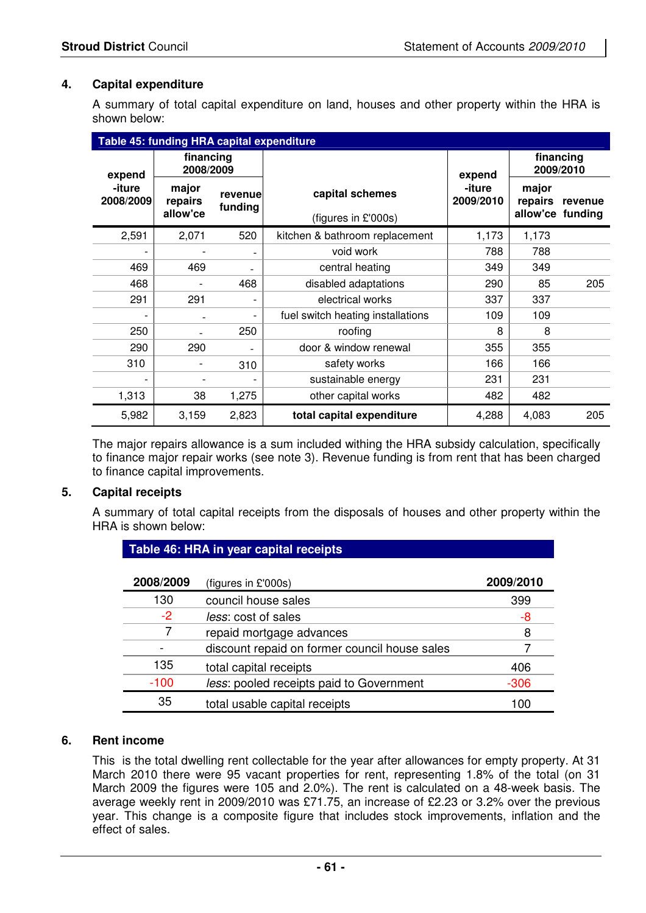#### **4. Capital expenditure**

 A summary of total capital expenditure on land, houses and other property within the HRA is shown below:

| Table 45: funding HRA capital expenditure |                                        |                |                                   |                               |                        |                  |
|-------------------------------------------|----------------------------------------|----------------|-----------------------------------|-------------------------------|------------------------|------------------|
| expend                                    | financing<br>2008/2009                 |                |                                   |                               | financing<br>2009/2010 |                  |
| -iture<br>2008/2009                       | major<br>revenue<br>repairs<br>funding |                | capital schemes                   | expend<br>-iture<br>2009/2010 | major<br>repairs       | revenue          |
|                                           | allow'ce                               |                | (figures in £'000s)               |                               |                        | allow'ce funding |
| 2,591                                     | 2,071                                  | 520            | kitchen & bathroom replacement    | 1,173                         | 1,173                  |                  |
|                                           |                                        |                | void work                         | 788                           | 788                    |                  |
| 469                                       | 469                                    | $\blacksquare$ | central heating                   | 349                           | 349                    |                  |
| 468                                       |                                        | 468            | disabled adaptations              | 290                           | 85                     | 205              |
| 291                                       | 291                                    |                | electrical works                  | 337                           | 337                    |                  |
|                                           | $\blacksquare$                         |                | fuel switch heating installations | 109                           | 109                    |                  |
| 250                                       |                                        | 250            | roofing                           | 8                             | 8                      |                  |
| 290                                       | 290                                    | $\overline{a}$ | door & window renewal             | 355                           | 355                    |                  |
| 310                                       |                                        | 310            | safety works                      | 166                           | 166                    |                  |
|                                           |                                        |                | sustainable energy                | 231                           | 231                    |                  |
| 1,313                                     | 38                                     | 1,275          | other capital works               | 482                           | 482                    |                  |
| 5,982                                     | 3,159                                  | 2,823          | total capital expenditure         | 4,288                         | 4,083                  | 205              |

 The major repairs allowance is a sum included withing the HRA subsidy calculation, specifically to finance major repair works (see note 3). Revenue funding is from rent that has been charged to finance capital improvements.

#### **5. Capital receipts**

 A summary of total capital receipts from the disposals of houses and other property within the HRA is shown below:

| Table 46: HRA in year capital receipts |                                               |           |  |  |
|----------------------------------------|-----------------------------------------------|-----------|--|--|
| 2008/2009                              | (figures in $£'000s$ )                        | 2009/2010 |  |  |
| 130                                    | council house sales                           | 399       |  |  |
| $-2$                                   | less: cost of sales                           | -8        |  |  |
|                                        | repaid mortgage advances                      | 8         |  |  |
|                                        | discount repaid on former council house sales |           |  |  |
| 135                                    | total capital receipts                        | 406       |  |  |
| $-100$                                 | less: pooled receipts paid to Government      | $-306$    |  |  |
| 35                                     | total usable capital receipts                 | 100       |  |  |

#### **6. Rent income**

This is the total dwelling rent collectable for the year after allowances for empty property. At 31 March 2010 there were 95 vacant properties for rent, representing 1.8% of the total (on 31 March 2009 the figures were 105 and 2.0%). The rent is calculated on a 48-week basis. The average weekly rent in 2009/2010 was £71.75, an increase of £2.23 or 3.2% over the previous year. This change is a composite figure that includes stock improvements, inflation and the effect of sales.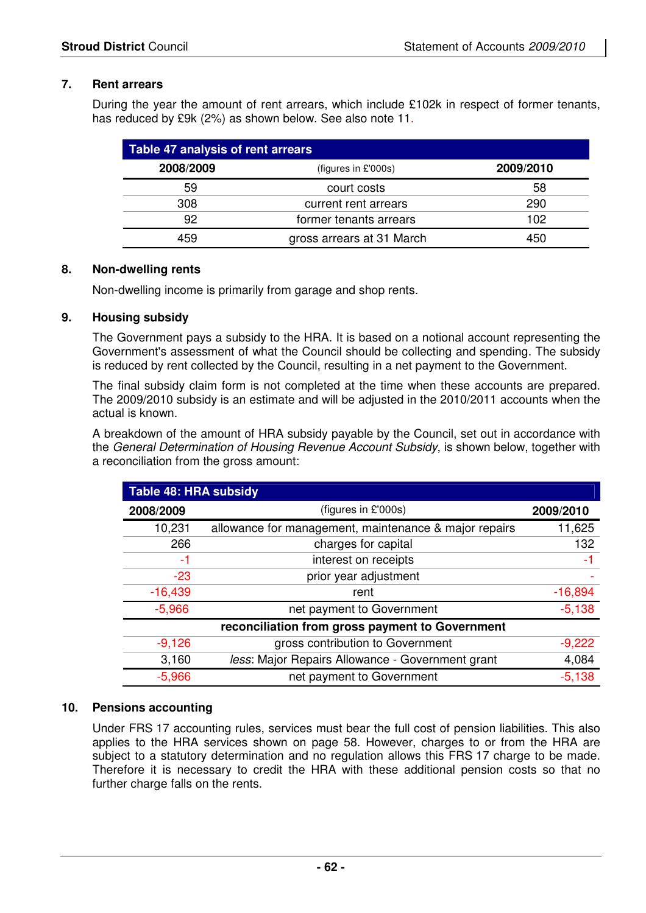#### **7. Rent arrears**

During the year the amount of rent arrears, which include £102k in respect of former tenants, has reduced by £9k (2%) as shown below. See also note 11.

| Table 47 analysis of rent arrears |                           |           |  |  |
|-----------------------------------|---------------------------|-----------|--|--|
| 2008/2009                         | (figures in $£'000s$ )    | 2009/2010 |  |  |
| 59                                | court costs               | 58        |  |  |
| 308                               | current rent arrears      | 290       |  |  |
| 92                                | former tenants arrears    | 102       |  |  |
| 159                               | gross arrears at 31 March | 450       |  |  |

#### **8. Non-dwelling rents**

Non-dwelling income is primarily from garage and shop rents.

#### **9. Housing subsidy**

 The Government pays a subsidy to the HRA. It is based on a notional account representing the Government's assessment of what the Council should be collecting and spending. The subsidy is reduced by rent collected by the Council, resulting in a net payment to the Government.

 The final subsidy claim form is not completed at the time when these accounts are prepared. The 2009/2010 subsidy is an estimate and will be adjusted in the 2010/2011 accounts when the actual is known.

 A breakdown of the amount of HRA subsidy payable by the Council, set out in accordance with the General Determination of Housing Revenue Account Subsidy, is shown below, together with a reconciliation from the gross amount:

| Table 48: HRA subsidy |                                                       |           |
|-----------------------|-------------------------------------------------------|-----------|
| 2008/2009             | (figures in £'000s)                                   | 2009/2010 |
| 10,231                | allowance for management, maintenance & major repairs | 11,625    |
| 266                   | charges for capital                                   | 132       |
| -1                    | interest on receipts                                  | -1        |
| $-23$                 | prior year adjustment                                 |           |
| $-16,439$             | rent                                                  | $-16,894$ |
| $-5,966$              | net payment to Government                             | $-5,138$  |
|                       | reconciliation from gross payment to Government       |           |
| $-9,126$              | gross contribution to Government                      | $-9,222$  |
| 3,160                 | less: Major Repairs Allowance - Government grant      | 4,084     |
| $-5,966$              | net payment to Government                             | $-5,138$  |

#### **10. Pensions accounting**

 Under FRS 17 accounting rules, services must bear the full cost of pension liabilities. This also applies to the HRA services shown on page 58. However, charges to or from the HRA are subject to a statutory determination and no regulation allows this FRS 17 charge to be made. Therefore it is necessary to credit the HRA with these additional pension costs so that no further charge falls on the rents.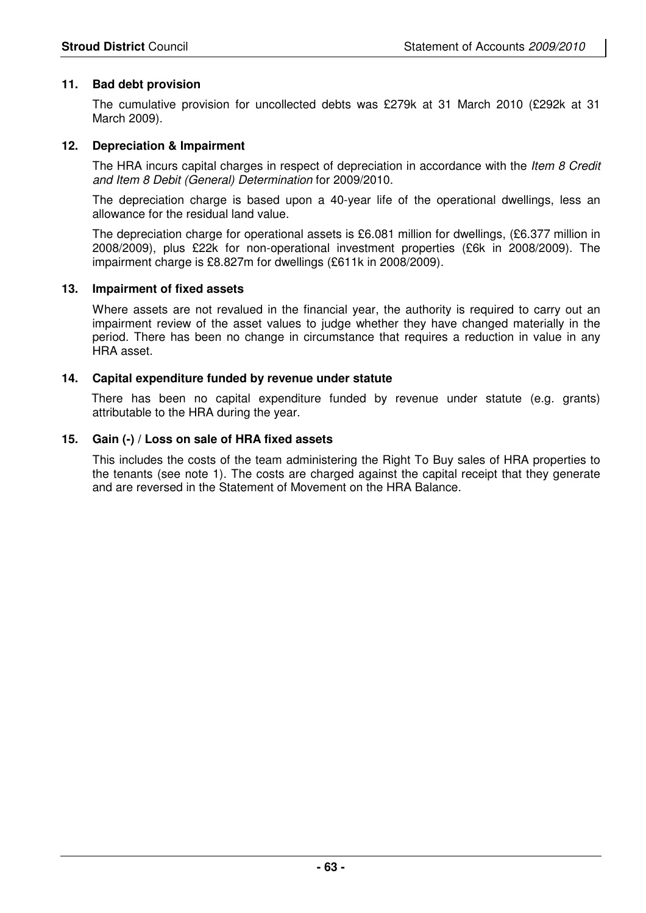#### **11. Bad debt provision**

 The cumulative provision for uncollected debts was £279k at 31 March 2010 (£292k at 31 March 2009).

#### **12. Depreciation & Impairment**

The HRA incurs capital charges in respect of depreciation in accordance with the *Item 8 Credit* and Item 8 Debit (General) Determination for 2009/2010.

 The depreciation charge is based upon a 40-year life of the operational dwellings, less an allowance for the residual land value.

The depreciation charge for operational assets is £6.081 million for dwellings, (£6.377 million in 2008/2009), plus £22k for non-operational investment properties (£6k in 2008/2009). The impairment charge is £8.827m for dwellings (£611k in 2008/2009).

#### **13. Impairment of fixed assets**

Where assets are not revalued in the financial year, the authority is required to carry out an impairment review of the asset values to judge whether they have changed materially in the period. There has been no change in circumstance that requires a reduction in value in any HRA asset.

#### **14. Capital expenditure funded by revenue under statute**

 There has been no capital expenditure funded by revenue under statute (e.g. grants) attributable to the HRA during the year.

#### **15. Gain (-) / Loss on sale of HRA fixed assets**

This includes the costs of the team administering the Right To Buy sales of HRA properties to the tenants (see note 1). The costs are charged against the capital receipt that they generate and are reversed in the Statement of Movement on the HRA Balance.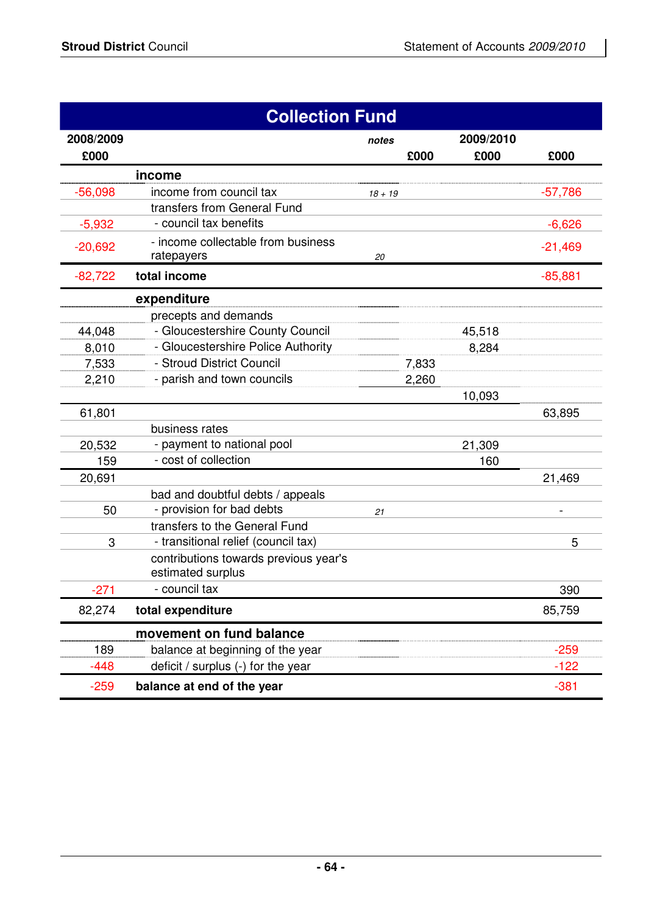| <b>Collection Fund</b> |                                                            |           |       |           |           |
|------------------------|------------------------------------------------------------|-----------|-------|-----------|-----------|
| 2008/2009              |                                                            | notes     |       | 2009/2010 |           |
| £000                   |                                                            |           | £000  | £000      | £000      |
|                        | income                                                     |           |       |           |           |
| $-56,098$              | income from council tax                                    | $18 + 19$ |       |           | $-57,786$ |
|                        | transfers from General Fund                                |           |       |           |           |
| $-5,932$               | - council tax benefits                                     |           |       |           | $-6,626$  |
| $-20,692$              | - income collectable from business<br>ratepayers           | 20        |       |           | $-21,469$ |
| $-82,722$              | total income                                               |           |       |           | $-85,881$ |
|                        | expenditure                                                |           |       |           |           |
|                        | precepts and demands                                       |           |       |           |           |
| 44,048                 | - Gloucestershire County Council                           |           |       | 45,518    |           |
| 8,010                  | - Gloucestershire Police Authority                         |           |       | 8,284     |           |
| 7,533                  | - Stroud District Council                                  |           | 7,833 |           |           |
| 2,210                  | - parish and town councils                                 |           | 2,260 |           |           |
|                        |                                                            |           |       | 10,093    |           |
| 61,801                 |                                                            |           |       |           | 63,895    |
|                        | business rates                                             |           |       |           |           |
| 20,532                 | - payment to national pool                                 |           |       | 21,309    |           |
| 159                    | - cost of collection                                       |           |       | 160       |           |
| 20,691                 |                                                            |           |       |           | 21,469    |
|                        | bad and doubtful debts / appeals                           |           |       |           |           |
| 50                     | - provision for bad debts                                  | 21        |       |           |           |
|                        | transfers to the General Fund                              |           |       |           |           |
| 3                      | - transitional relief (council tax)                        |           |       |           | 5         |
|                        | contributions towards previous year's<br>estimated surplus |           |       |           |           |
| $-271$                 | - council tax                                              |           |       |           | 390       |
| 82,274                 | total expenditure                                          |           |       |           | 85,759    |
|                        | movement on fund balance                                   |           |       |           |           |
| 189                    | balance at beginning of the year                           |           |       |           | $-259$    |
| $-448$                 | deficit / surplus (-) for the year                         |           |       |           | $-122$    |
| $-259$                 | balance at end of the year                                 |           |       |           | $-381$    |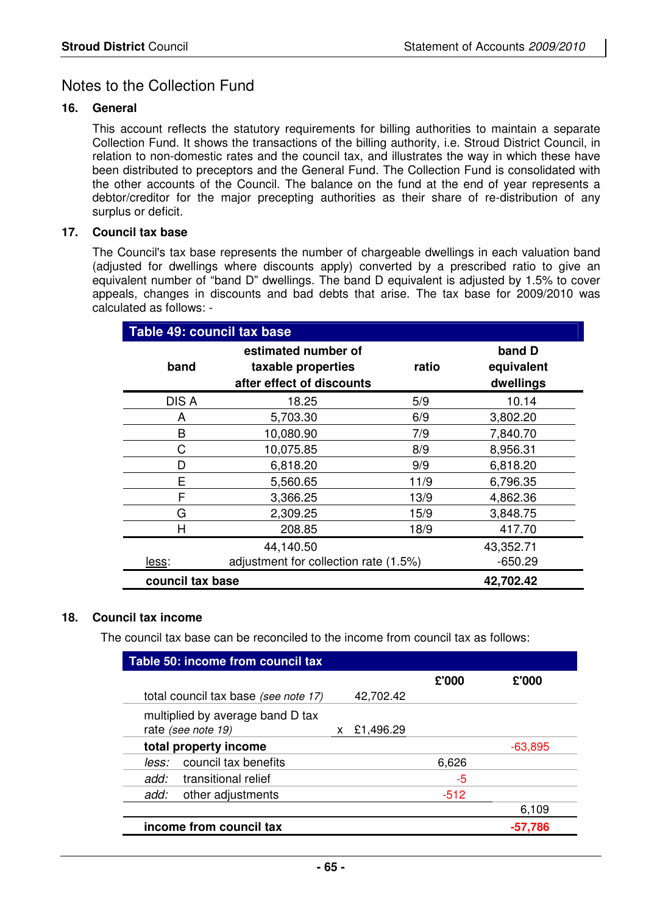# Notes to the Collection Fund

#### **16. General**

 This account reflects the statutory requirements for billing authorities to maintain a separate Collection Fund. It shows the transactions of the billing authority, i.e. Stroud District Council, in relation to non-domestic rates and the council tax, and illustrates the way in which these have been distributed to preceptors and the General Fund. The Collection Fund is consolidated with the other accounts of the Council. The balance on the fund at the end of year represents a debtor/creditor for the major precepting authorities as their share of re-distribution of any surplus or deficit.

#### **17. Council tax base**

The Council's tax base represents the number of chargeable dwellings in each valuation band (adjusted for dwellings where discounts apply) converted by a prescribed ratio to give an equivalent number of "band D" dwellings. The band D equivalent is adjusted by 1.5% to cover appeals, changes in discounts and bad debts that arise. The tax base for 2009/2010 was calculated as follows: -

| Table 49: council tax base    |                                                                        |       |                                   |  |  |
|-------------------------------|------------------------------------------------------------------------|-------|-----------------------------------|--|--|
| band                          | estimated number of<br>taxable properties<br>after effect of discounts | ratio | band D<br>equivalent<br>dwellings |  |  |
| DIS A                         | 18.25                                                                  | 5/9   | 10.14                             |  |  |
| A                             | 5,703.30                                                               | 6/9   | 3,802.20                          |  |  |
| B                             | 10,080.90                                                              | 7/9   | 7,840.70                          |  |  |
| С                             | 10,075.85                                                              | 8/9   | 8,956.31                          |  |  |
| D                             | 6,818.20                                                               | 9/9   | 6,818.20                          |  |  |
| E                             | 5,560.65                                                               | 11/9  | 6,796.35                          |  |  |
| F                             | 3,366.25                                                               | 13/9  | 4,862.36                          |  |  |
| G                             | 2,309.25                                                               | 15/9  | 3,848.75                          |  |  |
| Н                             | 208.85                                                                 | 18/9  | 417.70                            |  |  |
|                               | 44,140.50                                                              |       | 43,352.71                         |  |  |
| less:                         | adjustment for collection rate (1.5%)                                  |       | $-650.29$                         |  |  |
| council tax base<br>42,702.42 |                                                                        |       |                                   |  |  |

#### **18. Council tax income**

The council tax base can be reconciled to the income from council tax as follows:

| Table 50: income from council tax                      |           |        |           |  |  |
|--------------------------------------------------------|-----------|--------|-----------|--|--|
|                                                        |           | £'000  | £'000     |  |  |
| total council tax base (see note 17)                   | 42,702.42 |        |           |  |  |
| multiplied by average band D tax<br>rate (see note 19) | £1,496.29 |        |           |  |  |
| total property income                                  |           |        | $-63,895$ |  |  |
| council tax benefits<br>less:                          |           | 6,626  |           |  |  |
| add:<br>transitional relief                            |           | -5     |           |  |  |
| add:<br>other adjustments                              |           | $-512$ |           |  |  |
|                                                        |           |        | 6,109     |  |  |
| income from council tax                                |           |        | -57.786   |  |  |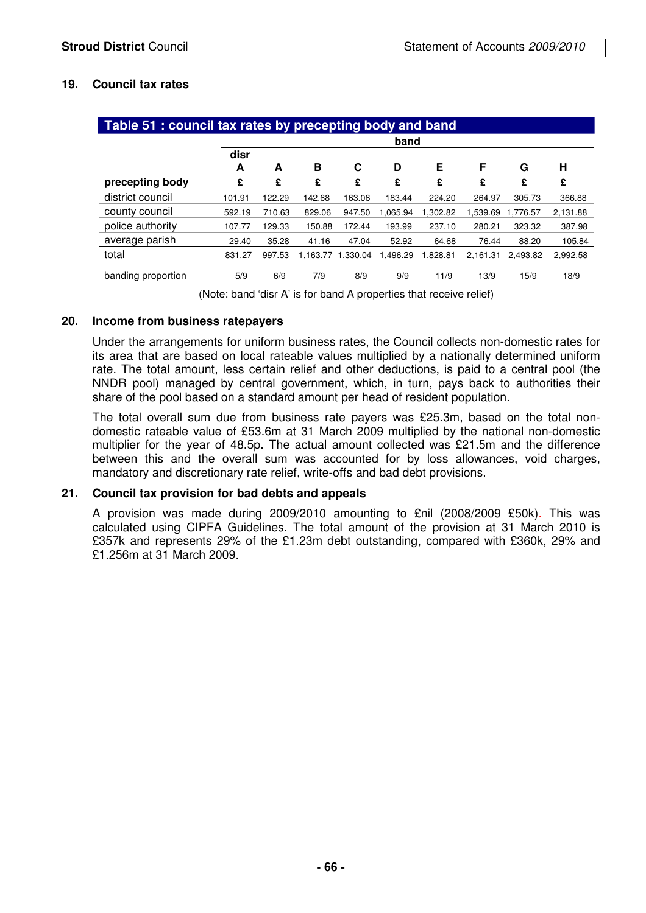#### **19. Council tax rates**

| Table 51 : council tax rates by precepting body and band |        |        |          |          |          |          |          |          |          |
|----------------------------------------------------------|--------|--------|----------|----------|----------|----------|----------|----------|----------|
|                                                          | band   |        |          |          |          |          |          |          |          |
|                                                          | disr   |        |          |          |          |          |          |          |          |
|                                                          | A      | A      | в        | С        | D        | Е        | F        | G        | Н        |
| precepting body                                          | £      | £      | £        | £        | £        | £        | £        | £        | £        |
| district council                                         | 101.91 | 122.29 | 142.68   | 163.06   | 183.44   | 224.20   | 264.97   | 305.73   | 366.88   |
| county council                                           | 592.19 | 710.63 | 829.06   | 947.50   | 1.065.94 | 1.302.82 | 1.539.69 | 1.776.57 | 2,131.88 |
| police authority                                         | 107.77 | 129.33 | 150.88   | 172.44   | 193.99   | 237.10   | 280.21   | 323.32   | 387.98   |
| average parish                                           | 29.40  | 35.28  | 41.16    | 47.04    | 52.92    | 64.68    | 76.44    | 88.20    | 105.84   |
| total                                                    | 831.27 | 997.53 | 1.163.77 | 1.330.04 | 1.496.29 | 1.828.81 | 2.161.31 | 2.493.82 | 2,992.58 |
| banding proportion                                       | 5/9    | 6/9    | 7/9      | 8/9      | 9/9      | 11/9     | 13/9     | 15/9     | 18/9     |

(Note: band 'disr A' is for band A properties that receive relief)

#### **20. Income from business ratepayers**

Under the arrangements for uniform business rates, the Council collects non-domestic rates for its area that are based on local rateable values multiplied by a nationally determined uniform rate. The total amount, less certain relief and other deductions, is paid to a central pool (the NNDR pool) managed by central government, which, in turn, pays back to authorities their share of the pool based on a standard amount per head of resident population.

 The total overall sum due from business rate payers was £25.3m, based on the total nondomestic rateable value of £53.6m at 31 March 2009 multiplied by the national non-domestic multiplier for the year of 48.5p. The actual amount collected was £21.5m and the difference between this and the overall sum was accounted for by loss allowances, void charges, mandatory and discretionary rate relief, write-offs and bad debt provisions.

#### **21. Council tax provision for bad debts and appeals**

A provision was made during 2009/2010 amounting to £nil (2008/2009 £50k). This was calculated using CIPFA Guidelines. The total amount of the provision at 31 March 2010 is £357k and represents 29% of the £1.23m debt outstanding, compared with £360k, 29% and £1.256m at 31 March 2009.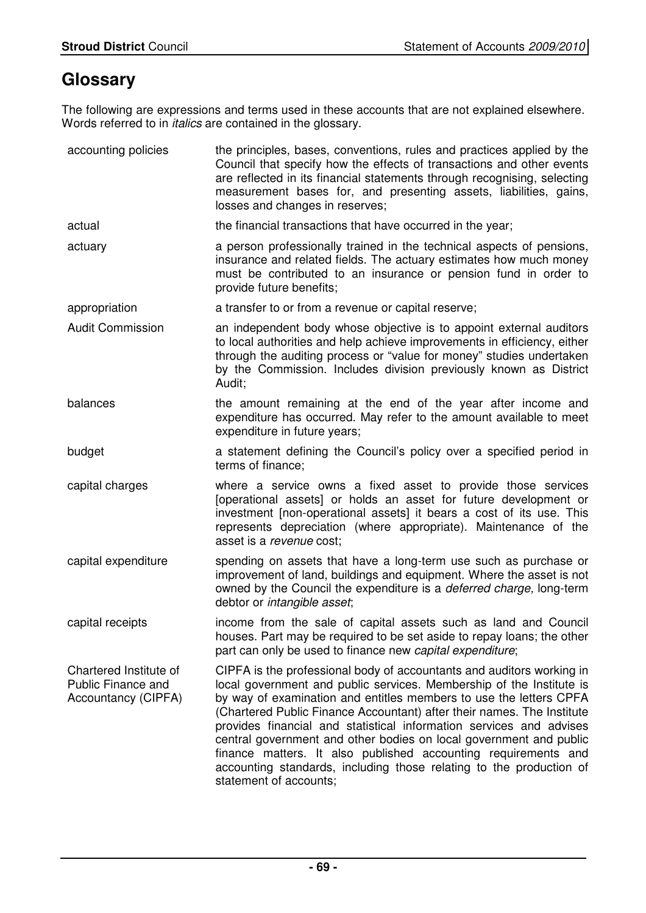# **Glossary**

The following are expressions and terms used in these accounts that are not explained elsewhere. Words referred to in *italics* are contained in the glossary.

| accounting policies                                                        | the principles, bases, conventions, rules and practices applied by the<br>Council that specify how the effects of transactions and other events<br>are reflected in its financial statements through recognising, selecting<br>measurement bases for, and presenting assets, liabilities, gains,<br>losses and changes in reserves;                                                                                                                                                                                                                                                                           |
|----------------------------------------------------------------------------|---------------------------------------------------------------------------------------------------------------------------------------------------------------------------------------------------------------------------------------------------------------------------------------------------------------------------------------------------------------------------------------------------------------------------------------------------------------------------------------------------------------------------------------------------------------------------------------------------------------|
| actual                                                                     | the financial transactions that have occurred in the year;                                                                                                                                                                                                                                                                                                                                                                                                                                                                                                                                                    |
| actuary                                                                    | a person professionally trained in the technical aspects of pensions,<br>insurance and related fields. The actuary estimates how much money<br>must be contributed to an insurance or pension fund in order to<br>provide future benefits;                                                                                                                                                                                                                                                                                                                                                                    |
| appropriation                                                              | a transfer to or from a revenue or capital reserve;                                                                                                                                                                                                                                                                                                                                                                                                                                                                                                                                                           |
| <b>Audit Commission</b>                                                    | an independent body whose objective is to appoint external auditors<br>to local authorities and help achieve improvements in efficiency, either<br>through the auditing process or "value for money" studies undertaken<br>by the Commission. Includes division previously known as District<br>Audit;                                                                                                                                                                                                                                                                                                        |
| balances                                                                   | the amount remaining at the end of the year after income and<br>expenditure has occurred. May refer to the amount available to meet<br>expenditure in future years;                                                                                                                                                                                                                                                                                                                                                                                                                                           |
| budget                                                                     | a statement defining the Council's policy over a specified period in<br>terms of finance;                                                                                                                                                                                                                                                                                                                                                                                                                                                                                                                     |
| capital charges                                                            | where a service owns a fixed asset to provide those services<br>[operational assets] or holds an asset for future development or<br>investment [non-operational assets] it bears a cost of its use. This<br>represents depreciation (where appropriate). Maintenance of the<br>asset is a revenue cost;                                                                                                                                                                                                                                                                                                       |
| capital expenditure                                                        | spending on assets that have a long-term use such as purchase or<br>improvement of land, buildings and equipment. Where the asset is not<br>owned by the Council the expenditure is a <i>deferred charge</i> , long-term<br>debtor or intangible asset;                                                                                                                                                                                                                                                                                                                                                       |
| capital receipts                                                           | income from the sale of capital assets such as land and Council<br>houses. Part may be required to be set aside to repay loans; the other<br>part can only be used to finance new capital expenditure;                                                                                                                                                                                                                                                                                                                                                                                                        |
| Chartered Institute of<br><b>Public Finance and</b><br>Accountancy (CIPFA) | CIPFA is the professional body of accountants and auditors working in<br>local government and public services. Membership of the Institute is<br>by way of examination and entitles members to use the letters CPFA<br>(Chartered Public Finance Accountant) after their names. The Institute<br>provides financial and statistical information services and advises<br>central government and other bodies on local government and public<br>finance matters. It also published accounting requirements and<br>accounting standards, including those relating to the production of<br>statement of accounts; |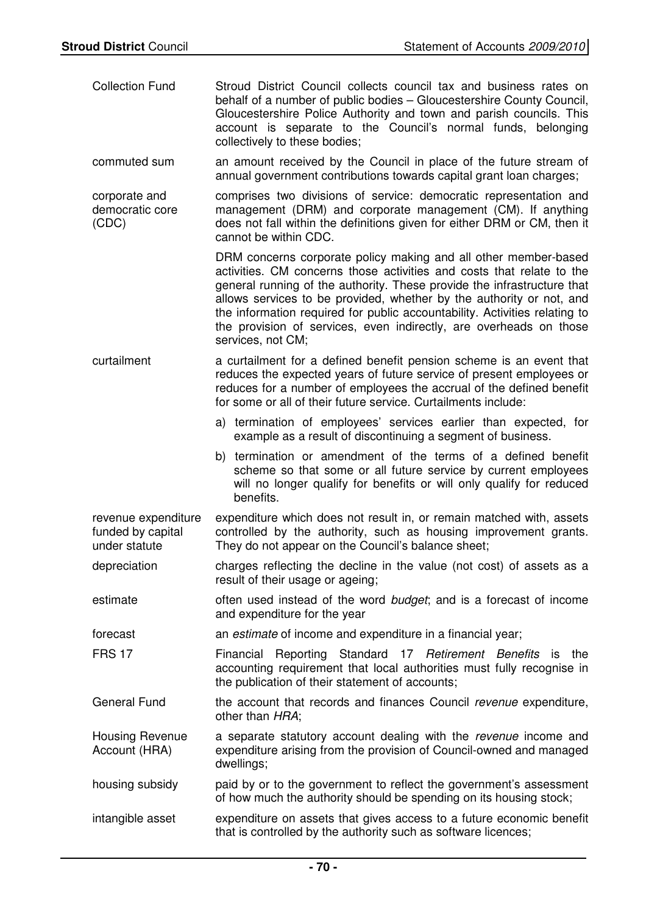| <b>Collection Fund</b>                                    | Stroud District Council collects council tax and business rates on<br>behalf of a number of public bodies - Gloucestershire County Council,<br>Gloucestershire Police Authority and town and parish councils. This<br>account is separate to the Council's normal funds, belonging<br>collectively to these bodies;                                                                                                                                                  |
|-----------------------------------------------------------|----------------------------------------------------------------------------------------------------------------------------------------------------------------------------------------------------------------------------------------------------------------------------------------------------------------------------------------------------------------------------------------------------------------------------------------------------------------------|
| commuted sum                                              | an amount received by the Council in place of the future stream of<br>annual government contributions towards capital grant loan charges;                                                                                                                                                                                                                                                                                                                            |
| corporate and<br>democratic core<br>(CDC)                 | comprises two divisions of service: democratic representation and<br>management (DRM) and corporate management (CM). If anything<br>does not fall within the definitions given for either DRM or CM, then it<br>cannot be within CDC.                                                                                                                                                                                                                                |
|                                                           | DRM concerns corporate policy making and all other member-based<br>activities. CM concerns those activities and costs that relate to the<br>general running of the authority. These provide the infrastructure that<br>allows services to be provided, whether by the authority or not, and<br>the information required for public accountability. Activities relating to<br>the provision of services, even indirectly, are overheads on those<br>services, not CM; |
| curtailment                                               | a curtailment for a defined benefit pension scheme is an event that<br>reduces the expected years of future service of present employees or<br>reduces for a number of employees the accrual of the defined benefit<br>for some or all of their future service. Curtailments include:                                                                                                                                                                                |
|                                                           | a) termination of employees' services earlier than expected, for<br>example as a result of discontinuing a segment of business.                                                                                                                                                                                                                                                                                                                                      |
|                                                           | b) termination or amendment of the terms of a defined benefit<br>scheme so that some or all future service by current employees<br>will no longer qualify for benefits or will only qualify for reduced<br>benefits.                                                                                                                                                                                                                                                 |
| revenue expenditure<br>funded by capital<br>under statute | expenditure which does not result in, or remain matched with, assets<br>controlled by the authority, such as housing improvement grants.<br>They do not appear on the Council's balance sheet;                                                                                                                                                                                                                                                                       |
| depreciation                                              | charges reflecting the decline in the value (not cost) of assets as a<br>result of their usage or ageing;                                                                                                                                                                                                                                                                                                                                                            |
| estimate                                                  | often used instead of the word budget; and is a forecast of income<br>and expenditure for the year                                                                                                                                                                                                                                                                                                                                                                   |
| forecast                                                  | an <i>estimate</i> of income and expenditure in a financial year;                                                                                                                                                                                                                                                                                                                                                                                                    |
| <b>FRS 17</b>                                             | Financial Reporting Standard 17 Retirement Benefits<br>the<br>is<br>accounting requirement that local authorities must fully recognise in<br>the publication of their statement of accounts;                                                                                                                                                                                                                                                                         |
| <b>General Fund</b>                                       | the account that records and finances Council revenue expenditure,<br>other than HRA;                                                                                                                                                                                                                                                                                                                                                                                |
| Housing Revenue<br>Account (HRA)                          | a separate statutory account dealing with the revenue income and<br>expenditure arising from the provision of Council-owned and managed<br>dwellings;                                                                                                                                                                                                                                                                                                                |
| housing subsidy                                           | paid by or to the government to reflect the government's assessment<br>of how much the authority should be spending on its housing stock;                                                                                                                                                                                                                                                                                                                            |
| intangible asset                                          | expenditure on assets that gives access to a future economic benefit<br>that is controlled by the authority such as software licences;                                                                                                                                                                                                                                                                                                                               |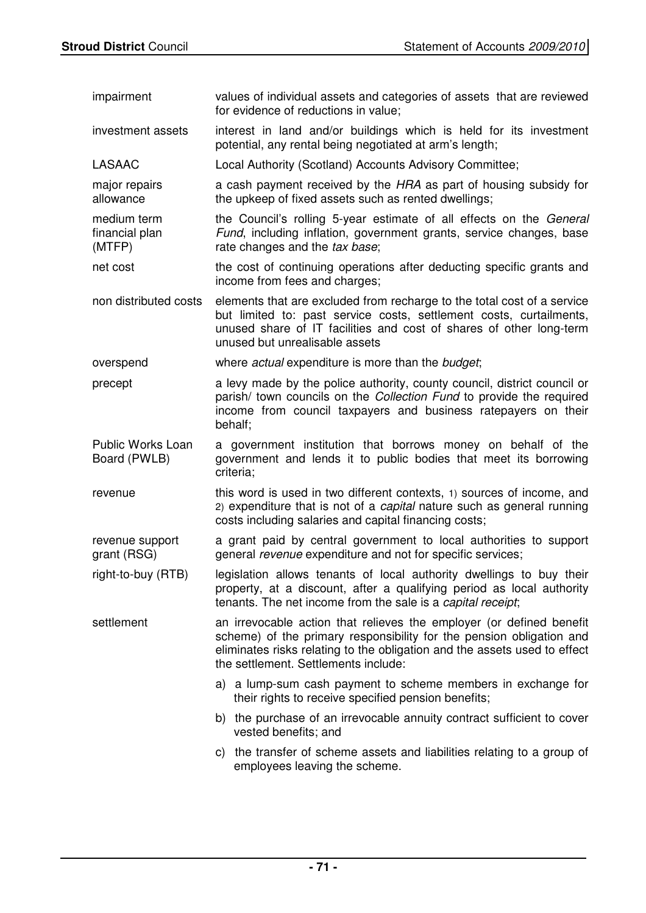| impairment                              | values of individual assets and categories of assets that are reviewed<br>for evidence of reductions in value;                                                                                                                                                    |
|-----------------------------------------|-------------------------------------------------------------------------------------------------------------------------------------------------------------------------------------------------------------------------------------------------------------------|
| investment assets                       | interest in land and/or buildings which is held for its investment<br>potential, any rental being negotiated at arm's length;                                                                                                                                     |
| <b>LASAAC</b>                           | Local Authority (Scotland) Accounts Advisory Committee;                                                                                                                                                                                                           |
| major repairs<br>allowance              | a cash payment received by the HRA as part of housing subsidy for<br>the upkeep of fixed assets such as rented dwellings;                                                                                                                                         |
| medium term<br>financial plan<br>(MTFP) | the Council's rolling 5-year estimate of all effects on the General<br>Fund, including inflation, government grants, service changes, base<br>rate changes and the tax base;                                                                                      |
| net cost                                | the cost of continuing operations after deducting specific grants and<br>income from fees and charges;                                                                                                                                                            |
| non distributed costs                   | elements that are excluded from recharge to the total cost of a service<br>but limited to: past service costs, settlement costs, curtailments,<br>unused share of IT facilities and cost of shares of other long-term<br>unused but unrealisable assets           |
| overspend                               | where <i>actual</i> expenditure is more than the <i>budget</i> ;                                                                                                                                                                                                  |
| precept                                 | a levy made by the police authority, county council, district council or<br>parish/ town councils on the Collection Fund to provide the required<br>income from council taxpayers and business ratepayers on their<br>behalf;                                     |
| Public Works Loan<br>Board (PWLB)       | a government institution that borrows money on behalf of the<br>government and lends it to public bodies that meet its borrowing<br>criteria;                                                                                                                     |
| revenue                                 | this word is used in two different contexts, 1) sources of income, and<br>2) expenditure that is not of a capital nature such as general running<br>costs including salaries and capital financing costs;                                                         |
| revenue support<br>grant (RSG)          | a grant paid by central government to local authorities to support                                                                                                                                                                                                |
|                                         | general revenue expenditure and not for specific services;                                                                                                                                                                                                        |
| right-to-buy (RTB)                      | legislation allows tenants of local authority dwellings to buy their<br>property, at a discount, after a qualifying period as local authority<br>tenants. The net income from the sale is a capital receipt;                                                      |
| settlement                              | an irrevocable action that relieves the employer (or defined benefit<br>scheme) of the primary responsibility for the pension obligation and<br>eliminates risks relating to the obligation and the assets used to effect<br>the settlement. Settlements include: |
|                                         | a) a lump-sum cash payment to scheme members in exchange for<br>their rights to receive specified pension benefits;                                                                                                                                               |
|                                         | b) the purchase of an irrevocable annuity contract sufficient to cover<br>vested benefits; and                                                                                                                                                                    |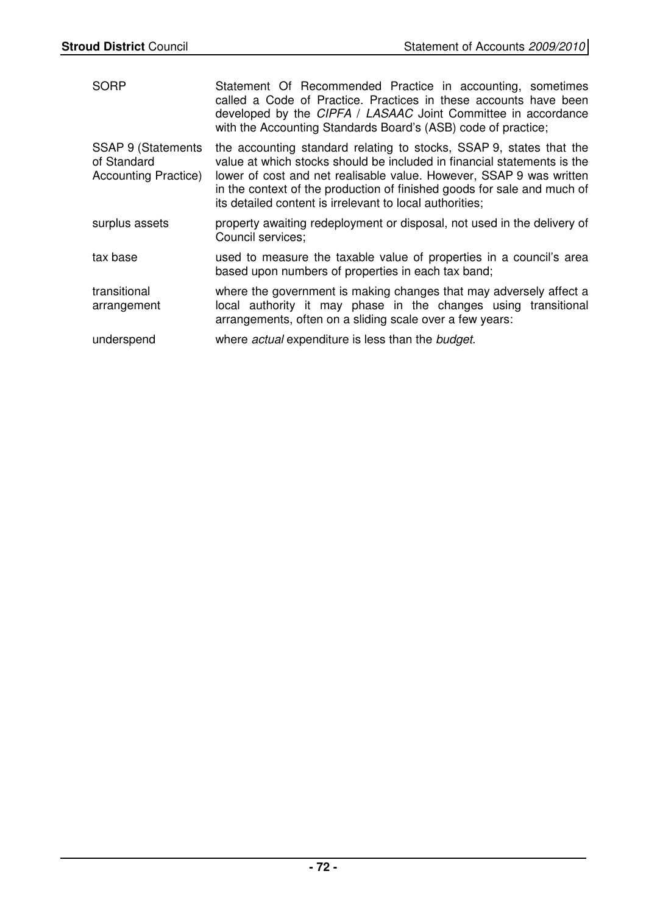| <b>SORP</b>                                                      | Statement Of Recommended Practice in accounting, sometimes<br>called a Code of Practice. Practices in these accounts have been<br>developed by the CIPFA / LASAAC Joint Committee in accordance<br>with the Accounting Standards Board's (ASB) code of practice;                                                                                             |
|------------------------------------------------------------------|--------------------------------------------------------------------------------------------------------------------------------------------------------------------------------------------------------------------------------------------------------------------------------------------------------------------------------------------------------------|
| SSAP 9 (Statements<br>of Standard<br><b>Accounting Practice)</b> | the accounting standard relating to stocks, SSAP 9, states that the<br>value at which stocks should be included in financial statements is the<br>lower of cost and net realisable value. However, SSAP 9 was written<br>in the context of the production of finished goods for sale and much of<br>its detailed content is irrelevant to local authorities; |
| surplus assets                                                   | property awaiting redeployment or disposal, not used in the delivery of<br>Council services;                                                                                                                                                                                                                                                                 |
| tax base                                                         | used to measure the taxable value of properties in a council's area<br>based upon numbers of properties in each tax band;                                                                                                                                                                                                                                    |
| transitional<br>arrangement                                      | where the government is making changes that may adversely affect a<br>local authority it may phase in the changes using transitional<br>arrangements, often on a sliding scale over a few years:                                                                                                                                                             |
| underspend                                                       | where actual expenditure is less than the budget.                                                                                                                                                                                                                                                                                                            |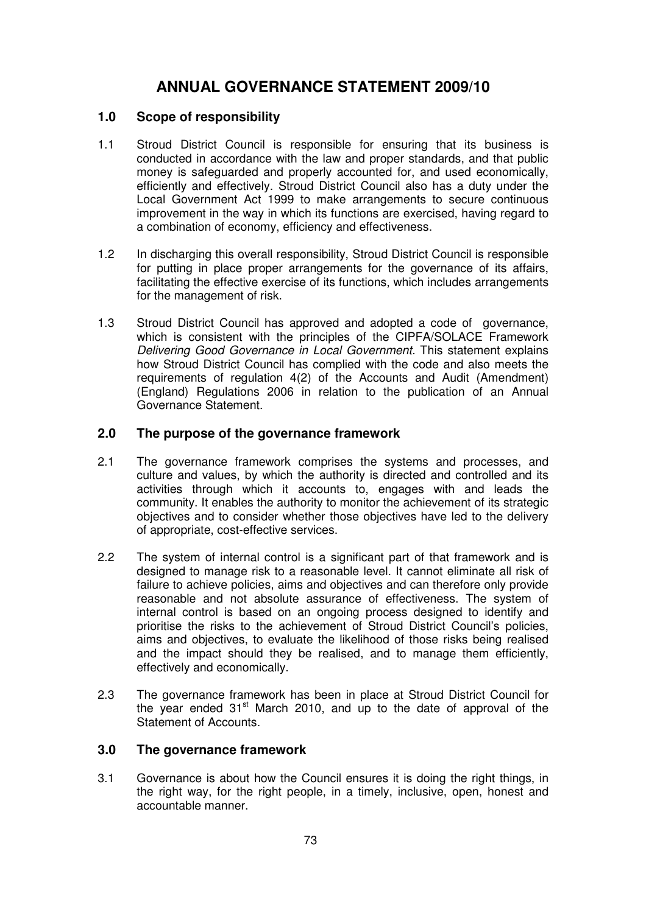# **ANNUAL GOVERNANCE STATEMENT 2009/10**

### **1.0 Scope of responsibility**

- 1.1 Stroud District Council is responsible for ensuring that its business is conducted in accordance with the law and proper standards, and that public money is safeguarded and properly accounted for, and used economically, efficiently and effectively. Stroud District Council also has a duty under the Local Government Act 1999 to make arrangements to secure continuous improvement in the way in which its functions are exercised, having regard to a combination of economy, efficiency and effectiveness.
- 1.2 In discharging this overall responsibility, Stroud District Council is responsible for putting in place proper arrangements for the governance of its affairs, facilitating the effective exercise of its functions, which includes arrangements for the management of risk.
- 1.3 Stroud District Council has approved and adopted a code of governance, which is consistent with the principles of the CIPFA/SOLACE Framework Delivering Good Governance in Local Government. This statement explains how Stroud District Council has complied with the code and also meets the requirements of regulation 4(2) of the Accounts and Audit (Amendment) (England) Regulations 2006 in relation to the publication of an Annual Governance Statement.

### **2.0 The purpose of the governance framework**

- 2.1 The governance framework comprises the systems and processes, and culture and values, by which the authority is directed and controlled and its activities through which it accounts to, engages with and leads the community. It enables the authority to monitor the achievement of its strategic objectives and to consider whether those objectives have led to the delivery of appropriate, cost-effective services.
- 2.2 The system of internal control is a significant part of that framework and is designed to manage risk to a reasonable level. It cannot eliminate all risk of failure to achieve policies, aims and objectives and can therefore only provide reasonable and not absolute assurance of effectiveness. The system of internal control is based on an ongoing process designed to identify and prioritise the risks to the achievement of Stroud District Council's policies, aims and objectives, to evaluate the likelihood of those risks being realised and the impact should they be realised, and to manage them efficiently, effectively and economically.
- 2.3 The governance framework has been in place at Stroud District Council for the year ended  $31<sup>st</sup>$  March 2010, and up to the date of approval of the Statement of Accounts.

### **3.0 The governance framework**

3.1 Governance is about how the Council ensures it is doing the right things, in the right way, for the right people, in a timely, inclusive, open, honest and accountable manner.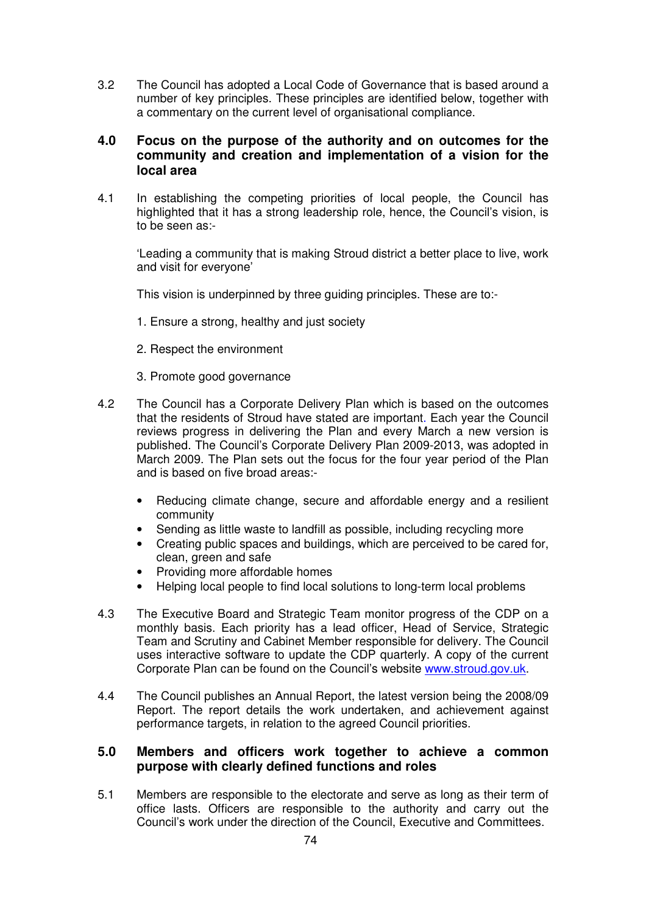3.2 The Council has adopted a Local Code of Governance that is based around a number of key principles. These principles are identified below, together with a commentary on the current level of organisational compliance.

### **4.0 Focus on the purpose of the authority and on outcomes for the community and creation and implementation of a vision for the local area**

4.1 In establishing the competing priorities of local people, the Council has highlighted that it has a strong leadership role, hence, the Council's vision, is to be seen as:-

'Leading a community that is making Stroud district a better place to live, work and visit for everyone'

This vision is underpinned by three quiding principles. These are to:-

- 1. Ensure a strong, healthy and just society
- 2. Respect the environment
- 3. Promote good governance
- 4.2 The Council has a Corporate Delivery Plan which is based on the outcomes that the residents of Stroud have stated are important. Each year the Council reviews progress in delivering the Plan and every March a new version is published. The Council's Corporate Delivery Plan 2009-2013, was adopted in March 2009. The Plan sets out the focus for the four year period of the Plan and is based on five broad areas:-
	- Reducing climate change, secure and affordable energy and a resilient community
	- Sending as little waste to landfill as possible, including recycling more
	- Creating public spaces and buildings, which are perceived to be cared for, clean, green and safe
	- Providing more affordable homes
	- Helping local people to find local solutions to long-term local problems
- 4.3 The Executive Board and Strategic Team monitor progress of the CDP on a monthly basis. Each priority has a lead officer, Head of Service, Strategic Team and Scrutiny and Cabinet Member responsible for delivery. The Council uses interactive software to update the CDP quarterly. A copy of the current Corporate Plan can be found on the Council's website www.stroud.gov.uk.
- 4.4 The Council publishes an Annual Report, the latest version being the 2008/09 Report. The report details the work undertaken, and achievement against performance targets, in relation to the agreed Council priorities.

### **5.0 Members and officers work together to achieve a common purpose with clearly defined functions and roles**

5.1 Members are responsible to the electorate and serve as long as their term of office lasts. Officers are responsible to the authority and carry out the Council's work under the direction of the Council, Executive and Committees.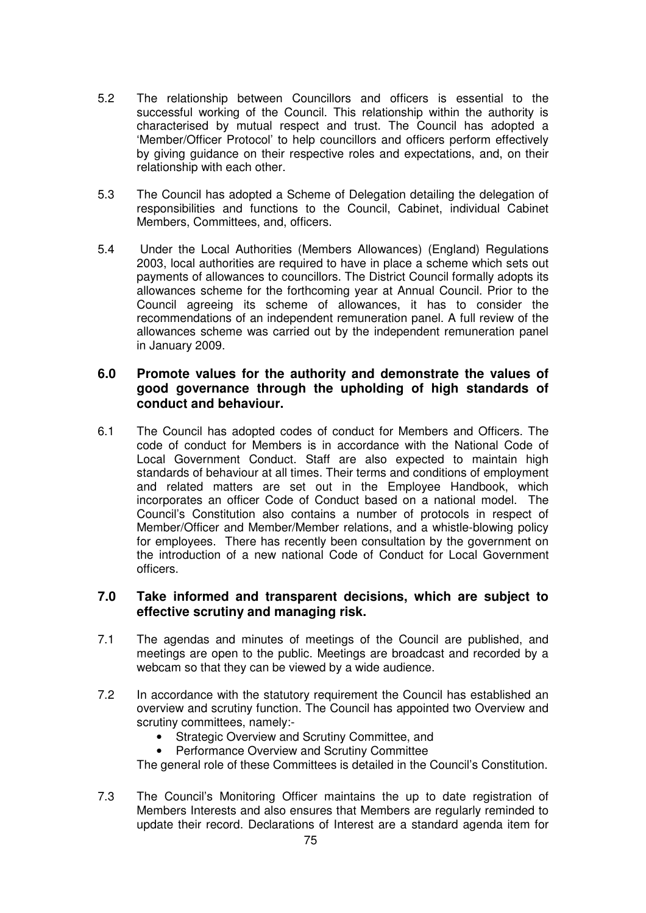- 5.2 The relationship between Councillors and officers is essential to the successful working of the Council. This relationship within the authority is characterised by mutual respect and trust. The Council has adopted a 'Member/Officer Protocol' to help councillors and officers perform effectively by giving guidance on their respective roles and expectations, and, on their relationship with each other.
- 5.3 The Council has adopted a Scheme of Delegation detailing the delegation of responsibilities and functions to the Council, Cabinet, individual Cabinet Members, Committees, and, officers.
- 5.4 Under the Local Authorities (Members Allowances) (England) Regulations 2003, local authorities are required to have in place a scheme which sets out payments of allowances to councillors. The District Council formally adopts its allowances scheme for the forthcoming year at Annual Council. Prior to the Council agreeing its scheme of allowances, it has to consider the recommendations of an independent remuneration panel. A full review of the allowances scheme was carried out by the independent remuneration panel in January 2009.

### **6.0 Promote values for the authority and demonstrate the values of good governance through the upholding of high standards of conduct and behaviour.**

6.1 The Council has adopted codes of conduct for Members and Officers. The code of conduct for Members is in accordance with the National Code of Local Government Conduct. Staff are also expected to maintain high standards of behaviour at all times. Their terms and conditions of employment and related matters are set out in the Employee Handbook, which incorporates an officer Code of Conduct based on a national model. The Council's Constitution also contains a number of protocols in respect of Member/Officer and Member/Member relations, and a whistle-blowing policy for employees. There has recently been consultation by the government on the introduction of a new national Code of Conduct for Local Government officers.

### **7.0 Take informed and transparent decisions, which are subject to effective scrutiny and managing risk.**

- 7.1 The agendas and minutes of meetings of the Council are published, and meetings are open to the public. Meetings are broadcast and recorded by a webcam so that they can be viewed by a wide audience.
- 7.2 In accordance with the statutory requirement the Council has established an overview and scrutiny function. The Council has appointed two Overview and scrutiny committees, namely:-
	- Strategic Overview and Scrutiny Committee, and
	- Performance Overview and Scrutiny Committee

The general role of these Committees is detailed in the Council's Constitution.

7.3 The Council's Monitoring Officer maintains the up to date registration of Members Interests and also ensures that Members are regularly reminded to update their record. Declarations of Interest are a standard agenda item for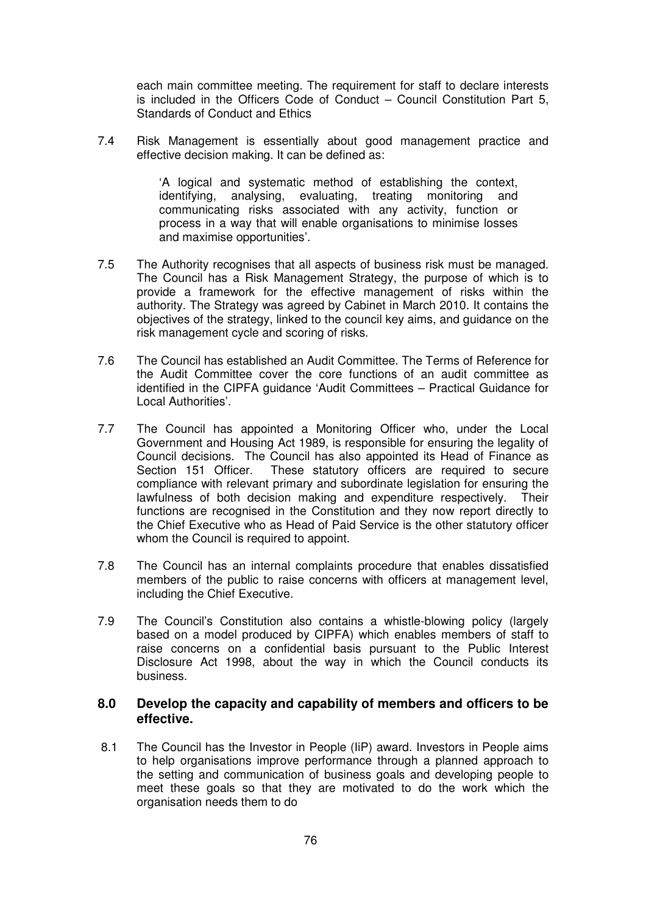each main committee meeting. The requirement for staff to declare interests is included in the Officers Code of Conduct – Council Constitution Part 5, Standards of Conduct and Ethics

7.4 Risk Management is essentially about good management practice and effective decision making. It can be defined as:

> 'A logical and systematic method of establishing the context, identifying, analysing, evaluating, treating monitoring and communicating risks associated with any activity, function or process in a way that will enable organisations to minimise losses and maximise opportunities'.

- 7.5 The Authority recognises that all aspects of business risk must be managed. The Council has a Risk Management Strategy, the purpose of which is to provide a framework for the effective management of risks within the authority. The Strategy was agreed by Cabinet in March 2010. It contains the objectives of the strategy, linked to the council key aims, and guidance on the risk management cycle and scoring of risks.
- 7.6 The Council has established an Audit Committee. The Terms of Reference for the Audit Committee cover the core functions of an audit committee as identified in the CIPFA guidance 'Audit Committees – Practical Guidance for Local Authorities'.
- 7.7 The Council has appointed a Monitoring Officer who, under the Local Government and Housing Act 1989, is responsible for ensuring the legality of Council decisions. The Council has also appointed its Head of Finance as Section 151 Officer. These statutory officers are required to secure compliance with relevant primary and subordinate legislation for ensuring the lawfulness of both decision making and expenditure respectively. Their functions are recognised in the Constitution and they now report directly to the Chief Executive who as Head of Paid Service is the other statutory officer whom the Council is required to appoint.
- 7.8 The Council has an internal complaints procedure that enables dissatisfied members of the public to raise concerns with officers at management level, including the Chief Executive.
- 7.9 The Council's Constitution also contains a whistle-blowing policy (largely based on a model produced by CIPFA) which enables members of staff to raise concerns on a confidential basis pursuant to the Public Interest Disclosure Act 1998, about the way in which the Council conducts its business.

#### **8.0 Develop the capacity and capability of members and officers to be effective.**

8.1 The Council has the Investor in People (IiP) award. Investors in People aims to help organisations improve performance through a planned approach to the setting and communication of business goals and developing people to meet these goals so that they are motivated to do the work which the organisation needs them to do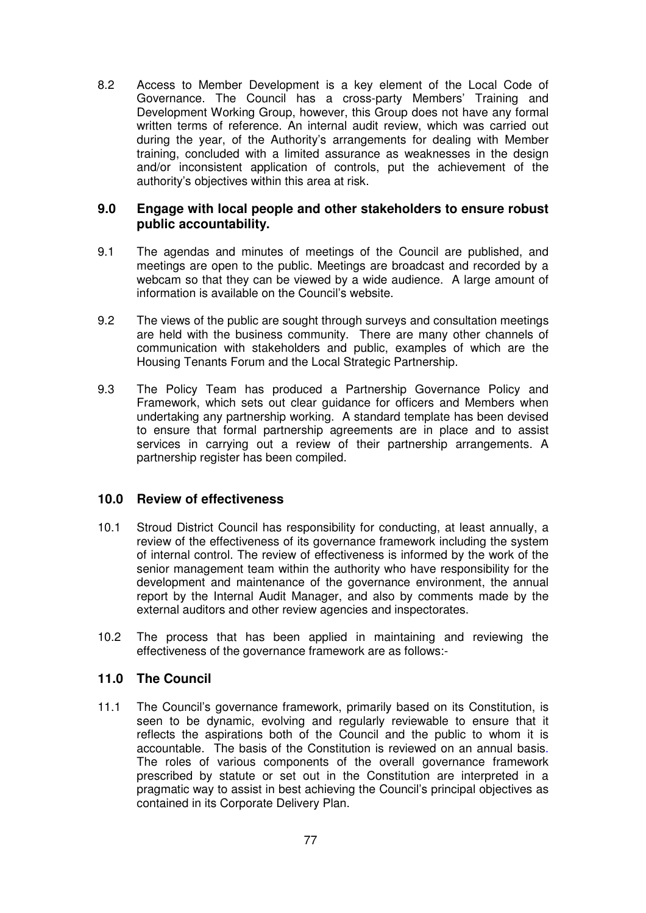8.2 Access to Member Development is a key element of the Local Code of Governance. The Council has a cross-party Members' Training and Development Working Group, however, this Group does not have any formal written terms of reference. An internal audit review, which was carried out during the year, of the Authority's arrangements for dealing with Member training, concluded with a limited assurance as weaknesses in the design and/or inconsistent application of controls, put the achievement of the authority's objectives within this area at risk.

### **9.0 Engage with local people and other stakeholders to ensure robust public accountability.**

- 9.1 The agendas and minutes of meetings of the Council are published, and meetings are open to the public. Meetings are broadcast and recorded by a webcam so that they can be viewed by a wide audience. A large amount of information is available on the Council's website.
- 9.2 The views of the public are sought through surveys and consultation meetings are held with the business community. There are many other channels of communication with stakeholders and public, examples of which are the Housing Tenants Forum and the Local Strategic Partnership.
- 9.3 The Policy Team has produced a Partnership Governance Policy and Framework, which sets out clear guidance for officers and Members when undertaking any partnership working. A standard template has been devised to ensure that formal partnership agreements are in place and to assist services in carrying out a review of their partnership arrangements. A partnership register has been compiled.

### **10.0 Review of effectiveness**

- 10.1 Stroud District Council has responsibility for conducting, at least annually, a review of the effectiveness of its governance framework including the system of internal control. The review of effectiveness is informed by the work of the senior management team within the authority who have responsibility for the development and maintenance of the governance environment, the annual report by the Internal Audit Manager, and also by comments made by the external auditors and other review agencies and inspectorates.
- 10.2 The process that has been applied in maintaining and reviewing the effectiveness of the governance framework are as follows:-

#### **11.0 The Council**

11.1 The Council's governance framework, primarily based on its Constitution, is seen to be dynamic, evolving and regularly reviewable to ensure that it reflects the aspirations both of the Council and the public to whom it is accountable. The basis of the Constitution is reviewed on an annual basis. The roles of various components of the overall governance framework prescribed by statute or set out in the Constitution are interpreted in a pragmatic way to assist in best achieving the Council's principal objectives as contained in its Corporate Delivery Plan.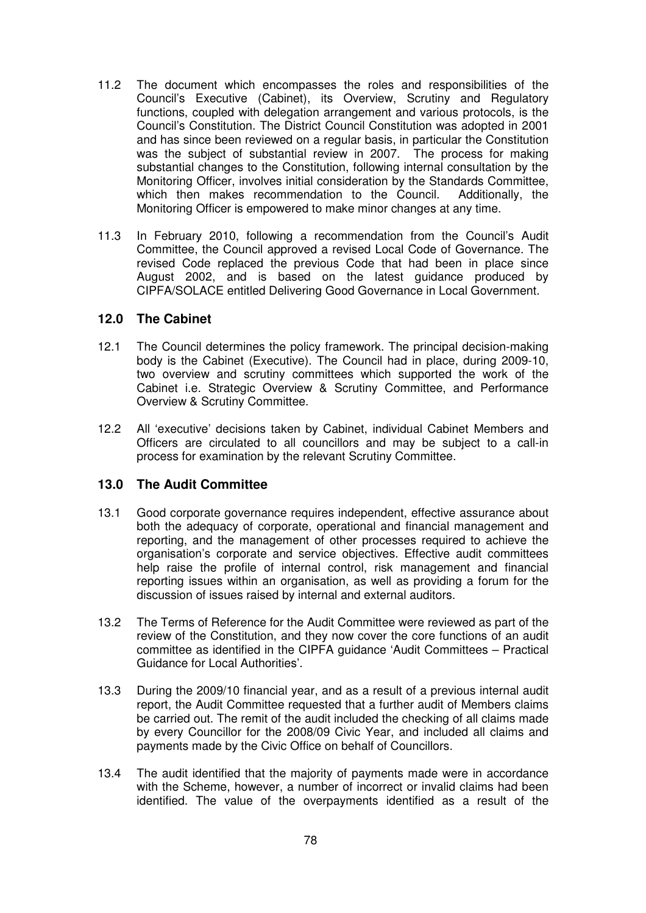- 11.2 The document which encompasses the roles and responsibilities of the Council's Executive (Cabinet), its Overview, Scrutiny and Regulatory functions, coupled with delegation arrangement and various protocols, is the Council's Constitution. The District Council Constitution was adopted in 2001 and has since been reviewed on a regular basis, in particular the Constitution was the subject of substantial review in 2007. The process for making substantial changes to the Constitution, following internal consultation by the Monitoring Officer, involves initial consideration by the Standards Committee, which then makes recommendation to the Council. Additionally, the Monitoring Officer is empowered to make minor changes at any time.
- 11.3 In February 2010, following a recommendation from the Council's Audit Committee, the Council approved a revised Local Code of Governance. The revised Code replaced the previous Code that had been in place since August 2002, and is based on the latest guidance produced by CIPFA/SOLACE entitled Delivering Good Governance in Local Government.

#### **12.0 The Cabinet**

- 12.1 The Council determines the policy framework. The principal decision-making body is the Cabinet (Executive). The Council had in place, during 2009-10, two overview and scrutiny committees which supported the work of the Cabinet i.e. Strategic Overview & Scrutiny Committee, and Performance Overview & Scrutiny Committee.
- 12.2 All 'executive' decisions taken by Cabinet, individual Cabinet Members and Officers are circulated to all councillors and may be subject to a call-in process for examination by the relevant Scrutiny Committee.

### **13.0 The Audit Committee**

- 13.1 Good corporate governance requires independent, effective assurance about both the adequacy of corporate, operational and financial management and reporting, and the management of other processes required to achieve the organisation's corporate and service objectives. Effective audit committees help raise the profile of internal control, risk management and financial reporting issues within an organisation, as well as providing a forum for the discussion of issues raised by internal and external auditors.
- 13.2 The Terms of Reference for the Audit Committee were reviewed as part of the review of the Constitution, and they now cover the core functions of an audit committee as identified in the CIPFA guidance 'Audit Committees – Practical Guidance for Local Authorities'.
- 13.3 During the 2009/10 financial year, and as a result of a previous internal audit report, the Audit Committee requested that a further audit of Members claims be carried out. The remit of the audit included the checking of all claims made by every Councillor for the 2008/09 Civic Year, and included all claims and payments made by the Civic Office on behalf of Councillors.
- 13.4 The audit identified that the majority of payments made were in accordance with the Scheme, however, a number of incorrect or invalid claims had been identified. The value of the overpayments identified as a result of the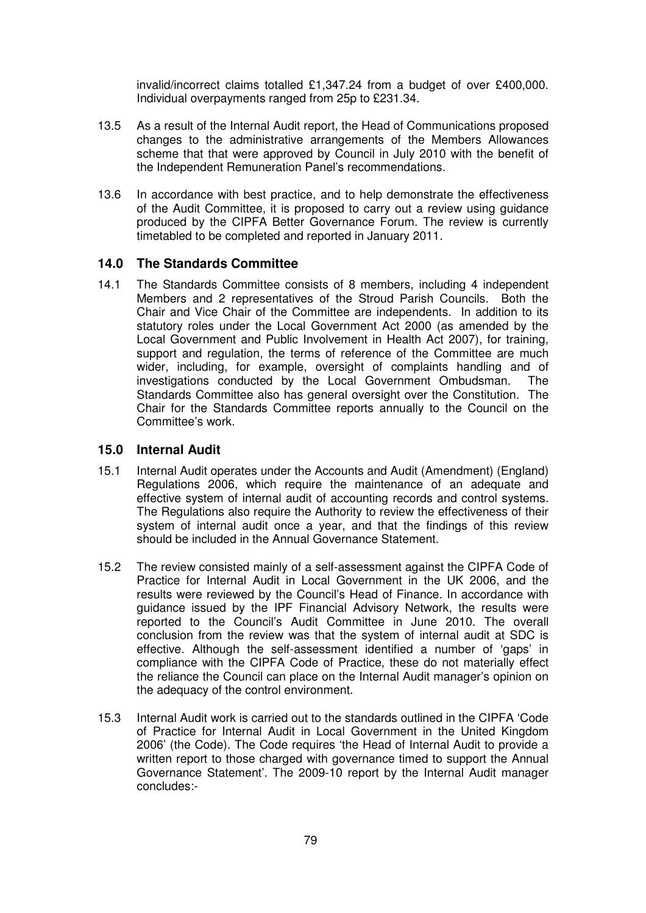invalid/incorrect claims totalled £1,347.24 from a budget of over £400,000. Individual overpayments ranged from 25p to £231.34.

- 13.5 As a result of the Internal Audit report, the Head of Communications proposed changes to the administrative arrangements of the Members Allowances scheme that that were approved by Council in July 2010 with the benefit of the Independent Remuneration Panel's recommendations.
- 13.6 In accordance with best practice, and to help demonstrate the effectiveness of the Audit Committee, it is proposed to carry out a review using guidance produced by the CIPFA Better Governance Forum. The review is currently timetabled to be completed and reported in January 2011.

#### **14.0 The Standards Committee**

14.1 The Standards Committee consists of 8 members, including 4 independent Members and 2 representatives of the Stroud Parish Councils. Both the Chair and Vice Chair of the Committee are independents. In addition to its statutory roles under the Local Government Act 2000 (as amended by the Local Government and Public Involvement in Health Act 2007), for training, support and regulation, the terms of reference of the Committee are much wider, including, for example, oversight of complaints handling and of investigations conducted by the Local Government Ombudsman. The Standards Committee also has general oversight over the Constitution. The Chair for the Standards Committee reports annually to the Council on the Committee's work.

#### **15.0 Internal Audit**

- 15.1 Internal Audit operates under the Accounts and Audit (Amendment) (England) Regulations 2006, which require the maintenance of an adequate and effective system of internal audit of accounting records and control systems. The Regulations also require the Authority to review the effectiveness of their system of internal audit once a year, and that the findings of this review should be included in the Annual Governance Statement.
- 15.2 The review consisted mainly of a self-assessment against the CIPFA Code of Practice for Internal Audit in Local Government in the UK 2006, and the results were reviewed by the Council's Head of Finance. In accordance with guidance issued by the IPF Financial Advisory Network, the results were reported to the Council's Audit Committee in June 2010. The overall conclusion from the review was that the system of internal audit at SDC is effective. Although the self-assessment identified a number of 'gaps' in compliance with the CIPFA Code of Practice, these do not materially effect the reliance the Council can place on the Internal Audit manager's opinion on the adequacy of the control environment.
- 15.3 Internal Audit work is carried out to the standards outlined in the CIPFA 'Code of Practice for Internal Audit in Local Government in the United Kingdom 2006' (the Code). The Code requires 'the Head of Internal Audit to provide a written report to those charged with governance timed to support the Annual Governance Statement'. The 2009-10 report by the Internal Audit manager concludes:-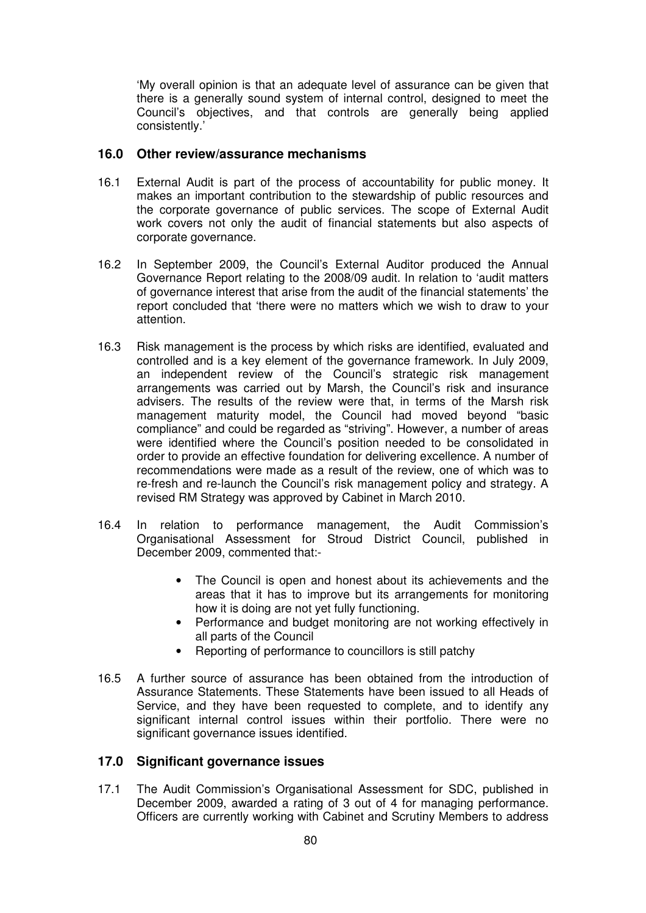'My overall opinion is that an adequate level of assurance can be given that there is a generally sound system of internal control, designed to meet the Council's objectives, and that controls are generally being applied consistently.'

### **16.0 Other review/assurance mechanisms**

- 16.1 External Audit is part of the process of accountability for public money. It makes an important contribution to the stewardship of public resources and the corporate governance of public services. The scope of External Audit work covers not only the audit of financial statements but also aspects of corporate governance.
- 16.2 In September 2009, the Council's External Auditor produced the Annual Governance Report relating to the 2008/09 audit. In relation to 'audit matters of governance interest that arise from the audit of the financial statements' the report concluded that 'there were no matters which we wish to draw to your attention.
- 16.3 Risk management is the process by which risks are identified, evaluated and controlled and is a key element of the governance framework. In July 2009, an independent review of the Council's strategic risk management arrangements was carried out by Marsh, the Council's risk and insurance advisers. The results of the review were that, in terms of the Marsh risk management maturity model, the Council had moved beyond "basic compliance" and could be regarded as "striving". However, a number of areas were identified where the Council's position needed to be consolidated in order to provide an effective foundation for delivering excellence. A number of recommendations were made as a result of the review, one of which was to re-fresh and re-launch the Council's risk management policy and strategy. A revised RM Strategy was approved by Cabinet in March 2010.
- 16.4 In relation to performance management, the Audit Commission's Organisational Assessment for Stroud District Council, published in December 2009, commented that:-
	- The Council is open and honest about its achievements and the areas that it has to improve but its arrangements for monitoring how it is doing are not yet fully functioning.
	- Performance and budget monitoring are not working effectively in all parts of the Council
	- Reporting of performance to councillors is still patchy
- 16.5 A further source of assurance has been obtained from the introduction of Assurance Statements. These Statements have been issued to all Heads of Service, and they have been requested to complete, and to identify any significant internal control issues within their portfolio. There were no significant governance issues identified.

### **17.0 Significant governance issues**

17.1 The Audit Commission's Organisational Assessment for SDC, published in December 2009, awarded a rating of 3 out of 4 for managing performance. Officers are currently working with Cabinet and Scrutiny Members to address